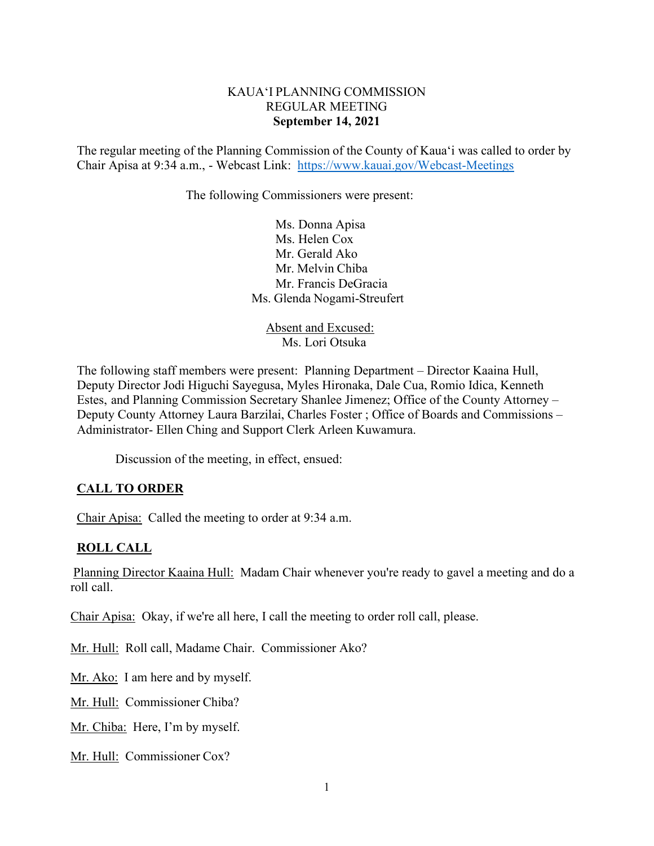### KAUA'I PLANNING COMMISSION REGULAR MEETING **September 14, 2021**

The regular meeting of the Planning Commission of the County of Kaua'i was called to order by Chair Apisa at 9:34 a.m., - Webcast Link: <https://www.kauai.gov/Webcast-Meetings>

The following Commissioners were present:

Ms. Donna Apisa Ms. Helen Cox Mr. Gerald Ako Mr. Melvin Chiba Mr. Francis DeGracia Ms. Glenda Nogami-Streufert

 Absent and Excused: Ms. Lori Otsuka

The following staff members were present: Planning Department – Director Kaaina Hull, Deputy Director Jodi Higuchi Sayegusa, Myles Hironaka, Dale Cua, Romio Idica, Kenneth Estes, and Planning Commission Secretary Shanlee Jimenez; Office of the County Attorney – Deputy County Attorney Laura Barzilai, Charles Foster ; Office of Boards and Commissions – Administrator- Ellen Ching and Support Clerk Arleen Kuwamura.

Discussion of the meeting, in effect, ensued:

## **CALL TO ORDER**

Chair Apisa: Called the meeting to order at 9:34 a.m.

### **ROLL CALL**

Planning Director Kaaina Hull: Madam Chair whenever you're ready to gavel a meeting and do a roll call.

Chair Apisa: Okay, if we're all here, I call the meeting to order roll call, please.

Mr. Hull: Roll call, Madame Chair. Commissioner Ako?

Mr. Ako: I am here and by myself.

Mr. Hull: Commissioner Chiba?

Mr. Chiba: Here, I'm by myself.

Mr. Hull: Commissioner Cox?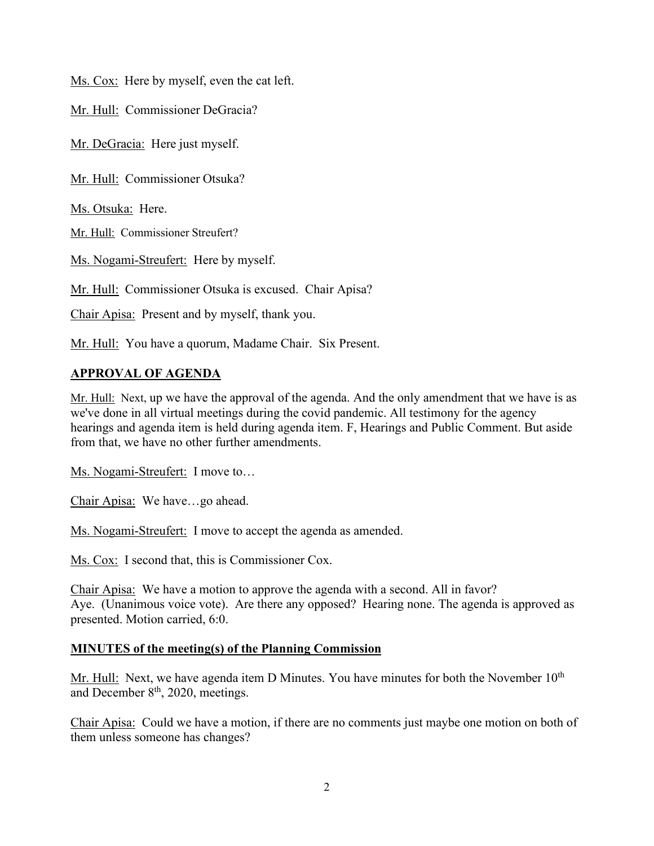Ms. Cox: Here by myself, even the cat left.

Mr. Hull: Commissioner DeGracia?

Mr. DeGracia: Here just myself.

Mr. Hull: Commissioner Otsuka?

Ms. Otsuka: Here.

Mr. Hull: Commissioner Streufert?

Ms. Nogami-Streufert: Here by myself.

Mr. Hull: Commissioner Otsuka is excused. Chair Apisa?

Chair Apisa: Present and by myself, thank you.

Mr. Hull: You have a quorum, Madame Chair. Six Present.

# **APPROVAL OF AGENDA**

Mr. Hull: Next, up we have the approval of the agenda. And the only amendment that we have is as we've done in all virtual meetings during the covid pandemic. All testimony for the agency hearings and agenda item is held during agenda item. F, Hearings and Public Comment. But aside from that, we have no other further amendments.

Ms. Nogami-Streufert: I move to…

Chair Apisa: We have…go ahead.

Ms. Nogami-Streufert: I move to accept the agenda as amended.

Ms. Cox: I second that, this is Commissioner Cox.

Chair Apisa: We have a motion to approve the agenda with a second. All in favor? Aye. (Unanimous voice vote). Are there any opposed? Hearing none. The agenda is approved as presented. Motion carried, 6:0.

## **MINUTES of the meeting(s) of the Planning Commission**

Mr. Hull: Next, we have agenda item D Minutes. You have minutes for both the November  $10<sup>th</sup>$ and December 8<sup>th</sup>, 2020, meetings.

Chair Apisa: Could we have a motion, if there are no comments just maybe one motion on both of them unless someone has changes?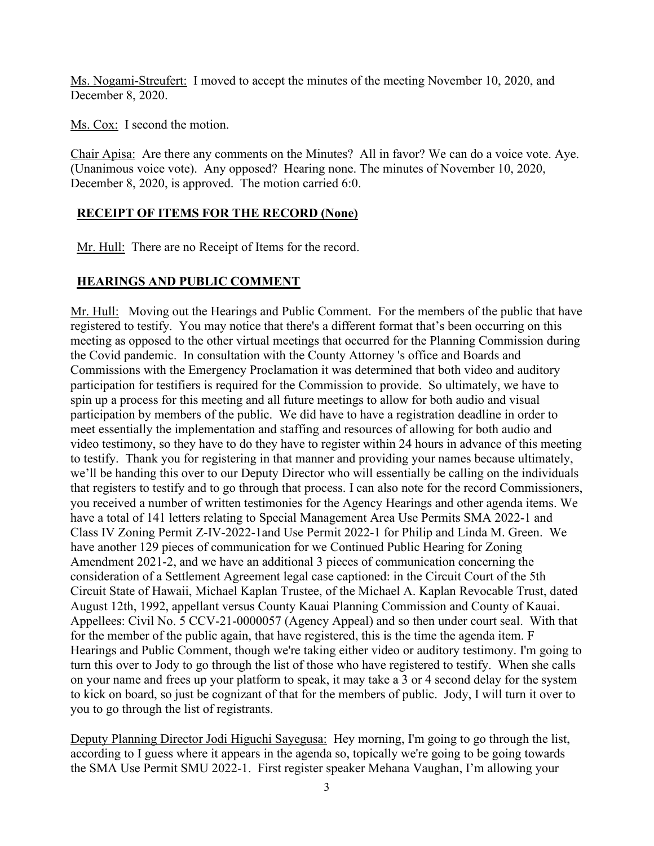Ms. Nogami-Streufert: I moved to accept the minutes of the meeting November 10, 2020, and December 8, 2020.

Ms. Cox: I second the motion.

Chair Apisa: Are there any comments on the Minutes? All in favor? We can do a voice vote. Aye. (Unanimous voice vote). Any opposed? Hearing none. The minutes of November 10, 2020, December 8, 2020, is approved. The motion carried 6:0.

### **RECEIPT OF ITEMS FOR THE RECORD (None)**

Mr. Hull: There are no Receipt of Items for the record.

## **HEARINGS AND PUBLIC COMMENT**

Mr. Hull: Moving out the Hearings and Public Comment. For the members of the public that have registered to testify. You may notice that there's a different format that's been occurring on this meeting as opposed to the other virtual meetings that occurred for the Planning Commission during the Covid pandemic. In consultation with the County Attorney 's office and Boards and Commissions with the Emergency Proclamation it was determined that both video and auditory participation for testifiers is required for the Commission to provide. So ultimately, we have to spin up a process for this meeting and all future meetings to allow for both audio and visual participation by members of the public. We did have to have a registration deadline in order to meet essentially the implementation and staffing and resources of allowing for both audio and video testimony, so they have to do they have to register within 24 hours in advance of this meeting to testify. Thank you for registering in that manner and providing your names because ultimately, we'll be handing this over to our Deputy Director who will essentially be calling on the individuals that registers to testify and to go through that process. I can also note for the record Commissioners, you received a number of written testimonies for the Agency Hearings and other agenda items. We have a total of 141 letters relating to Special Management Area Use Permits SMA 2022-1 and Class IV Zoning Permit Z-IV-2022-1and Use Permit 2022-1 for Philip and Linda M. Green. We have another 129 pieces of communication for we Continued Public Hearing for Zoning Amendment 2021-2, and we have an additional 3 pieces of communication concerning the consideration of a Settlement Agreement legal case captioned: in the Circuit Court of the 5th Circuit State of Hawaii, Michael Kaplan Trustee, of the Michael A. Kaplan Revocable Trust, dated August 12th, 1992, appellant versus County Kauai Planning Commission and County of Kauai. Appellees: Civil No. 5 CCV-21-0000057 (Agency Appeal) and so then under court seal. With that for the member of the public again, that have registered, this is the time the agenda item. F Hearings and Public Comment, though we're taking either video or auditory testimony. I'm going to turn this over to Jody to go through the list of those who have registered to testify. When she calls on your name and frees up your platform to speak, it may take a 3 or 4 second delay for the system to kick on board, so just be cognizant of that for the members of public. Jody, I will turn it over to you to go through the list of registrants.

Deputy Planning Director Jodi Higuchi Sayegusa: Hey morning, I'm going to go through the list, according to I guess where it appears in the agenda so, topically we're going to be going towards the SMA Use Permit SMU 2022-1. First register speaker Mehana Vaughan, I'm allowing your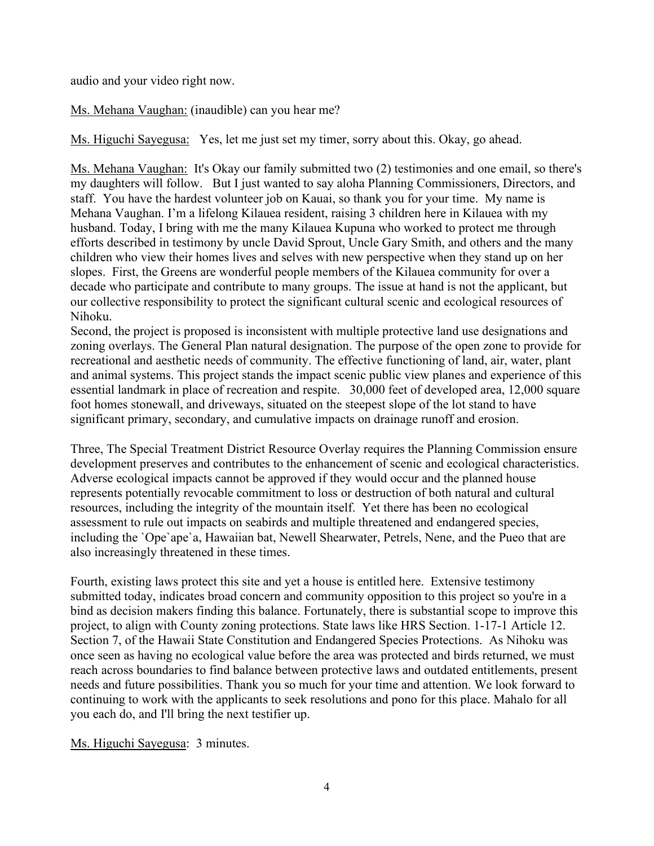audio and your video right now.

Ms. Mehana Vaughan: (inaudible) can you hear me?

Ms. Higuchi Sayegusa: Yes, let me just set my timer, sorry about this. Okay, go ahead.

Ms. Mehana Vaughan: It's Okay our family submitted two (2) testimonies and one email, so there's my daughters will follow. But I just wanted to say aloha Planning Commissioners, Directors, and staff. You have the hardest volunteer job on Kauai, so thank you for your time. My name is Mehana Vaughan. I'm a lifelong Kilauea resident, raising 3 children here in Kilauea with my husband. Today, I bring with me the many Kilauea Kupuna who worked to protect me through efforts described in testimony by uncle David Sprout, Uncle Gary Smith, and others and the many children who view their homes lives and selves with new perspective when they stand up on her slopes. First, the Greens are wonderful people members of the Kilauea community for over a decade who participate and contribute to many groups. The issue at hand is not the applicant, but our collective responsibility to protect the significant cultural scenic and ecological resources of Nihoku.

Second, the project is proposed is inconsistent with multiple protective land use designations and zoning overlays. The General Plan natural designation. The purpose of the open zone to provide for recreational and aesthetic needs of community. The effective functioning of land, air, water, plant and animal systems. This project stands the impact scenic public view planes and experience of this essential landmark in place of recreation and respite. 30,000 feet of developed area, 12,000 square foot homes stonewall, and driveways, situated on the steepest slope of the lot stand to have significant primary, secondary, and cumulative impacts on drainage runoff and erosion.

Three, The Special Treatment District Resource Overlay requires the Planning Commission ensure development preserves and contributes to the enhancement of scenic and ecological characteristics. Adverse ecological impacts cannot be approved if they would occur and the planned house represents potentially revocable commitment to loss or destruction of both natural and cultural resources, including the integrity of the mountain itself. Yet there has been no ecological assessment to rule out impacts on seabirds and multiple threatened and endangered species, including the `Ope`ape`a, Hawaiian bat, Newell Shearwater, Petrels, Nene, and the Pueo that are also increasingly threatened in these times.

Fourth, existing laws protect this site and yet a house is entitled here. Extensive testimony submitted today, indicates broad concern and community opposition to this project so you're in a bind as decision makers finding this balance. Fortunately, there is substantial scope to improve this project, to align with County zoning protections. State laws like HRS Section. 1-17-1 Article 12. Section 7, of the Hawaii State Constitution and Endangered Species Protections. As Nihoku was once seen as having no ecological value before the area was protected and birds returned, we must reach across boundaries to find balance between protective laws and outdated entitlements, present needs and future possibilities. Thank you so much for your time and attention. We look forward to continuing to work with the applicants to seek resolutions and pono for this place. Mahalo for all you each do, and I'll bring the next testifier up.

Ms. Higuchi Sayegusa: 3 minutes.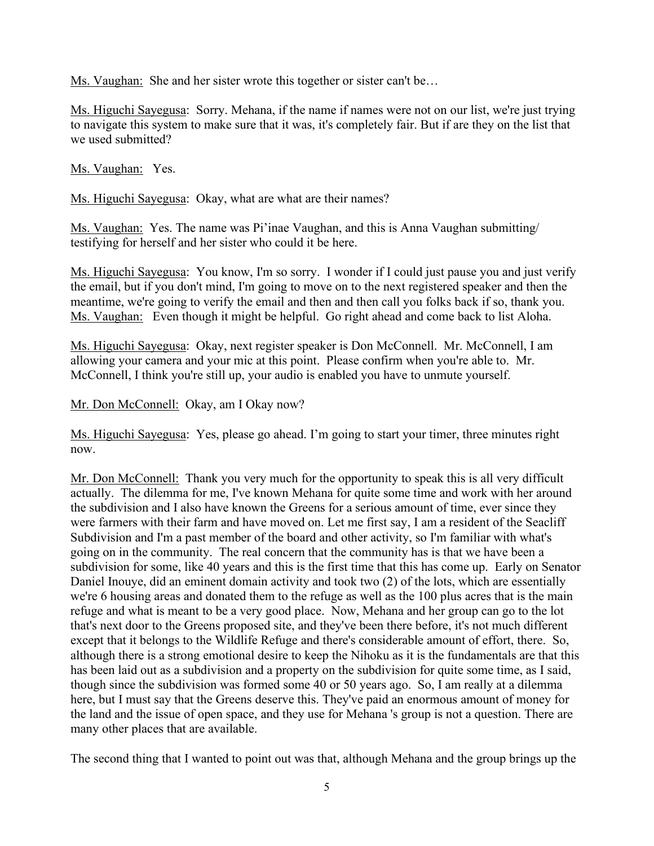Ms. Vaughan: She and her sister wrote this together or sister can't be…

Ms. Higuchi Sayegusa: Sorry. Mehana, if the name if names were not on our list, we're just trying to navigate this system to make sure that it was, it's completely fair. But if are they on the list that we used submitted?

Ms. Vaughan: Yes.

Ms. Higuchi Sayegusa: Okay, what are what are their names?

Ms. Vaughan: Yes. The name was Pi'inae Vaughan, and this is Anna Vaughan submitting/ testifying for herself and her sister who could it be here.

Ms. Higuchi Sayegusa: You know, I'm so sorry. I wonder if I could just pause you and just verify the email, but if you don't mind, I'm going to move on to the next registered speaker and then the meantime, we're going to verify the email and then and then call you folks back if so, thank you. Ms. Vaughan: Even though it might be helpful. Go right ahead and come back to list Aloha.

Ms. Higuchi Sayegusa: Okay, next register speaker is Don McConnell. Mr. McConnell, I am allowing your camera and your mic at this point. Please confirm when you're able to. Mr. McConnell, I think you're still up, your audio is enabled you have to unmute yourself.

Mr. Don McConnell: Okay, am I Okay now?

Ms. Higuchi Sayegusa: Yes, please go ahead. I'm going to start your timer, three minutes right now.

Mr. Don McConnell: Thank you very much for the opportunity to speak this is all very difficult actually. The dilemma for me, I've known Mehana for quite some time and work with her around the subdivision and I also have known the Greens for a serious amount of time, ever since they were farmers with their farm and have moved on. Let me first say, I am a resident of the Seacliff Subdivision and I'm a past member of the board and other activity, so I'm familiar with what's going on in the community. The real concern that the community has is that we have been a subdivision for some, like 40 years and this is the first time that this has come up. Early on Senator Daniel Inouye, did an eminent domain activity and took two (2) of the lots, which are essentially we're 6 housing areas and donated them to the refuge as well as the 100 plus acres that is the main refuge and what is meant to be a very good place. Now, Mehana and her group can go to the lot that's next door to the Greens proposed site, and they've been there before, it's not much different except that it belongs to the Wildlife Refuge and there's considerable amount of effort, there. So, although there is a strong emotional desire to keep the Nihoku as it is the fundamentals are that this has been laid out as a subdivision and a property on the subdivision for quite some time, as I said, though since the subdivision was formed some 40 or 50 years ago. So, I am really at a dilemma here, but I must say that the Greens deserve this. They've paid an enormous amount of money for the land and the issue of open space, and they use for Mehana 's group is not a question. There are many other places that are available.

The second thing that I wanted to point out was that, although Mehana and the group brings up the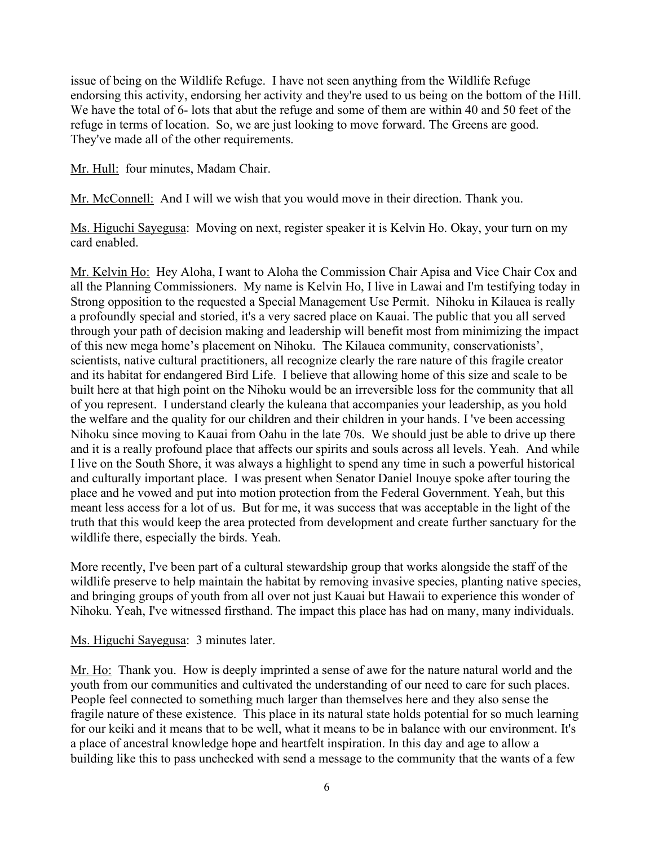issue of being on the Wildlife Refuge. I have not seen anything from the Wildlife Refuge endorsing this activity, endorsing her activity and they're used to us being on the bottom of the Hill. We have the total of 6- lots that abut the refuge and some of them are within 40 and 50 feet of the refuge in terms of location. So, we are just looking to move forward. The Greens are good. They've made all of the other requirements.

Mr. Hull: four minutes, Madam Chair.

Mr. McConnell: And I will we wish that you would move in their direction. Thank you.

Ms. Higuchi Sayegusa: Moving on next, register speaker it is Kelvin Ho. Okay, your turn on my card enabled.

Mr. Kelvin Ho: Hey Aloha, I want to Aloha the Commission Chair Apisa and Vice Chair Cox and all the Planning Commissioners. My name is Kelvin Ho, I live in Lawai and I'm testifying today in Strong opposition to the requested a Special Management Use Permit. Nihoku in Kilauea is really a profoundly special and storied, it's a very sacred place on Kauai. The public that you all served through your path of decision making and leadership will benefit most from minimizing the impact of this new mega home's placement on Nihoku. The Kilauea community, conservationists', scientists, native cultural practitioners, all recognize clearly the rare nature of this fragile creator and its habitat for endangered Bird Life. I believe that allowing home of this size and scale to be built here at that high point on the Nihoku would be an irreversible loss for the community that all of you represent. I understand clearly the kuleana that accompanies your leadership, as you hold the welfare and the quality for our children and their children in your hands. I 've been accessing Nihoku since moving to Kauai from Oahu in the late 70s. We should just be able to drive up there and it is a really profound place that affects our spirits and souls across all levels. Yeah. And while I live on the South Shore, it was always a highlight to spend any time in such a powerful historical and culturally important place. I was present when Senator Daniel Inouye spoke after touring the place and he vowed and put into motion protection from the Federal Government. Yeah, but this meant less access for a lot of us. But for me, it was success that was acceptable in the light of the truth that this would keep the area protected from development and create further sanctuary for the wildlife there, especially the birds. Yeah.

More recently, I've been part of a cultural stewardship group that works alongside the staff of the wildlife preserve to help maintain the habitat by removing invasive species, planting native species, and bringing groups of youth from all over not just Kauai but Hawaii to experience this wonder of Nihoku. Yeah, I've witnessed firsthand. The impact this place has had on many, many individuals.

### Ms. Higuchi Sayegusa: 3 minutes later.

Mr. Ho: Thank you. How is deeply imprinted a sense of awe for the nature natural world and the youth from our communities and cultivated the understanding of our need to care for such places. People feel connected to something much larger than themselves here and they also sense the fragile nature of these existence. This place in its natural state holds potential for so much learning for our keiki and it means that to be well, what it means to be in balance with our environment. It's a place of ancestral knowledge hope and heartfelt inspiration. In this day and age to allow a building like this to pass unchecked with send a message to the community that the wants of a few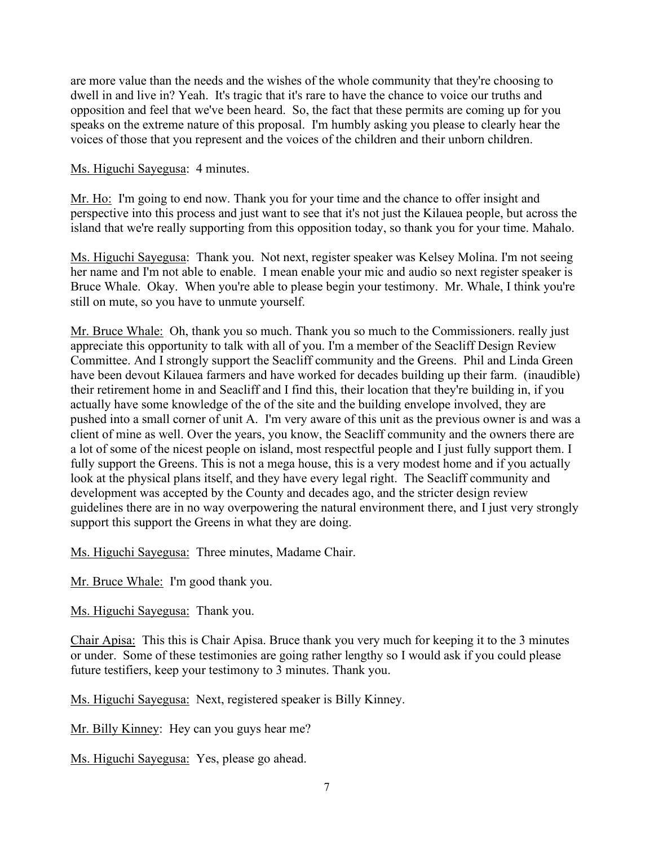are more value than the needs and the wishes of the whole community that they're choosing to dwell in and live in? Yeah. It's tragic that it's rare to have the chance to voice our truths and opposition and feel that we've been heard. So, the fact that these permits are coming up for you speaks on the extreme nature of this proposal. I'm humbly asking you please to clearly hear the voices of those that you represent and the voices of the children and their unborn children.

#### Ms. Higuchi Sayegusa: 4 minutes.

Mr. Ho: I'm going to end now. Thank you for your time and the chance to offer insight and perspective into this process and just want to see that it's not just the Kilauea people, but across the island that we're really supporting from this opposition today, so thank you for your time. Mahalo.

Ms. Higuchi Sayegusa: Thank you. Not next, register speaker was Kelsey Molina. I'm not seeing her name and I'm not able to enable. I mean enable your mic and audio so next register speaker is Bruce Whale. Okay. When you're able to please begin your testimony. Mr. Whale, I think you're still on mute, so you have to unmute yourself.

Mr. Bruce Whale: Oh, thank you so much. Thank you so much to the Commissioners. really just appreciate this opportunity to talk with all of you. I'm a member of the Seacliff Design Review Committee. And I strongly support the Seacliff community and the Greens. Phil and Linda Green have been devout Kilauea farmers and have worked for decades building up their farm. (inaudible) their retirement home in and Seacliff and I find this, their location that they're building in, if you actually have some knowledge of the of the site and the building envelope involved, they are pushed into a small corner of unit A. I'm very aware of this unit as the previous owner is and was a client of mine as well. Over the years, you know, the Seacliff community and the owners there are a lot of some of the nicest people on island, most respectful people and I just fully support them. I fully support the Greens. This is not a mega house, this is a very modest home and if you actually look at the physical plans itself, and they have every legal right. The Seacliff community and development was accepted by the County and decades ago, and the stricter design review guidelines there are in no way overpowering the natural environment there, and I just very strongly support this support the Greens in what they are doing.

Ms. Higuchi Sayegusa: Three minutes, Madame Chair.

Mr. Bruce Whale: I'm good thank you.

Ms. Higuchi Sayegusa: Thank you.

Chair Apisa: This this is Chair Apisa. Bruce thank you very much for keeping it to the 3 minutes or under. Some of these testimonies are going rather lengthy so I would ask if you could please future testifiers, keep your testimony to 3 minutes. Thank you.

Ms. Higuchi Sayegusa: Next, registered speaker is Billy Kinney.

Mr. Billy Kinney: Hey can you guys hear me?

Ms. Higuchi Sayegusa: Yes, please go ahead.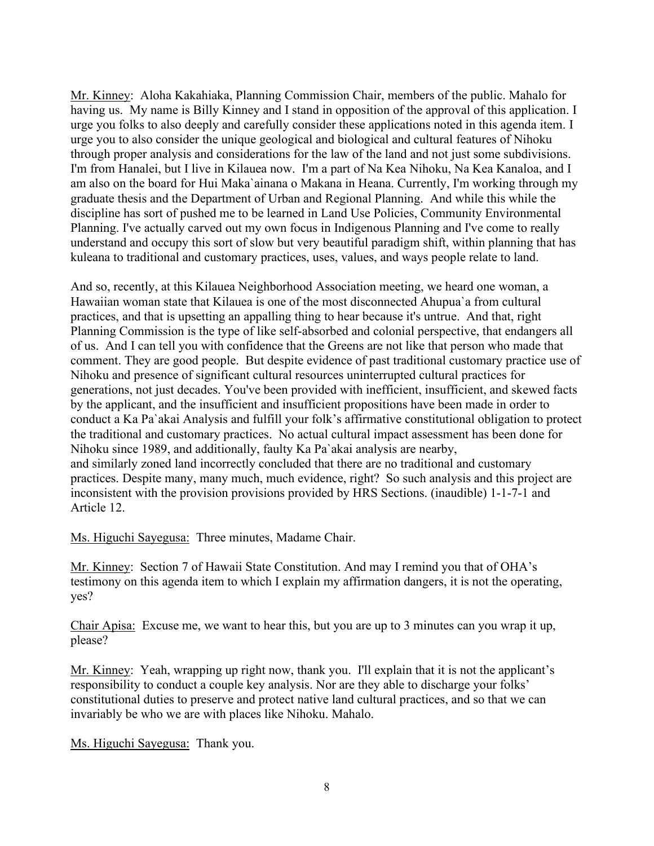Mr. Kinney: Aloha Kakahiaka, Planning Commission Chair, members of the public. Mahalo for having us. My name is Billy Kinney and I stand in opposition of the approval of this application. I urge you folks to also deeply and carefully consider these applications noted in this agenda item. I urge you to also consider the unique geological and biological and cultural features of Nihoku through proper analysis and considerations for the law of the land and not just some subdivisions. I'm from Hanalei, but I live in Kilauea now. I'm a part of Na Kea Nihoku, Na Kea Kanaloa, and I am also on the board for Hui Maka`ainana o Makana in Heana. Currently, I'm working through my graduate thesis and the Department of Urban and Regional Planning. And while this while the discipline has sort of pushed me to be learned in Land Use Policies, Community Environmental Planning. I've actually carved out my own focus in Indigenous Planning and I've come to really understand and occupy this sort of slow but very beautiful paradigm shift, within planning that has kuleana to traditional and customary practices, uses, values, and ways people relate to land.

And so, recently, at this Kilauea Neighborhood Association meeting, we heard one woman, a Hawaiian woman state that Kilauea is one of the most disconnected Ahupua`a from cultural practices, and that is upsetting an appalling thing to hear because it's untrue. And that, right Planning Commission is the type of like self-absorbed and colonial perspective, that endangers all of us. And I can tell you with confidence that the Greens are not like that person who made that comment. They are good people. But despite evidence of past traditional customary practice use of Nihoku and presence of significant cultural resources uninterrupted cultural practices for generations, not just decades. You've been provided with inefficient, insufficient, and skewed facts by the applicant, and the insufficient and insufficient propositions have been made in order to conduct a Ka Pa`akai Analysis and fulfill your folk's affirmative constitutional obligation to protect the traditional and customary practices. No actual cultural impact assessment has been done for Nihoku since 1989, and additionally, faulty Ka Pa`akai analysis are nearby, and similarly zoned land incorrectly concluded that there are no traditional and customary practices. Despite many, many much, much evidence, right? So such analysis and this project are inconsistent with the provision provisions provided by HRS Sections. (inaudible) 1-1-7-1 and Article 12.

Ms. Higuchi Sayegusa: Three minutes, Madame Chair.

Mr. Kinney: Section 7 of Hawaii State Constitution. And may I remind you that of OHA's testimony on this agenda item to which I explain my affirmation dangers, it is not the operating, yes?

Chair Apisa: Excuse me, we want to hear this, but you are up to 3 minutes can you wrap it up, please?

Mr. Kinney: Yeah, wrapping up right now, thank you. I'll explain that it is not the applicant's responsibility to conduct a couple key analysis. Nor are they able to discharge your folks' constitutional duties to preserve and protect native land cultural practices, and so that we can invariably be who we are with places like Nihoku. Mahalo.

Ms. Higuchi Sayegusa: Thank you.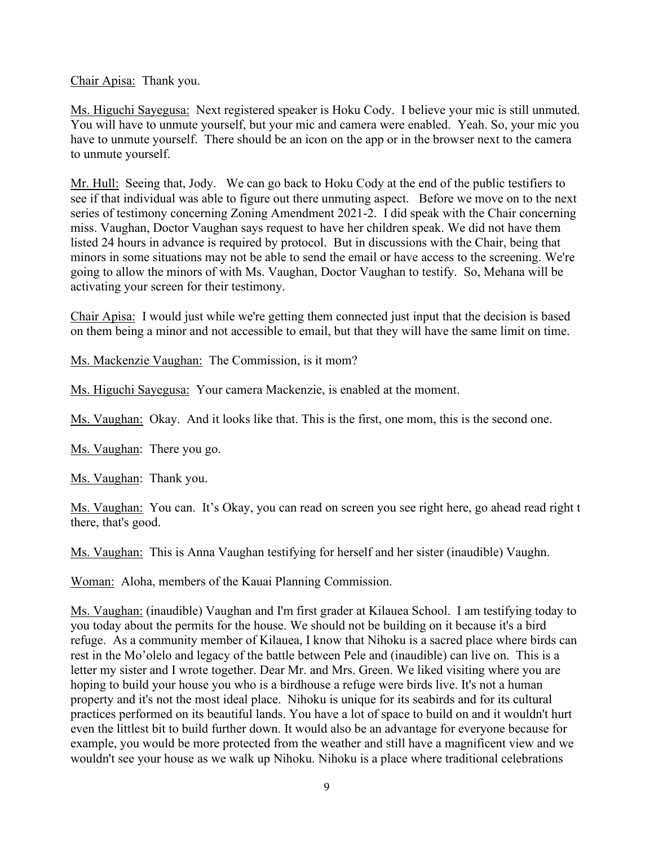Chair Apisa: Thank you.

Ms. Higuchi Sayegusa: Next registered speaker is Hoku Cody. I believe your mic is still unmuted. You will have to unmute yourself, but your mic and camera were enabled. Yeah. So, your mic you have to unmute yourself. There should be an icon on the app or in the browser next to the camera to unmute yourself.

Mr. Hull: Seeing that, Jody. We can go back to Hoku Cody at the end of the public testifiers to see if that individual was able to figure out there unmuting aspect. Before we move on to the next series of testimony concerning Zoning Amendment 2021-2. I did speak with the Chair concerning miss. Vaughan, Doctor Vaughan says request to have her children speak. We did not have them listed 24 hours in advance is required by protocol. But in discussions with the Chair, being that minors in some situations may not be able to send the email or have access to the screening. We're going to allow the minors of with Ms. Vaughan, Doctor Vaughan to testify. So, Mehana will be activating your screen for their testimony.

Chair Apisa: I would just while we're getting them connected just input that the decision is based on them being a minor and not accessible to email, but that they will have the same limit on time.

Ms. Mackenzie Vaughan: The Commission, is it mom?

Ms. Higuchi Sayegusa: Your camera Mackenzie, is enabled at the moment.

Ms. Vaughan: Okay. And it looks like that. This is the first, one mom, this is the second one.

Ms. Vaughan: There you go.

Ms. Vaughan: Thank you.

Ms. Vaughan: You can. It's Okay, you can read on screen you see right here, go ahead read right t there, that's good.

Ms. Vaughan: This is Anna Vaughan testifying for herself and her sister (inaudible) Vaughn.

Woman: Aloha, members of the Kauai Planning Commission.

Ms. Vaughan: (inaudible) Vaughan and I'm first grader at Kilauea School. I am testifying today to you today about the permits for the house. We should not be building on it because it's a bird refuge. As a community member of Kilauea, I know that Nihoku is a sacred place where birds can rest in the Mo'olelo and legacy of the battle between Pele and (inaudible) can live on. This is a letter my sister and I wrote together. Dear Mr. and Mrs. Green. We liked visiting where you are hoping to build your house you who is a birdhouse a refuge were birds live. It's not a human property and it's not the most ideal place. Nihoku is unique for its seabirds and for its cultural practices performed on its beautiful lands. You have a lot of space to build on and it wouldn't hurt even the littlest bit to build further down. It would also be an advantage for everyone because for example, you would be more protected from the weather and still have a magnificent view and we wouldn't see your house as we walk up Nihoku. Nihoku is a place where traditional celebrations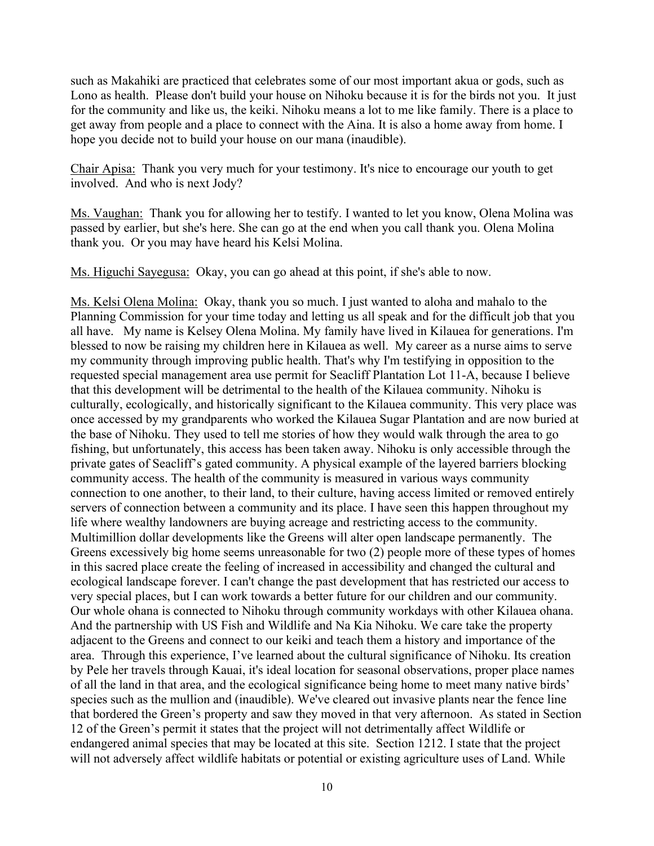such as Makahiki are practiced that celebrates some of our most important akua or gods, such as Lono as health. Please don't build your house on Nihoku because it is for the birds not you. It just for the community and like us, the keiki. Nihoku means a lot to me like family. There is a place to get away from people and a place to connect with the Aina. It is also a home away from home. I hope you decide not to build your house on our mana (inaudible).

Chair Apisa: Thank you very much for your testimony. It's nice to encourage our youth to get involved. And who is next Jody?

Ms. Vaughan: Thank you for allowing her to testify. I wanted to let you know, Olena Molina was passed by earlier, but she's here. She can go at the end when you call thank you. Olena Molina thank you. Or you may have heard his Kelsi Molina.

Ms. Higuchi Sayegusa: Okay, you can go ahead at this point, if she's able to now.

Ms. Kelsi Olena Molina: Okay, thank you so much. I just wanted to aloha and mahalo to the Planning Commission for your time today and letting us all speak and for the difficult job that you all have. My name is Kelsey Olena Molina. My family have lived in Kilauea for generations. I'm blessed to now be raising my children here in Kilauea as well. My career as a nurse aims to serve my community through improving public health. That's why I'm testifying in opposition to the requested special management area use permit for Seacliff Plantation Lot 11-A, because I believe that this development will be detrimental to the health of the Kilauea community. Nihoku is culturally, ecologically, and historically significant to the Kilauea community. This very place was once accessed by my grandparents who worked the Kilauea Sugar Plantation and are now buried at the base of Nihoku. They used to tell me stories of how they would walk through the area to go fishing, but unfortunately, this access has been taken away. Nihoku is only accessible through the private gates of Seacliff's gated community. A physical example of the layered barriers blocking community access. The health of the community is measured in various ways community connection to one another, to their land, to their culture, having access limited or removed entirely servers of connection between a community and its place. I have seen this happen throughout my life where wealthy landowners are buying acreage and restricting access to the community. Multimillion dollar developments like the Greens will alter open landscape permanently. The Greens excessively big home seems unreasonable for two (2) people more of these types of homes in this sacred place create the feeling of increased in accessibility and changed the cultural and ecological landscape forever. I can't change the past development that has restricted our access to very special places, but I can work towards a better future for our children and our community. Our whole ohana is connected to Nihoku through community workdays with other Kilauea ohana. And the partnership with US Fish and Wildlife and Na Kia Nihoku. We care take the property adjacent to the Greens and connect to our keiki and teach them a history and importance of the area. Through this experience, I've learned about the cultural significance of Nihoku. Its creation by Pele her travels through Kauai, it's ideal location for seasonal observations, proper place names of all the land in that area, and the ecological significance being home to meet many native birds' species such as the mullion and (inaudible). We've cleared out invasive plants near the fence line that bordered the Green's property and saw they moved in that very afternoon. As stated in Section 12 of the Green's permit it states that the project will not detrimentally affect Wildlife or endangered animal species that may be located at this site. Section 1212. I state that the project will not adversely affect wildlife habitats or potential or existing agriculture uses of Land. While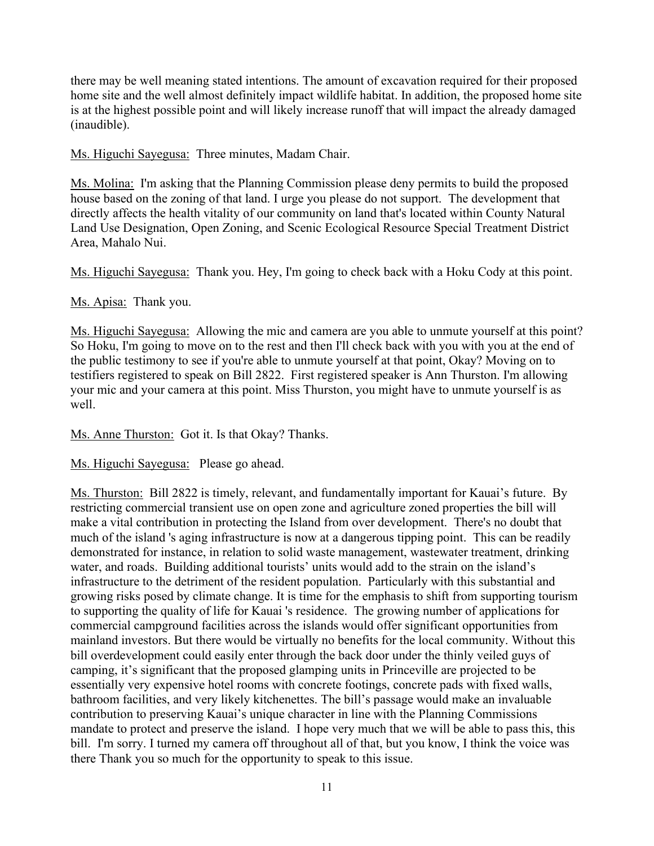there may be well meaning stated intentions. The amount of excavation required for their proposed home site and the well almost definitely impact wildlife habitat. In addition, the proposed home site is at the highest possible point and will likely increase runoff that will impact the already damaged (inaudible).

Ms. Higuchi Sayegusa: Three minutes, Madam Chair.

Ms. Molina: I'm asking that the Planning Commission please deny permits to build the proposed house based on the zoning of that land. I urge you please do not support. The development that directly affects the health vitality of our community on land that's located within County Natural Land Use Designation, Open Zoning, and Scenic Ecological Resource Special Treatment District Area, Mahalo Nui.

Ms. Higuchi Sayegusa: Thank you. Hey, I'm going to check back with a Hoku Cody at this point.

### Ms. Apisa: Thank you.

Ms. Higuchi Sayegusa: Allowing the mic and camera are you able to unmute yourself at this point? So Hoku, I'm going to move on to the rest and then I'll check back with you with you at the end of the public testimony to see if you're able to unmute yourself at that point, Okay? Moving on to testifiers registered to speak on Bill 2822. First registered speaker is Ann Thurston. I'm allowing your mic and your camera at this point. Miss Thurston, you might have to unmute yourself is as well.

Ms. Anne Thurston: Got it. Is that Okay? Thanks.

Ms. Higuchi Sayegusa: Please go ahead.

Ms. Thurston: Bill 2822 is timely, relevant, and fundamentally important for Kauai's future. By restricting commercial transient use on open zone and agriculture zoned properties the bill will make a vital contribution in protecting the Island from over development. There's no doubt that much of the island 's aging infrastructure is now at a dangerous tipping point. This can be readily demonstrated for instance, in relation to solid waste management, wastewater treatment, drinking water, and roads. Building additional tourists' units would add to the strain on the island's infrastructure to the detriment of the resident population. Particularly with this substantial and growing risks posed by climate change. It is time for the emphasis to shift from supporting tourism to supporting the quality of life for Kauai 's residence. The growing number of applications for commercial campground facilities across the islands would offer significant opportunities from mainland investors. But there would be virtually no benefits for the local community. Without this bill overdevelopment could easily enter through the back door under the thinly veiled guys of camping, it's significant that the proposed glamping units in Princeville are projected to be essentially very expensive hotel rooms with concrete footings, concrete pads with fixed walls, bathroom facilities, and very likely kitchenettes. The bill's passage would make an invaluable contribution to preserving Kauai's unique character in line with the Planning Commissions mandate to protect and preserve the island. I hope very much that we will be able to pass this, this bill. I'm sorry. I turned my camera off throughout all of that, but you know, I think the voice was there Thank you so much for the opportunity to speak to this issue.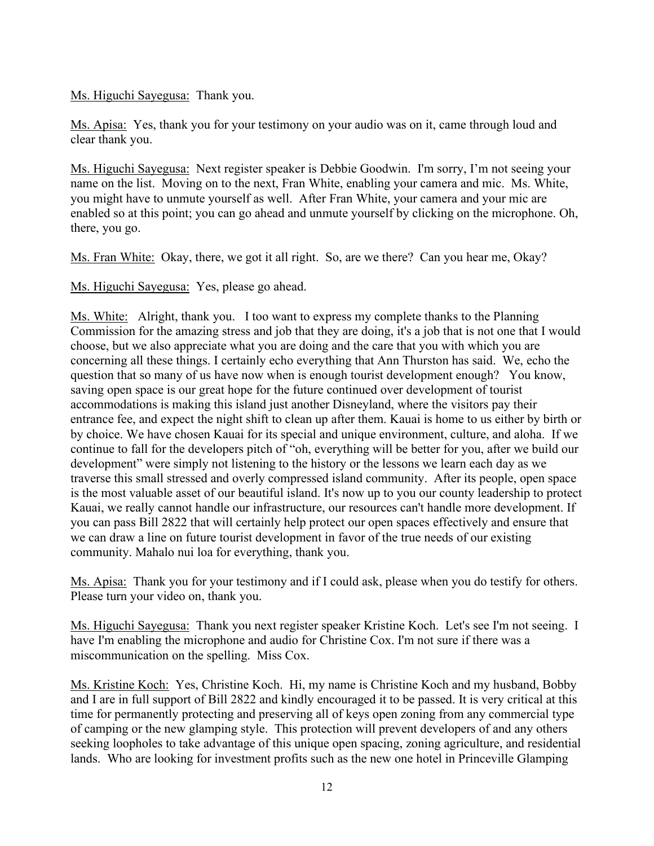### Ms. Higuchi Sayegusa: Thank you.

Ms. Apisa: Yes, thank you for your testimony on your audio was on it, came through loud and clear thank you.

Ms. Higuchi Sayegusa: Next register speaker is Debbie Goodwin. I'm sorry, I'm not seeing your name on the list. Moving on to the next, Fran White, enabling your camera and mic. Ms. White, you might have to unmute yourself as well. After Fran White, your camera and your mic are enabled so at this point; you can go ahead and unmute yourself by clicking on the microphone. Oh, there, you go.

Ms. Fran White: Okay, there, we got it all right. So, are we there? Can you hear me, Okay?

Ms. Higuchi Sayegusa: Yes, please go ahead.

Ms. White: Alright, thank you. I too want to express my complete thanks to the Planning Commission for the amazing stress and job that they are doing, it's a job that is not one that I would choose, but we also appreciate what you are doing and the care that you with which you are concerning all these things. I certainly echo everything that Ann Thurston has said. We, echo the question that so many of us have now when is enough tourist development enough? You know, saving open space is our great hope for the future continued over development of tourist accommodations is making this island just another Disneyland, where the visitors pay their entrance fee, and expect the night shift to clean up after them. Kauai is home to us either by birth or by choice. We have chosen Kauai for its special and unique environment, culture, and aloha. If we continue to fall for the developers pitch of "oh, everything will be better for you, after we build our development" were simply not listening to the history or the lessons we learn each day as we traverse this small stressed and overly compressed island community. After its people, open space is the most valuable asset of our beautiful island. It's now up to you our county leadership to protect Kauai, we really cannot handle our infrastructure, our resources can't handle more development. If you can pass Bill 2822 that will certainly help protect our open spaces effectively and ensure that we can draw a line on future tourist development in favor of the true needs of our existing community. Mahalo nui loa for everything, thank you.

Ms. Apisa: Thank you for your testimony and if I could ask, please when you do testify for others. Please turn your video on, thank you.

Ms. Higuchi Sayegusa: Thank you next register speaker Kristine Koch. Let's see I'm not seeing. I have I'm enabling the microphone and audio for Christine Cox. I'm not sure if there was a miscommunication on the spelling. Miss Cox.

Ms. Kristine Koch: Yes, Christine Koch. Hi, my name is Christine Koch and my husband, Bobby and I are in full support of Bill 2822 and kindly encouraged it to be passed. It is very critical at this time for permanently protecting and preserving all of keys open zoning from any commercial type of camping or the new glamping style. This protection will prevent developers of and any others seeking loopholes to take advantage of this unique open spacing, zoning agriculture, and residential lands. Who are looking for investment profits such as the new one hotel in Princeville Glamping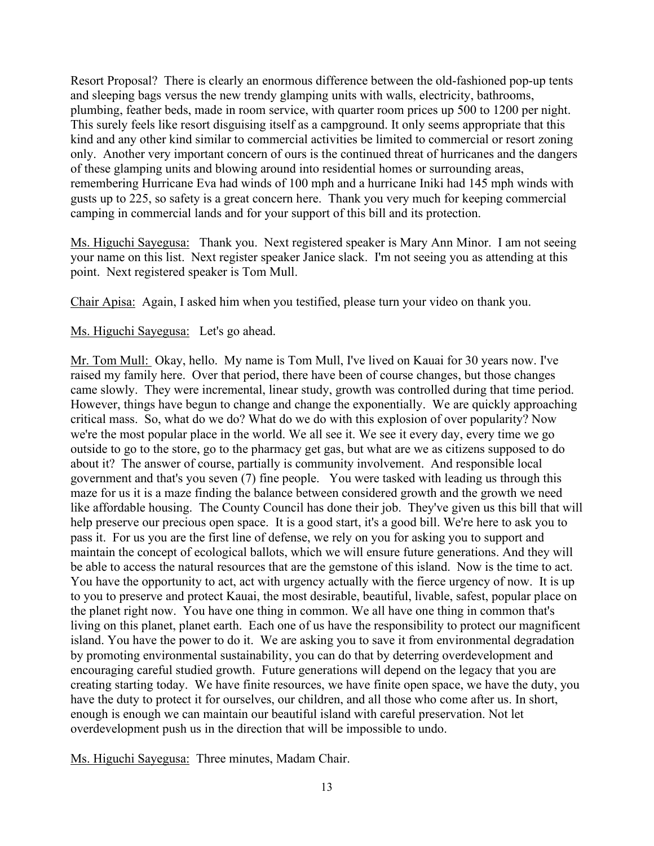Resort Proposal? There is clearly an enormous difference between the old-fashioned pop-up tents and sleeping bags versus the new trendy glamping units with walls, electricity, bathrooms, plumbing, feather beds, made in room service, with quarter room prices up 500 to 1200 per night. This surely feels like resort disguising itself as a campground. It only seems appropriate that this kind and any other kind similar to commercial activities be limited to commercial or resort zoning only. Another very important concern of ours is the continued threat of hurricanes and the dangers of these glamping units and blowing around into residential homes or surrounding areas, remembering Hurricane Eva had winds of 100 mph and a hurricane Iniki had 145 mph winds with gusts up to 225, so safety is a great concern here. Thank you very much for keeping commercial camping in commercial lands and for your support of this bill and its protection.

Ms. Higuchi Sayegusa: Thank you. Next registered speaker is Mary Ann Minor. I am not seeing your name on this list. Next register speaker Janice slack. I'm not seeing you as attending at this point. Next registered speaker is Tom Mull.

Chair Apisa: Again, I asked him when you testified, please turn your video on thank you.

### Ms. Higuchi Sayegusa: Let's go ahead.

Mr. Tom Mull: Okay, hello. My name is Tom Mull, I've lived on Kauai for 30 years now. I've raised my family here. Over that period, there have been of course changes, but those changes came slowly. They were incremental, linear study, growth was controlled during that time period. However, things have begun to change and change the exponentially. We are quickly approaching critical mass. So, what do we do? What do we do with this explosion of over popularity? Now we're the most popular place in the world. We all see it. We see it every day, every time we go outside to go to the store, go to the pharmacy get gas, but what are we as citizens supposed to do about it? The answer of course, partially is community involvement. And responsible local government and that's you seven (7) fine people. You were tasked with leading us through this maze for us it is a maze finding the balance between considered growth and the growth we need like affordable housing. The County Council has done their job. They've given us this bill that will help preserve our precious open space. It is a good start, it's a good bill. We're here to ask you to pass it. For us you are the first line of defense, we rely on you for asking you to support and maintain the concept of ecological ballots, which we will ensure future generations. And they will be able to access the natural resources that are the gemstone of this island. Now is the time to act. You have the opportunity to act, act with urgency actually with the fierce urgency of now. It is up to you to preserve and protect Kauai, the most desirable, beautiful, livable, safest, popular place on the planet right now. You have one thing in common. We all have one thing in common that's living on this planet, planet earth. Each one of us have the responsibility to protect our magnificent island. You have the power to do it. We are asking you to save it from environmental degradation by promoting environmental sustainability, you can do that by deterring overdevelopment and encouraging careful studied growth. Future generations will depend on the legacy that you are creating starting today. We have finite resources, we have finite open space, we have the duty, you have the duty to protect it for ourselves, our children, and all those who come after us. In short, enough is enough we can maintain our beautiful island with careful preservation. Not let overdevelopment push us in the direction that will be impossible to undo.

Ms. Higuchi Sayegusa: Three minutes, Madam Chair.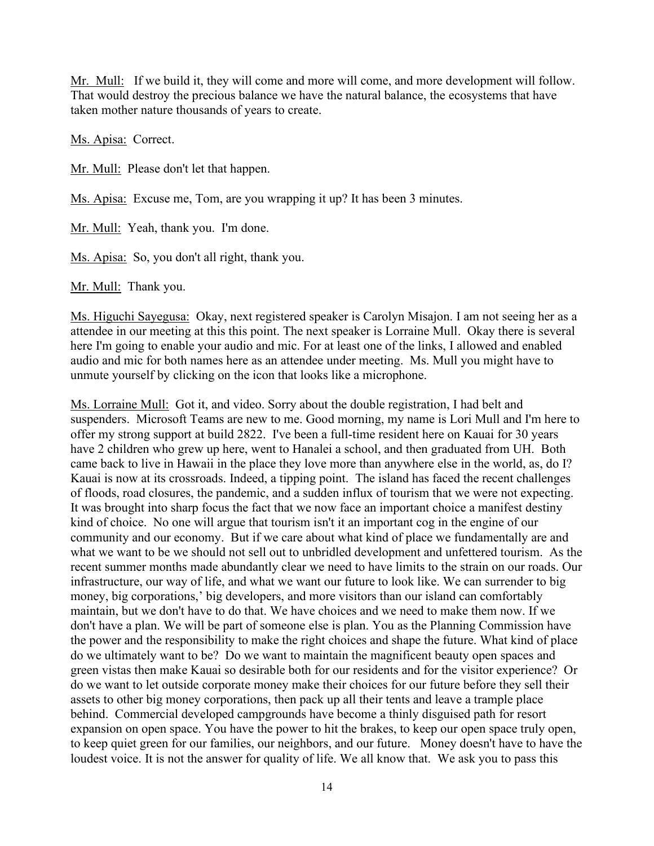Mr. Mull: If we build it, they will come and more will come, and more development will follow. That would destroy the precious balance we have the natural balance, the ecosystems that have taken mother nature thousands of years to create.

Ms. Apisa: Correct.

Mr. Mull: Please don't let that happen.

Ms. Apisa: Excuse me, Tom, are you wrapping it up? It has been 3 minutes.

Mr. Mull: Yeah, thank you. I'm done.

Ms. Apisa: So, you don't all right, thank you.

Mr. Mull: Thank you.

Ms. Higuchi Sayegusa: Okay, next registered speaker is Carolyn Misajon. I am not seeing her as a attendee in our meeting at this this point. The next speaker is Lorraine Mull. Okay there is several here I'm going to enable your audio and mic. For at least one of the links, I allowed and enabled audio and mic for both names here as an attendee under meeting. Ms. Mull you might have to unmute yourself by clicking on the icon that looks like a microphone.

Ms. Lorraine Mull: Got it, and video. Sorry about the double registration, I had belt and suspenders. Microsoft Teams are new to me. Good morning, my name is Lori Mull and I'm here to offer my strong support at build 2822. I've been a full-time resident here on Kauai for 30 years have 2 children who grew up here, went to Hanalei a school, and then graduated from UH. Both came back to live in Hawaii in the place they love more than anywhere else in the world, as, do I? Kauai is now at its crossroads. Indeed, a tipping point. The island has faced the recent challenges of floods, road closures, the pandemic, and a sudden influx of tourism that we were not expecting. It was brought into sharp focus the fact that we now face an important choice a manifest destiny kind of choice. No one will argue that tourism isn't it an important cog in the engine of our community and our economy. But if we care about what kind of place we fundamentally are and what we want to be we should not sell out to unbridled development and unfettered tourism. As the recent summer months made abundantly clear we need to have limits to the strain on our roads. Our infrastructure, our way of life, and what we want our future to look like. We can surrender to big money, big corporations,' big developers, and more visitors than our island can comfortably maintain, but we don't have to do that. We have choices and we need to make them now. If we don't have a plan. We will be part of someone else is plan. You as the Planning Commission have the power and the responsibility to make the right choices and shape the future. What kind of place do we ultimately want to be? Do we want to maintain the magnificent beauty open spaces and green vistas then make Kauai so desirable both for our residents and for the visitor experience? Or do we want to let outside corporate money make their choices for our future before they sell their assets to other big money corporations, then pack up all their tents and leave a trample place behind. Commercial developed campgrounds have become a thinly disguised path for resort expansion on open space. You have the power to hit the brakes, to keep our open space truly open, to keep quiet green for our families, our neighbors, and our future. Money doesn't have to have the loudest voice. It is not the answer for quality of life. We all know that. We ask you to pass this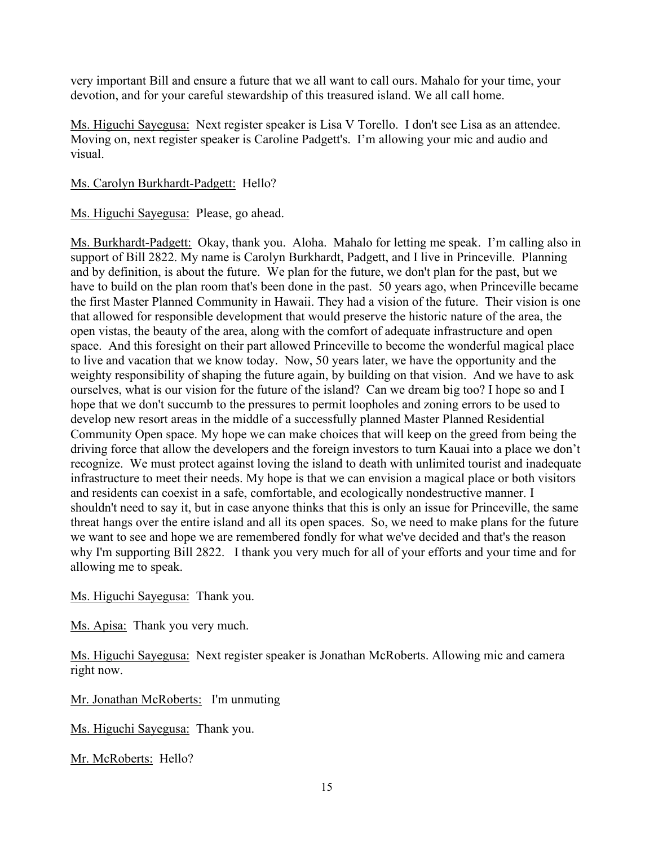very important Bill and ensure a future that we all want to call ours. Mahalo for your time, your devotion, and for your careful stewardship of this treasured island. We all call home.

Ms. Higuchi Sayegusa: Next register speaker is Lisa V Torello. I don't see Lisa as an attendee. Moving on, next register speaker is Caroline Padgett's. I'm allowing your mic and audio and visual.

Ms. Carolyn Burkhardt-Padgett: Hello?

Ms. Higuchi Sayegusa: Please, go ahead.

Ms. Burkhardt-Padgett: Okay, thank you. Aloha. Mahalo for letting me speak. I'm calling also in support of Bill 2822. My name is Carolyn Burkhardt, Padgett, and I live in Princeville. Planning and by definition, is about the future. We plan for the future, we don't plan for the past, but we have to build on the plan room that's been done in the past. 50 years ago, when Princeville became the first Master Planned Community in Hawaii. They had a vision of the future. Their vision is one that allowed for responsible development that would preserve the historic nature of the area, the open vistas, the beauty of the area, along with the comfort of adequate infrastructure and open space. And this foresight on their part allowed Princeville to become the wonderful magical place to live and vacation that we know today. Now, 50 years later, we have the opportunity and the weighty responsibility of shaping the future again, by building on that vision. And we have to ask ourselves, what is our vision for the future of the island? Can we dream big too? I hope so and I hope that we don't succumb to the pressures to permit loopholes and zoning errors to be used to develop new resort areas in the middle of a successfully planned Master Planned Residential Community Open space. My hope we can make choices that will keep on the greed from being the driving force that allow the developers and the foreign investors to turn Kauai into a place we don't recognize. We must protect against loving the island to death with unlimited tourist and inadequate infrastructure to meet their needs. My hope is that we can envision a magical place or both visitors and residents can coexist in a safe, comfortable, and ecologically nondestructive manner. I shouldn't need to say it, but in case anyone thinks that this is only an issue for Princeville, the same threat hangs over the entire island and all its open spaces. So, we need to make plans for the future we want to see and hope we are remembered fondly for what we've decided and that's the reason why I'm supporting Bill 2822. I thank you very much for all of your efforts and your time and for allowing me to speak.

Ms. Higuchi Sayegusa: Thank you.

Ms. Apisa: Thank you very much.

Ms. Higuchi Sayegusa: Next register speaker is Jonathan McRoberts. Allowing mic and camera right now.

Mr. Jonathan McRoberts: I'm unmuting

Ms. Higuchi Sayegusa: Thank you.

Mr. McRoberts: Hello?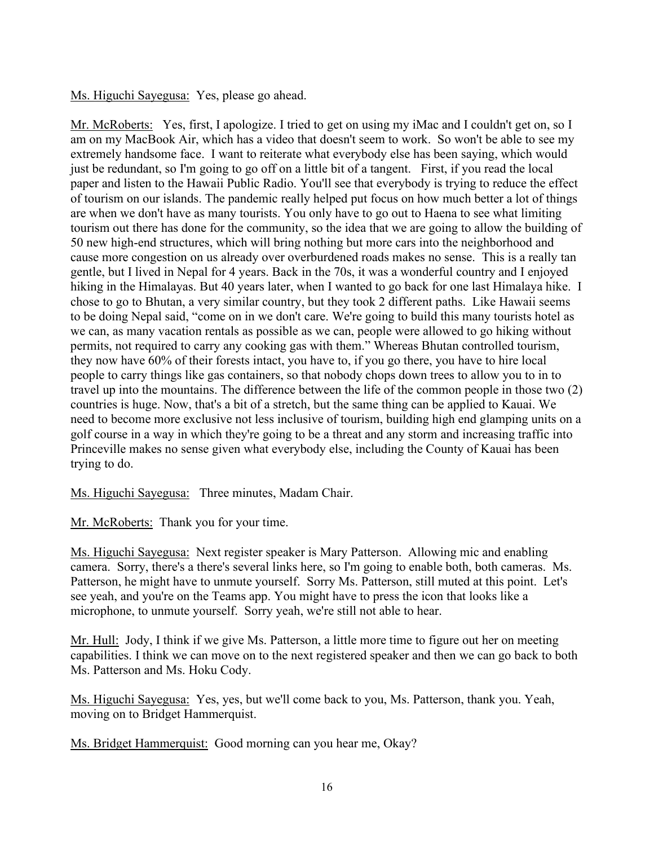Ms. Higuchi Sayegusa: Yes, please go ahead.

Mr. McRoberts: Yes, first, I apologize. I tried to get on using my iMac and I couldn't get on, so I am on my MacBook Air, which has a video that doesn't seem to work. So won't be able to see my extremely handsome face. I want to reiterate what everybody else has been saying, which would just be redundant, so I'm going to go off on a little bit of a tangent. First, if you read the local paper and listen to the Hawaii Public Radio. You'll see that everybody is trying to reduce the effect of tourism on our islands. The pandemic really helped put focus on how much better a lot of things are when we don't have as many tourists. You only have to go out to Haena to see what limiting tourism out there has done for the community, so the idea that we are going to allow the building of 50 new high-end structures, which will bring nothing but more cars into the neighborhood and cause more congestion on us already over overburdened roads makes no sense. This is a really tan gentle, but I lived in Nepal for 4 years. Back in the 70s, it was a wonderful country and I enjoyed hiking in the Himalayas. But 40 years later, when I wanted to go back for one last Himalaya hike. I chose to go to Bhutan, a very similar country, but they took 2 different paths. Like Hawaii seems to be doing Nepal said, "come on in we don't care. We're going to build this many tourists hotel as we can, as many vacation rentals as possible as we can, people were allowed to go hiking without permits, not required to carry any cooking gas with them." Whereas Bhutan controlled tourism, they now have 60% of their forests intact, you have to, if you go there, you have to hire local people to carry things like gas containers, so that nobody chops down trees to allow you to in to travel up into the mountains. The difference between the life of the common people in those two (2) countries is huge. Now, that's a bit of a stretch, but the same thing can be applied to Kauai. We need to become more exclusive not less inclusive of tourism, building high end glamping units on a golf course in a way in which they're going to be a threat and any storm and increasing traffic into Princeville makes no sense given what everybody else, including the County of Kauai has been trying to do.

Ms. Higuchi Sayegusa: Three minutes, Madam Chair.

Mr. McRoberts: Thank you for your time.

Ms. Higuchi Sayegusa: Next register speaker is Mary Patterson. Allowing mic and enabling camera. Sorry, there's a there's several links here, so I'm going to enable both, both cameras. Ms. Patterson, he might have to unmute yourself. Sorry Ms. Patterson, still muted at this point. Let's see yeah, and you're on the Teams app. You might have to press the icon that looks like a microphone, to unmute yourself. Sorry yeah, we're still not able to hear.

Mr. Hull: Jody, I think if we give Ms. Patterson, a little more time to figure out her on meeting capabilities. I think we can move on to the next registered speaker and then we can go back to both Ms. Patterson and Ms. Hoku Cody.

Ms. Higuchi Sayegusa: Yes, yes, but we'll come back to you, Ms. Patterson, thank you. Yeah, moving on to Bridget Hammerquist.

Ms. Bridget Hammerquist: Good morning can you hear me, Okay?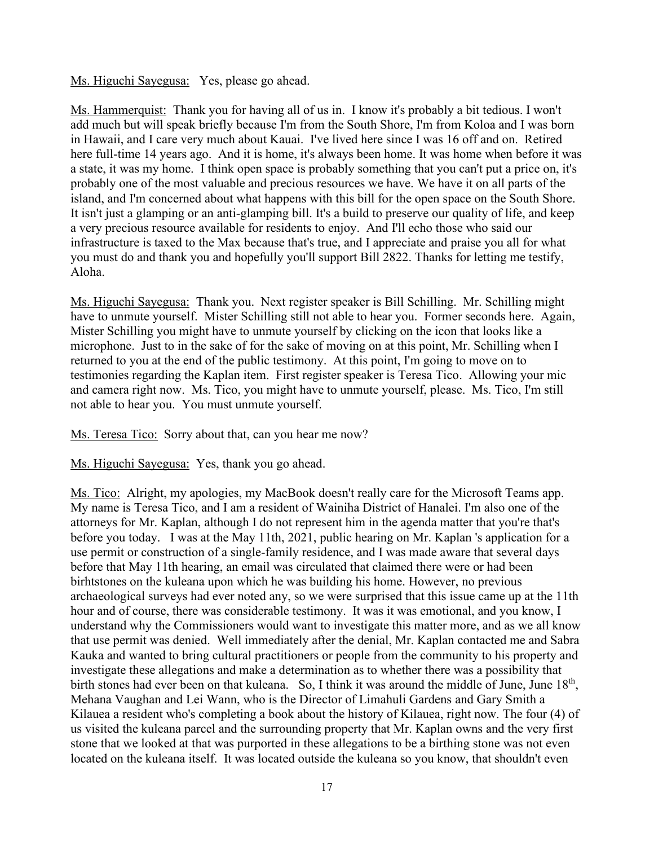Ms. Higuchi Sayegusa: Yes, please go ahead.

Ms. Hammerquist: Thank you for having all of us in. I know it's probably a bit tedious. I won't add much but will speak briefly because I'm from the South Shore, I'm from Koloa and I was born in Hawaii, and I care very much about Kauai. I've lived here since I was 16 off and on. Retired here full-time 14 years ago. And it is home, it's always been home. It was home when before it was a state, it was my home. I think open space is probably something that you can't put a price on, it's probably one of the most valuable and precious resources we have. We have it on all parts of the island, and I'm concerned about what happens with this bill for the open space on the South Shore. It isn't just a glamping or an anti-glamping bill. It's a build to preserve our quality of life, and keep a very precious resource available for residents to enjoy. And I'll echo those who said our infrastructure is taxed to the Max because that's true, and I appreciate and praise you all for what you must do and thank you and hopefully you'll support Bill 2822. Thanks for letting me testify, Aloha.

Ms. Higuchi Sayegusa: Thank you. Next register speaker is Bill Schilling. Mr. Schilling might have to unmute yourself. Mister Schilling still not able to hear you. Former seconds here. Again, Mister Schilling you might have to unmute yourself by clicking on the icon that looks like a microphone. Just to in the sake of for the sake of moving on at this point, Mr. Schilling when I returned to you at the end of the public testimony. At this point, I'm going to move on to testimonies regarding the Kaplan item. First register speaker is Teresa Tico. Allowing your mic and camera right now. Ms. Tico, you might have to unmute yourself, please. Ms. Tico, I'm still not able to hear you. You must unmute yourself.

Ms. Teresa Tico: Sorry about that, can you hear me now?

Ms. Higuchi Sayegusa: Yes, thank you go ahead.

Ms. Tico: Alright, my apologies, my MacBook doesn't really care for the Microsoft Teams app. My name is Teresa Tico, and I am a resident of Wainiha District of Hanalei. I'm also one of the attorneys for Mr. Kaplan, although I do not represent him in the agenda matter that you're that's before you today. I was at the May 11th, 2021, public hearing on Mr. Kaplan 's application for a use permit or construction of a single-family residence, and I was made aware that several days before that May 11th hearing, an email was circulated that claimed there were or had been birhtstones on the kuleana upon which he was building his home. However, no previous archaeological surveys had ever noted any, so we were surprised that this issue came up at the 11th hour and of course, there was considerable testimony. It was it was emotional, and you know, I understand why the Commissioners would want to investigate this matter more, and as we all know that use permit was denied. Well immediately after the denial, Mr. Kaplan contacted me and Sabra Kauka and wanted to bring cultural practitioners or people from the community to his property and investigate these allegations and make a determination as to whether there was a possibility that birth stones had ever been on that kuleana. So, I think it was around the middle of June, June 18<sup>th</sup>, Mehana Vaughan and Lei Wann, who is the Director of Limahuli Gardens and Gary Smith a Kilauea a resident who's completing a book about the history of Kilauea, right now. The four (4) of us visited the kuleana parcel and the surrounding property that Mr. Kaplan owns and the very first stone that we looked at that was purported in these allegations to be a birthing stone was not even located on the kuleana itself. It was located outside the kuleana so you know, that shouldn't even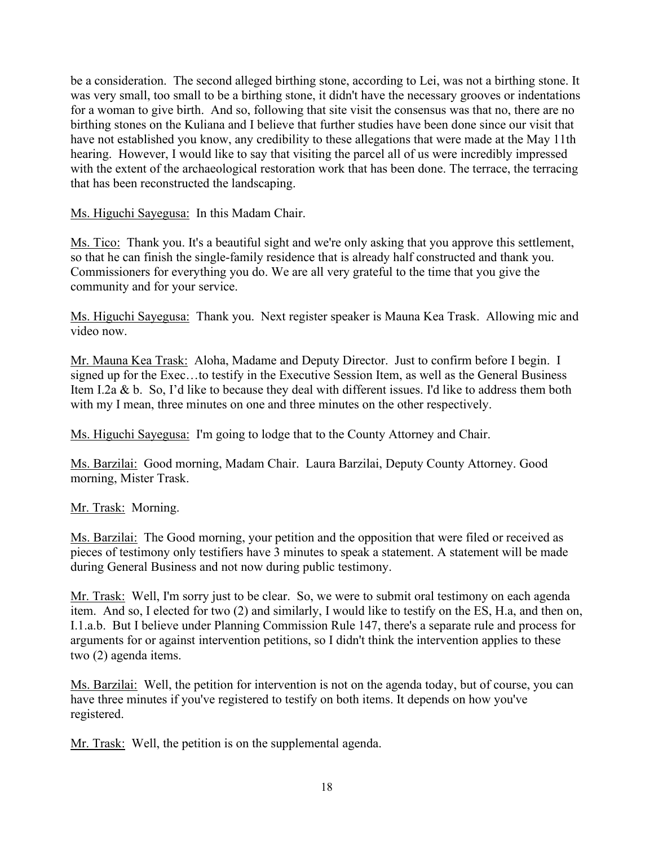be a consideration. The second alleged birthing stone, according to Lei, was not a birthing stone. It was very small, too small to be a birthing stone, it didn't have the necessary grooves or indentations for a woman to give birth. And so, following that site visit the consensus was that no, there are no birthing stones on the Kuliana and I believe that further studies have been done since our visit that have not established you know, any credibility to these allegations that were made at the May 11th hearing. However, I would like to say that visiting the parcel all of us were incredibly impressed with the extent of the archaeological restoration work that has been done. The terrace, the terracing that has been reconstructed the landscaping.

Ms. Higuchi Sayegusa: In this Madam Chair.

Ms. Tico: Thank you. It's a beautiful sight and we're only asking that you approve this settlement, so that he can finish the single-family residence that is already half constructed and thank you. Commissioners for everything you do. We are all very grateful to the time that you give the community and for your service.

Ms. Higuchi Sayegusa: Thank you. Next register speaker is Mauna Kea Trask. Allowing mic and video now.

Mr. Mauna Kea Trask: Aloha, Madame and Deputy Director. Just to confirm before I begin. I signed up for the Exec…to testify in the Executive Session Item, as well as the General Business Item I.2a & b. So, I'd like to because they deal with different issues. I'd like to address them both with my I mean, three minutes on one and three minutes on the other respectively.

Ms. Higuchi Sayegusa: I'm going to lodge that to the County Attorney and Chair.

Ms. Barzilai: Good morning, Madam Chair. Laura Barzilai, Deputy County Attorney. Good morning, Mister Trask.

### Mr. Trask: Morning.

Ms. Barzilai: The Good morning, your petition and the opposition that were filed or received as pieces of testimony only testifiers have 3 minutes to speak a statement. A statement will be made during General Business and not now during public testimony.

Mr. Trask: Well, I'm sorry just to be clear. So, we were to submit oral testimony on each agenda item. And so, I elected for two (2) and similarly, I would like to testify on the ES, H.a, and then on, I.1.a.b. But I believe under Planning Commission Rule 147, there's a separate rule and process for arguments for or against intervention petitions, so I didn't think the intervention applies to these two (2) agenda items.

Ms. Barzilai: Well, the petition for intervention is not on the agenda today, but of course, you can have three minutes if you've registered to testify on both items. It depends on how you've registered.

Mr. Trask: Well, the petition is on the supplemental agenda.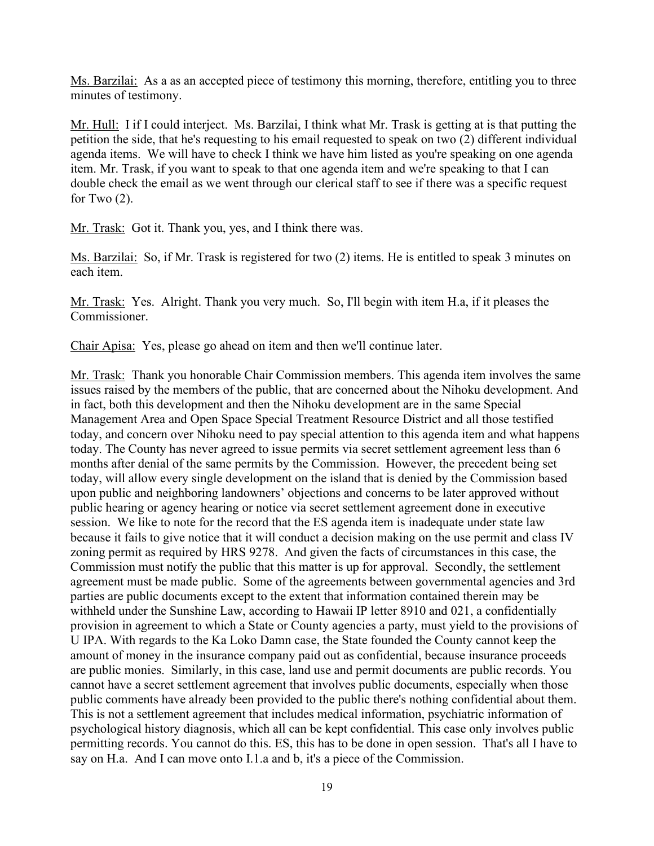Ms. Barzilai: As a as an accepted piece of testimony this morning, therefore, entitling you to three minutes of testimony.

Mr. Hull: I if I could interject. Ms. Barzilai, I think what Mr. Trask is getting at is that putting the petition the side, that he's requesting to his email requested to speak on two (2) different individual agenda items. We will have to check I think we have him listed as you're speaking on one agenda item. Mr. Trask, if you want to speak to that one agenda item and we're speaking to that I can double check the email as we went through our clerical staff to see if there was a specific request for Two  $(2)$ .

Mr. Trask: Got it. Thank you, yes, and I think there was.

Ms. Barzilai: So, if Mr. Trask is registered for two (2) items. He is entitled to speak 3 minutes on each item.

Mr. Trask: Yes. Alright. Thank you very much. So, I'll begin with item H.a, if it pleases the Commissioner.

Chair Apisa: Yes, please go ahead on item and then we'll continue later.

Mr. Trask: Thank you honorable Chair Commission members. This agenda item involves the same issues raised by the members of the public, that are concerned about the Nihoku development. And in fact, both this development and then the Nihoku development are in the same Special Management Area and Open Space Special Treatment Resource District and all those testified today, and concern over Nihoku need to pay special attention to this agenda item and what happens today. The County has never agreed to issue permits via secret settlement agreement less than 6 months after denial of the same permits by the Commission. However, the precedent being set today, will allow every single development on the island that is denied by the Commission based upon public and neighboring landowners' objections and concerns to be later approved without public hearing or agency hearing or notice via secret settlement agreement done in executive session. We like to note for the record that the ES agenda item is inadequate under state law because it fails to give notice that it will conduct a decision making on the use permit and class IV zoning permit as required by HRS 9278. And given the facts of circumstances in this case, the Commission must notify the public that this matter is up for approval. Secondly, the settlement agreement must be made public. Some of the agreements between governmental agencies and 3rd parties are public documents except to the extent that information contained therein may be withheld under the Sunshine Law, according to Hawaii IP letter 8910 and 021, a confidentially provision in agreement to which a State or County agencies a party, must yield to the provisions of U IPA. With regards to the Ka Loko Damn case, the State founded the County cannot keep the amount of money in the insurance company paid out as confidential, because insurance proceeds are public monies. Similarly, in this case, land use and permit documents are public records. You cannot have a secret settlement agreement that involves public documents, especially when those public comments have already been provided to the public there's nothing confidential about them. This is not a settlement agreement that includes medical information, psychiatric information of psychological history diagnosis, which all can be kept confidential. This case only involves public permitting records. You cannot do this. ES, this has to be done in open session. That's all I have to say on H.a. And I can move onto I.1.a and b, it's a piece of the Commission.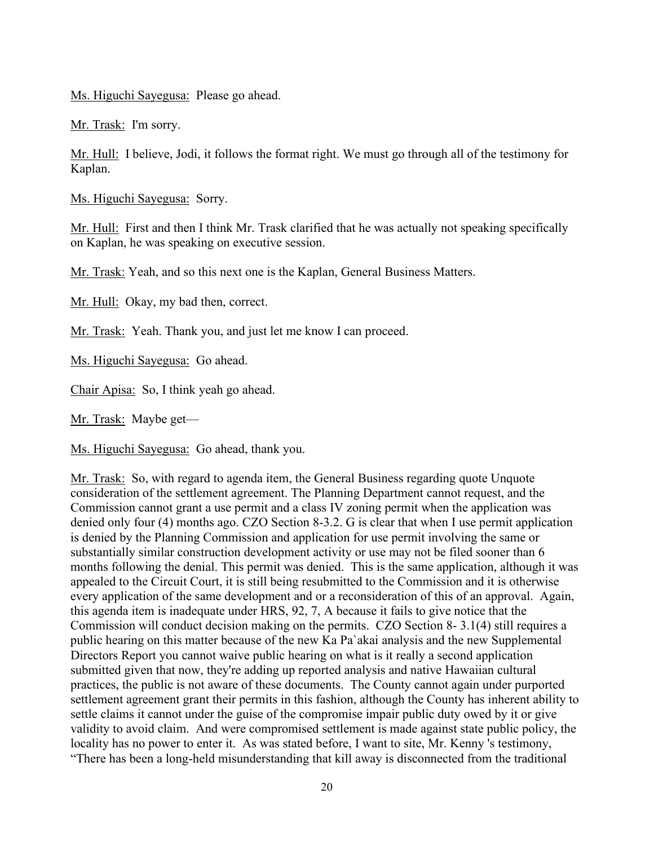Ms. Higuchi Sayegusa: Please go ahead.

Mr. Trask: I'm sorry.

Mr. Hull: I believe, Jodi, it follows the format right. We must go through all of the testimony for Kaplan.

Ms. Higuchi Sayegusa: Sorry.

Mr. Hull: First and then I think Mr. Trask clarified that he was actually not speaking specifically on Kaplan, he was speaking on executive session.

Mr. Trask: Yeah, and so this next one is the Kaplan, General Business Matters.

Mr. Hull: Okay, my bad then, correct.

Mr. Trask: Yeah. Thank you, and just let me know I can proceed.

Ms. Higuchi Sayegusa: Go ahead.

Chair Apisa: So, I think yeah go ahead.

Mr. Trask: Maybe get—

Ms. Higuchi Sayegusa: Go ahead, thank you.

Mr. Trask: So, with regard to agenda item, the General Business regarding quote Unquote consideration of the settlement agreement. The Planning Department cannot request, and the Commission cannot grant a use permit and a class IV zoning permit when the application was denied only four (4) months ago. CZO Section 8-3.2. G is clear that when I use permit application is denied by the Planning Commission and application for use permit involving the same or substantially similar construction development activity or use may not be filed sooner than 6 months following the denial. This permit was denied. This is the same application, although it was appealed to the Circuit Court, it is still being resubmitted to the Commission and it is otherwise every application of the same development and or a reconsideration of this of an approval. Again, this agenda item is inadequate under HRS, 92, 7, A because it fails to give notice that the Commission will conduct decision making on the permits. CZO Section 8- 3.1(4) still requires a public hearing on this matter because of the new Ka Pa`akai analysis and the new Supplemental Directors Report you cannot waive public hearing on what is it really a second application submitted given that now, they're adding up reported analysis and native Hawaiian cultural practices, the public is not aware of these documents. The County cannot again under purported settlement agreement grant their permits in this fashion, although the County has inherent ability to settle claims it cannot under the guise of the compromise impair public duty owed by it or give validity to avoid claim. And were compromised settlement is made against state public policy, the locality has no power to enter it. As was stated before, I want to site, Mr. Kenny 's testimony, "There has been a long-held misunderstanding that kill away is disconnected from the traditional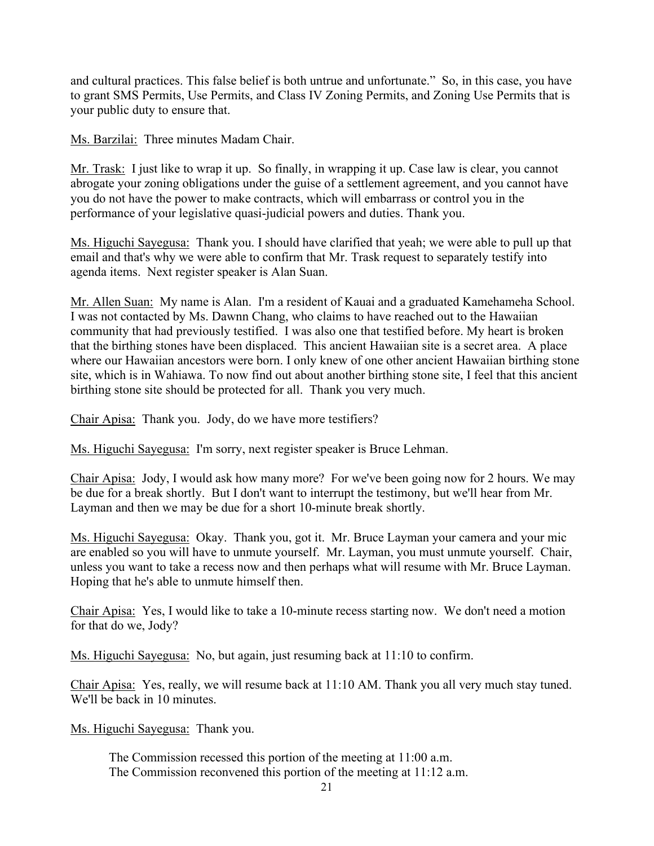and cultural practices. This false belief is both untrue and unfortunate." So, in this case, you have to grant SMS Permits, Use Permits, and Class IV Zoning Permits, and Zoning Use Permits that is your public duty to ensure that.

Ms. Barzilai: Three minutes Madam Chair.

Mr. Trask: I just like to wrap it up. So finally, in wrapping it up. Case law is clear, you cannot abrogate your zoning obligations under the guise of a settlement agreement, and you cannot have you do not have the power to make contracts, which will embarrass or control you in the performance of your legislative quasi-judicial powers and duties. Thank you.

Ms. Higuchi Sayegusa: Thank you. I should have clarified that yeah; we were able to pull up that email and that's why we were able to confirm that Mr. Trask request to separately testify into agenda items. Next register speaker is Alan Suan.

Mr. Allen Suan: My name is Alan. I'm a resident of Kauai and a graduated Kamehameha School. I was not contacted by Ms. Dawnn Chang, who claims to have reached out to the Hawaiian community that had previously testified. I was also one that testified before. My heart is broken that the birthing stones have been displaced. This ancient Hawaiian site is a secret area. A place where our Hawaiian ancestors were born. I only knew of one other ancient Hawaiian birthing stone site, which is in Wahiawa. To now find out about another birthing stone site, I feel that this ancient birthing stone site should be protected for all. Thank you very much.

Chair Apisa: Thank you. Jody, do we have more testifiers?

Ms. Higuchi Sayegusa: I'm sorry, next register speaker is Bruce Lehman.

Chair Apisa: Jody, I would ask how many more? For we've been going now for 2 hours. We may be due for a break shortly. But I don't want to interrupt the testimony, but we'll hear from Mr. Layman and then we may be due for a short 10-minute break shortly.

Ms. Higuchi Sayegusa: Okay. Thank you, got it. Mr. Bruce Layman your camera and your mic are enabled so you will have to unmute yourself. Mr. Layman, you must unmute yourself. Chair, unless you want to take a recess now and then perhaps what will resume with Mr. Bruce Layman. Hoping that he's able to unmute himself then.

Chair Apisa: Yes, I would like to take a 10-minute recess starting now. We don't need a motion for that do we, Jody?

Ms. Higuchi Sayegusa: No, but again, just resuming back at 11:10 to confirm.

Chair Apisa: Yes, really, we will resume back at 11:10 AM. Thank you all very much stay tuned. We'll be back in 10 minutes.

Ms. Higuchi Sayegusa: Thank you.

 The Commission recessed this portion of the meeting at 11:00 a.m. The Commission reconvened this portion of the meeting at 11:12 a.m.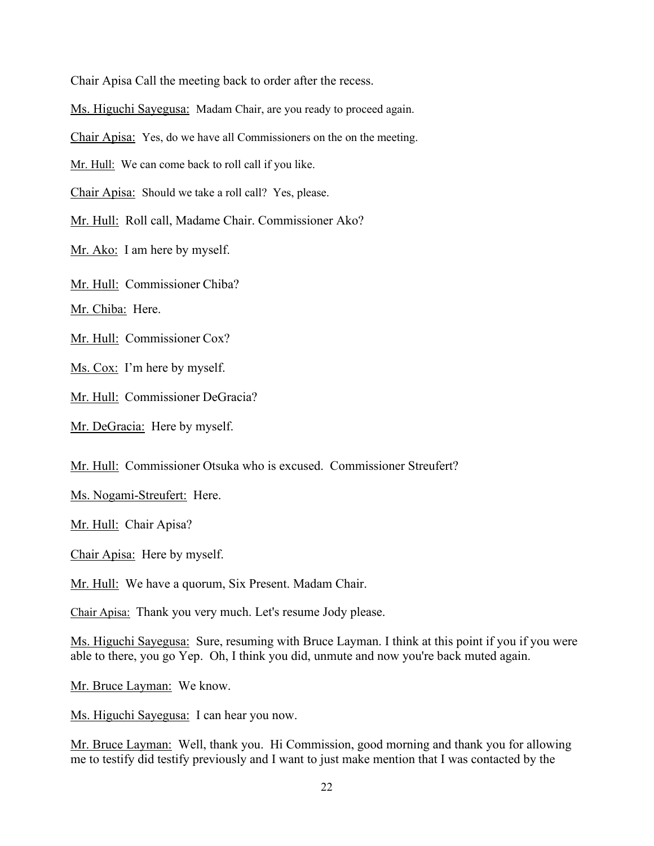Chair Apisa Call the meeting back to order after the recess.

Ms. Higuchi Sayegusa: Madam Chair, are you ready to proceed again.

Chair Apisa: Yes, do we have all Commissioners on the on the meeting.

Mr. Hull: We can come back to roll call if you like.

Chair Apisa: Should we take a roll call? Yes, please.

Mr. Hull: Roll call, Madame Chair. Commissioner Ako?

Mr. Ako: I am here by myself.

Mr. Hull: Commissioner Chiba?

Mr. Chiba: Here.

Mr. Hull: Commissioner Cox?

Ms. Cox: I'm here by myself.

Mr. Hull: Commissioner DeGracia?

Mr. DeGracia: Here by myself.

Mr. Hull: Commissioner Otsuka who is excused. Commissioner Streufert?

Ms. Nogami-Streufert: Here.

Mr. Hull: Chair Apisa?

Chair Apisa: Here by myself.

Mr. Hull: We have a quorum, Six Present. Madam Chair.

Chair Apisa: Thank you very much. Let's resume Jody please.

Ms. Higuchi Sayegusa: Sure, resuming with Bruce Layman. I think at this point if you if you were able to there, you go Yep. Oh, I think you did, unmute and now you're back muted again.

Mr. Bruce Layman: We know.

Ms. Higuchi Sayegusa: I can hear you now.

Mr. Bruce Layman: Well, thank you. Hi Commission, good morning and thank you for allowing me to testify did testify previously and I want to just make mention that I was contacted by the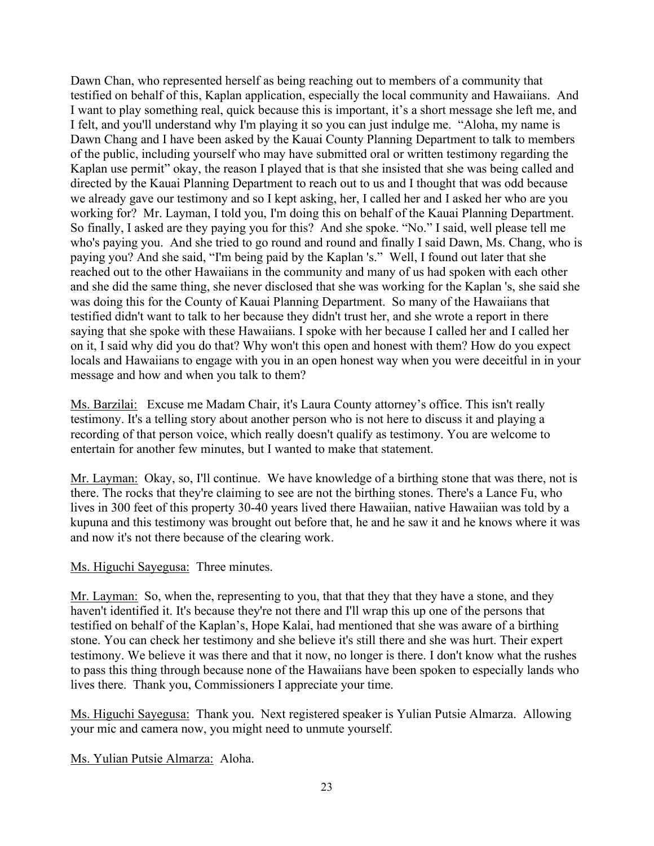Dawn Chan, who represented herself as being reaching out to members of a community that testified on behalf of this, Kaplan application, especially the local community and Hawaiians. And I want to play something real, quick because this is important, it's a short message she left me, and I felt, and you'll understand why I'm playing it so you can just indulge me. "Aloha, my name is Dawn Chang and I have been asked by the Kauai County Planning Department to talk to members of the public, including yourself who may have submitted oral or written testimony regarding the Kaplan use permit" okay, the reason I played that is that she insisted that she was being called and directed by the Kauai Planning Department to reach out to us and I thought that was odd because we already gave our testimony and so I kept asking, her, I called her and I asked her who are you working for? Mr. Layman, I told you, I'm doing this on behalf of the Kauai Planning Department. So finally, I asked are they paying you for this? And she spoke. "No." I said, well please tell me who's paying you. And she tried to go round and round and finally I said Dawn, Ms. Chang, who is paying you? And she said, "I'm being paid by the Kaplan 's." Well, I found out later that she reached out to the other Hawaiians in the community and many of us had spoken with each other and she did the same thing, she never disclosed that she was working for the Kaplan 's, she said she was doing this for the County of Kauai Planning Department. So many of the Hawaiians that testified didn't want to talk to her because they didn't trust her, and she wrote a report in there saying that she spoke with these Hawaiians. I spoke with her because I called her and I called her on it, I said why did you do that? Why won't this open and honest with them? How do you expect locals and Hawaiians to engage with you in an open honest way when you were deceitful in in your message and how and when you talk to them?

Ms. Barzilai: Excuse me Madam Chair, it's Laura County attorney's office. This isn't really testimony. It's a telling story about another person who is not here to discuss it and playing a recording of that person voice, which really doesn't qualify as testimony. You are welcome to entertain for another few minutes, but I wanted to make that statement.

Mr. Layman: Okay, so, I'll continue. We have knowledge of a birthing stone that was there, not is there. The rocks that they're claiming to see are not the birthing stones. There's a Lance Fu, who lives in 300 feet of this property 30-40 years lived there Hawaiian, native Hawaiian was told by a kupuna and this testimony was brought out before that, he and he saw it and he knows where it was and now it's not there because of the clearing work.

### Ms. Higuchi Sayegusa: Three minutes.

Mr. Layman: So, when the, representing to you, that that they that they have a stone, and they haven't identified it. It's because they're not there and I'll wrap this up one of the persons that testified on behalf of the Kaplan's, Hope Kalai, had mentioned that she was aware of a birthing stone. You can check her testimony and she believe it's still there and she was hurt. Their expert testimony. We believe it was there and that it now, no longer is there. I don't know what the rushes to pass this thing through because none of the Hawaiians have been spoken to especially lands who lives there. Thank you, Commissioners I appreciate your time.

Ms. Higuchi Sayegusa: Thank you. Next registered speaker is Yulian Putsie Almarza. Allowing your mic and camera now, you might need to unmute yourself.

Ms. Yulian Putsie Almarza: Aloha.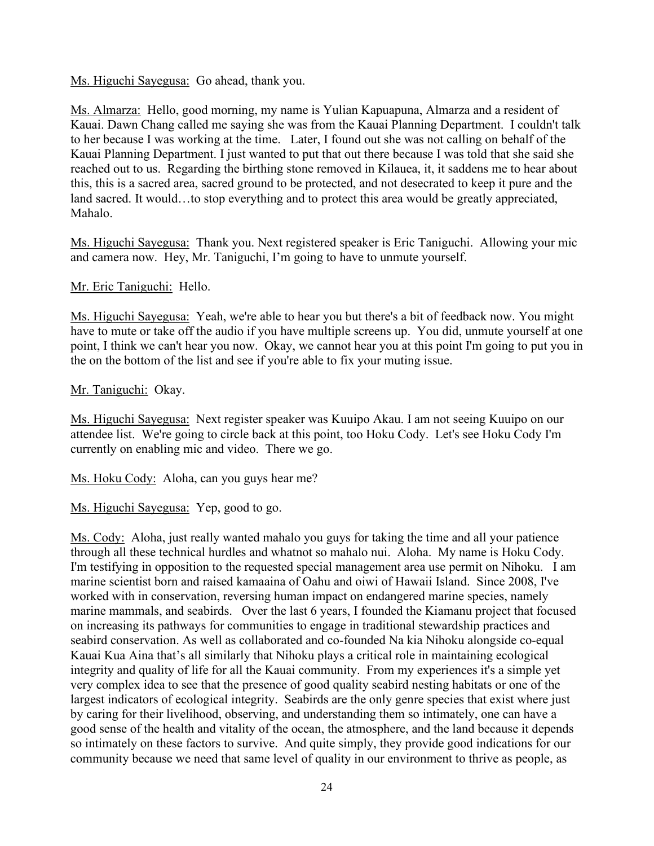Ms. Higuchi Sayegusa: Go ahead, thank you.

Ms. Almarza: Hello, good morning, my name is Yulian Kapuapuna, Almarza and a resident of Kauai. Dawn Chang called me saying she was from the Kauai Planning Department. I couldn't talk to her because I was working at the time. Later, I found out she was not calling on behalf of the Kauai Planning Department. I just wanted to put that out there because I was told that she said she reached out to us. Regarding the birthing stone removed in Kilauea, it, it saddens me to hear about this, this is a sacred area, sacred ground to be protected, and not desecrated to keep it pure and the land sacred. It would…to stop everything and to protect this area would be greatly appreciated, Mahalo.

Ms. Higuchi Sayegusa: Thank you. Next registered speaker is Eric Taniguchi. Allowing your mic and camera now. Hey, Mr. Taniguchi, I'm going to have to unmute yourself.

Mr. Eric Taniguchi: Hello.

Ms. Higuchi Sayegusa: Yeah, we're able to hear you but there's a bit of feedback now. You might have to mute or take off the audio if you have multiple screens up. You did, unmute yourself at one point, I think we can't hear you now. Okay, we cannot hear you at this point I'm going to put you in the on the bottom of the list and see if you're able to fix your muting issue.

### Mr. Taniguchi: Okay.

Ms. Higuchi Sayegusa: Next register speaker was Kuuipo Akau. I am not seeing Kuuipo on our attendee list. We're going to circle back at this point, too Hoku Cody. Let's see Hoku Cody I'm currently on enabling mic and video. There we go.

Ms. Hoku Cody: Aloha, can you guys hear me?

Ms. Higuchi Sayegusa: Yep, good to go.

Ms. Cody: Aloha, just really wanted mahalo you guys for taking the time and all your patience through all these technical hurdles and whatnot so mahalo nui. Aloha. My name is Hoku Cody. I'm testifying in opposition to the requested special management area use permit on Nihoku. I am marine scientist born and raised kamaaina of Oahu and oiwi of Hawaii Island. Since 2008, I've worked with in conservation, reversing human impact on endangered marine species, namely marine mammals, and seabirds. Over the last 6 years, I founded the Kiamanu project that focused on increasing its pathways for communities to engage in traditional stewardship practices and seabird conservation. As well as collaborated and co-founded Na kia Nihoku alongside co-equal Kauai Kua Aina that's all similarly that Nihoku plays a critical role in maintaining ecological integrity and quality of life for all the Kauai community. From my experiences it's a simple yet very complex idea to see that the presence of good quality seabird nesting habitats or one of the largest indicators of ecological integrity. Seabirds are the only genre species that exist where just by caring for their livelihood, observing, and understanding them so intimately, one can have a good sense of the health and vitality of the ocean, the atmosphere, and the land because it depends so intimately on these factors to survive. And quite simply, they provide good indications for our community because we need that same level of quality in our environment to thrive as people, as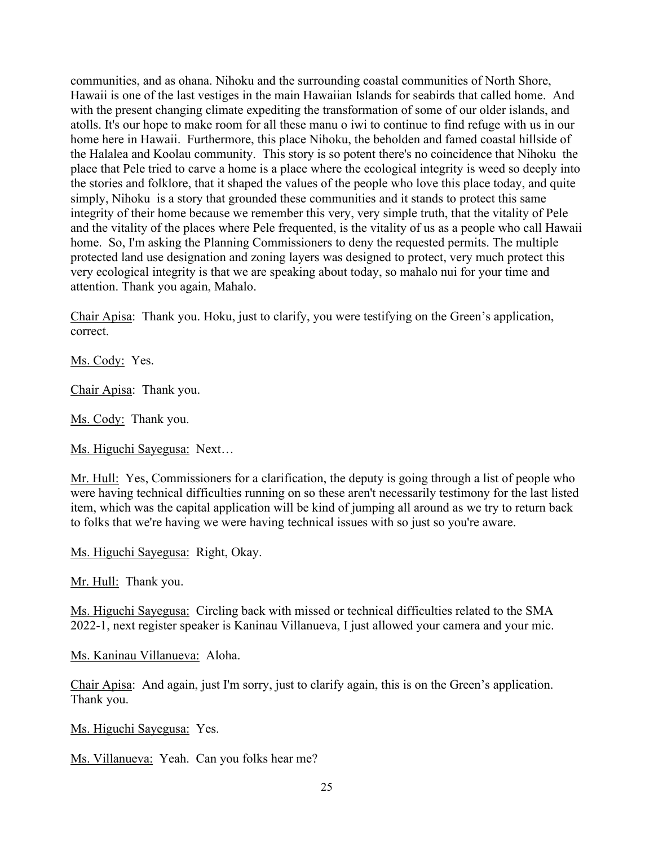communities, and as ohana. Nihoku and the surrounding coastal communities of North Shore, Hawaii is one of the last vestiges in the main Hawaiian Islands for seabirds that called home. And with the present changing climate expediting the transformation of some of our older islands, and atolls. It's our hope to make room for all these manu o iwi to continue to find refuge with us in our home here in Hawaii. Furthermore, this place Nihoku, the beholden and famed coastal hillside of the Halalea and Koolau community. This story is so potent there's no coincidence that Nihoku the place that Pele tried to carve a home is a place where the ecological integrity is weed so deeply into the stories and folklore, that it shaped the values of the people who love this place today, and quite simply, Nihoku is a story that grounded these communities and it stands to protect this same integrity of their home because we remember this very, very simple truth, that the vitality of Pele and the vitality of the places where Pele frequented, is the vitality of us as a people who call Hawaii home. So, I'm asking the Planning Commissioners to deny the requested permits. The multiple protected land use designation and zoning layers was designed to protect, very much protect this very ecological integrity is that we are speaking about today, so mahalo nui for your time and attention. Thank you again, Mahalo.

Chair Apisa: Thank you. Hoku, just to clarify, you were testifying on the Green's application, correct.

Ms. Cody: Yes.

Chair Apisa: Thank you.

Ms. Cody: Thank you.

Ms. Higuchi Sayegusa: Next…

Mr. Hull: Yes, Commissioners for a clarification, the deputy is going through a list of people who were having technical difficulties running on so these aren't necessarily testimony for the last listed item, which was the capital application will be kind of jumping all around as we try to return back to folks that we're having we were having technical issues with so just so you're aware.

Ms. Higuchi Sayegusa: Right, Okay.

Mr. Hull: Thank you.

Ms. Higuchi Sayegusa: Circling back with missed or technical difficulties related to the SMA 2022-1, next register speaker is Kaninau Villanueva, I just allowed your camera and your mic.

Ms. Kaninau Villanueva: Aloha.

Chair Apisa: And again, just I'm sorry, just to clarify again, this is on the Green's application. Thank you.

Ms. Higuchi Sayegusa: Yes.

Ms. Villanueva: Yeah. Can you folks hear me?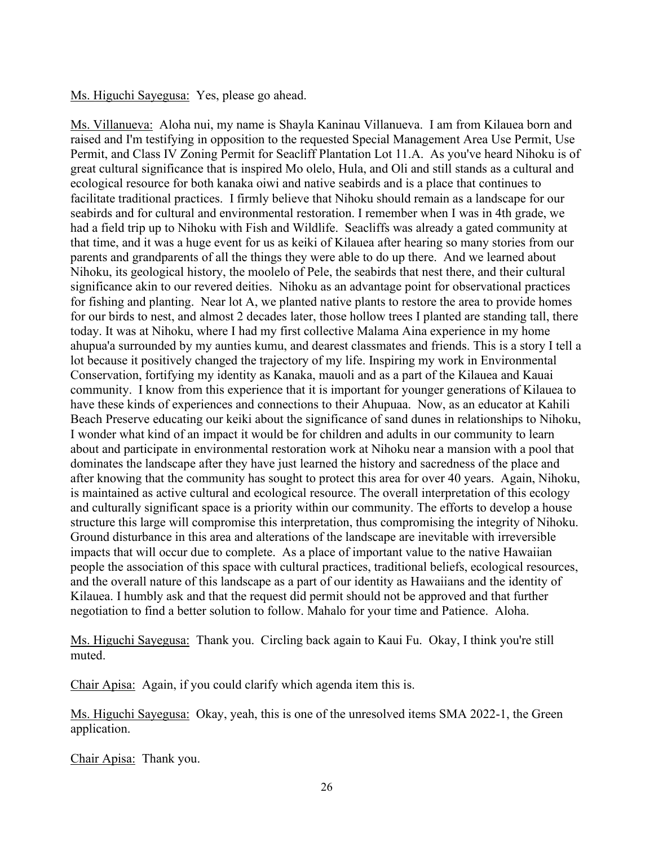#### Ms. Higuchi Sayegusa: Yes, please go ahead.

Ms. Villanueva: Aloha nui, my name is Shayla Kaninau Villanueva. I am from Kilauea born and raised and I'm testifying in opposition to the requested Special Management Area Use Permit, Use Permit, and Class IV Zoning Permit for Seacliff Plantation Lot 11.A. As you've heard Nihoku is of great cultural significance that is inspired Mo olelo, Hula, and Oli and still stands as a cultural and ecological resource for both kanaka oiwi and native seabirds and is a place that continues to facilitate traditional practices. I firmly believe that Nihoku should remain as a landscape for our seabirds and for cultural and environmental restoration. I remember when I was in 4th grade, we had a field trip up to Nihoku with Fish and Wildlife. Seacliffs was already a gated community at that time, and it was a huge event for us as keiki of Kilauea after hearing so many stories from our parents and grandparents of all the things they were able to do up there. And we learned about Nihoku, its geological history, the moolelo of Pele, the seabirds that nest there, and their cultural significance akin to our revered deities. Nihoku as an advantage point for observational practices for fishing and planting. Near lot A, we planted native plants to restore the area to provide homes for our birds to nest, and almost 2 decades later, those hollow trees I planted are standing tall, there today. It was at Nihoku, where I had my first collective Malama Aina experience in my home ahupua'a surrounded by my aunties kumu, and dearest classmates and friends. This is a story I tell a lot because it positively changed the trajectory of my life. Inspiring my work in Environmental Conservation, fortifying my identity as Kanaka, mauoli and as a part of the Kilauea and Kauai community. I know from this experience that it is important for younger generations of Kilauea to have these kinds of experiences and connections to their Ahupuaa. Now, as an educator at Kahili Beach Preserve educating our keiki about the significance of sand dunes in relationships to Nihoku, I wonder what kind of an impact it would be for children and adults in our community to learn about and participate in environmental restoration work at Nihoku near a mansion with a pool that dominates the landscape after they have just learned the history and sacredness of the place and after knowing that the community has sought to protect this area for over 40 years. Again, Nihoku, is maintained as active cultural and ecological resource. The overall interpretation of this ecology and culturally significant space is a priority within our community. The efforts to develop a house structure this large will compromise this interpretation, thus compromising the integrity of Nihoku. Ground disturbance in this area and alterations of the landscape are inevitable with irreversible impacts that will occur due to complete. As a place of important value to the native Hawaiian people the association of this space with cultural practices, traditional beliefs, ecological resources, and the overall nature of this landscape as a part of our identity as Hawaiians and the identity of Kilauea. I humbly ask and that the request did permit should not be approved and that further negotiation to find a better solution to follow. Mahalo for your time and Patience. Aloha.

Ms. Higuchi Sayegusa: Thank you. Circling back again to Kaui Fu. Okay, I think you're still muted.

Chair Apisa: Again, if you could clarify which agenda item this is.

Ms. Higuchi Sayegusa: Okay, yeah, this is one of the unresolved items SMA 2022-1, the Green application.

Chair Apisa: Thank you.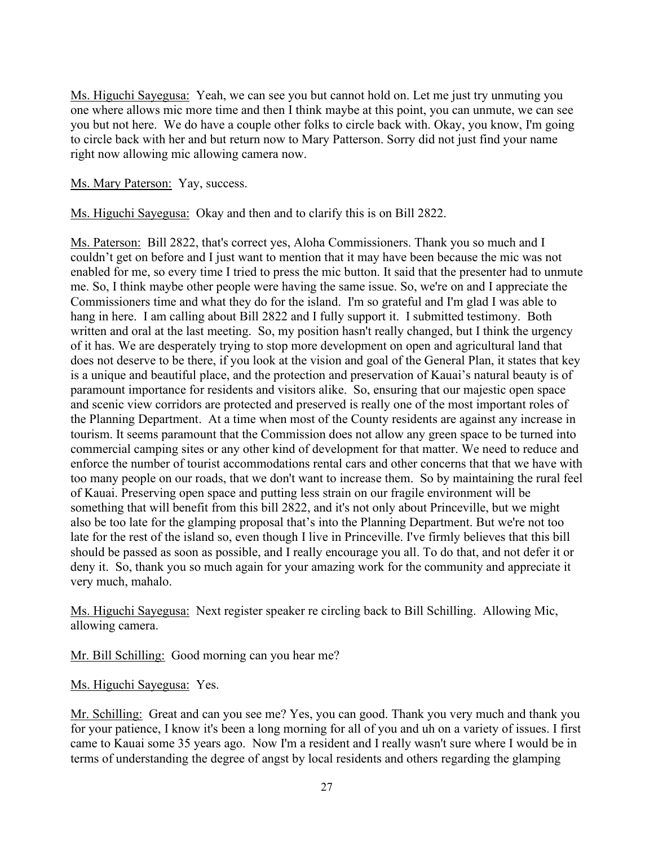Ms. Higuchi Sayegusa: Yeah, we can see you but cannot hold on. Let me just try unmuting you one where allows mic more time and then I think maybe at this point, you can unmute, we can see you but not here. We do have a couple other folks to circle back with. Okay, you know, I'm going to circle back with her and but return now to Mary Patterson. Sorry did not just find your name right now allowing mic allowing camera now.

Ms. Mary Paterson: Yay, success.

Ms. Higuchi Sayegusa: Okay and then and to clarify this is on Bill 2822.

Ms. Paterson: Bill 2822, that's correct yes, Aloha Commissioners. Thank you so much and I couldn't get on before and I just want to mention that it may have been because the mic was not enabled for me, so every time I tried to press the mic button. It said that the presenter had to unmute me. So, I think maybe other people were having the same issue. So, we're on and I appreciate the Commissioners time and what they do for the island. I'm so grateful and I'm glad I was able to hang in here. I am calling about Bill 2822 and I fully support it. I submitted testimony. Both written and oral at the last meeting. So, my position hasn't really changed, but I think the urgency of it has. We are desperately trying to stop more development on open and agricultural land that does not deserve to be there, if you look at the vision and goal of the General Plan, it states that key is a unique and beautiful place, and the protection and preservation of Kauai's natural beauty is of paramount importance for residents and visitors alike. So, ensuring that our majestic open space and scenic view corridors are protected and preserved is really one of the most important roles of the Planning Department. At a time when most of the County residents are against any increase in tourism. It seems paramount that the Commission does not allow any green space to be turned into commercial camping sites or any other kind of development for that matter. We need to reduce and enforce the number of tourist accommodations rental cars and other concerns that that we have with too many people on our roads, that we don't want to increase them. So by maintaining the rural feel of Kauai. Preserving open space and putting less strain on our fragile environment will be something that will benefit from this bill 2822, and it's not only about Princeville, but we might also be too late for the glamping proposal that's into the Planning Department. But we're not too late for the rest of the island so, even though I live in Princeville. I've firmly believes that this bill should be passed as soon as possible, and I really encourage you all. To do that, and not defer it or deny it. So, thank you so much again for your amazing work for the community and appreciate it very much, mahalo.

Ms. Higuchi Sayegusa: Next register speaker re circling back to Bill Schilling. Allowing Mic, allowing camera.

Mr. Bill Schilling: Good morning can you hear me?

Ms. Higuchi Sayegusa: Yes.

Mr. Schilling: Great and can you see me? Yes, you can good. Thank you very much and thank you for your patience, I know it's been a long morning for all of you and uh on a variety of issues. I first came to Kauai some 35 years ago. Now I'm a resident and I really wasn't sure where I would be in terms of understanding the degree of angst by local residents and others regarding the glamping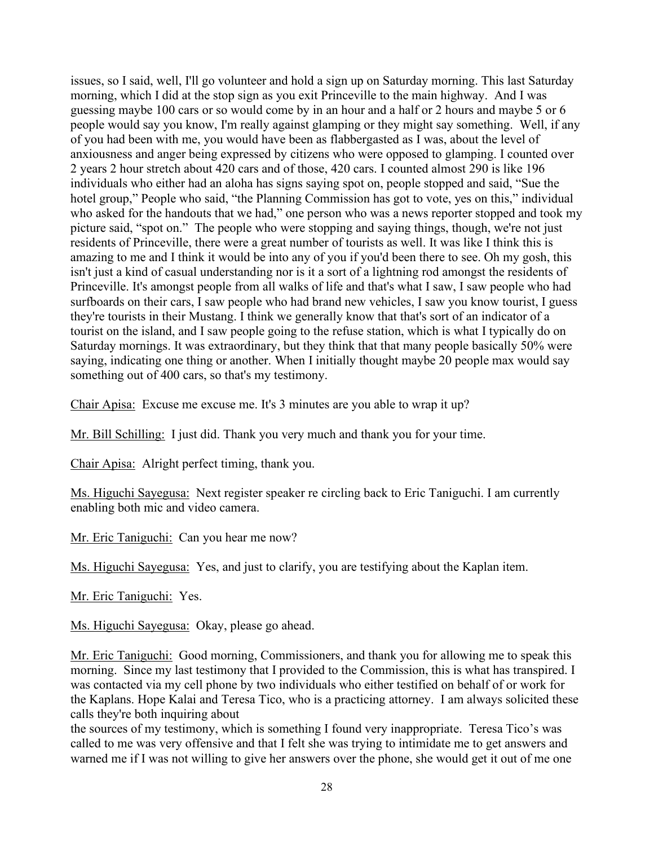issues, so I said, well, I'll go volunteer and hold a sign up on Saturday morning. This last Saturday morning, which I did at the stop sign as you exit Princeville to the main highway. And I was guessing maybe 100 cars or so would come by in an hour and a half or 2 hours and maybe 5 or 6 people would say you know, I'm really against glamping or they might say something. Well, if any of you had been with me, you would have been as flabbergasted as I was, about the level of anxiousness and anger being expressed by citizens who were opposed to glamping. I counted over 2 years 2 hour stretch about 420 cars and of those, 420 cars. I counted almost 290 is like 196 individuals who either had an aloha has signs saying spot on, people stopped and said, "Sue the hotel group," People who said, "the Planning Commission has got to vote, yes on this," individual who asked for the handouts that we had," one person who was a news reporter stopped and took my picture said, "spot on." The people who were stopping and saying things, though, we're not just residents of Princeville, there were a great number of tourists as well. It was like I think this is amazing to me and I think it would be into any of you if you'd been there to see. Oh my gosh, this isn't just a kind of casual understanding nor is it a sort of a lightning rod amongst the residents of Princeville. It's amongst people from all walks of life and that's what I saw, I saw people who had surfboards on their cars, I saw people who had brand new vehicles, I saw you know tourist, I guess they're tourists in their Mustang. I think we generally know that that's sort of an indicator of a tourist on the island, and I saw people going to the refuse station, which is what I typically do on Saturday mornings. It was extraordinary, but they think that that many people basically 50% were saying, indicating one thing or another. When I initially thought maybe 20 people max would say something out of 400 cars, so that's my testimony.

Chair Apisa: Excuse me excuse me. It's 3 minutes are you able to wrap it up?

Mr. Bill Schilling: I just did. Thank you very much and thank you for your time.

Chair Apisa: Alright perfect timing, thank you.

Ms. Higuchi Sayegusa: Next register speaker re circling back to Eric Taniguchi. I am currently enabling both mic and video camera.

Mr. Eric Taniguchi: Can you hear me now?

Ms. Higuchi Sayegusa: Yes, and just to clarify, you are testifying about the Kaplan item.

Mr. Eric Taniguchi: Yes.

Ms. Higuchi Sayegusa: Okay, please go ahead.

Mr. Eric Taniguchi: Good morning, Commissioners, and thank you for allowing me to speak this morning. Since my last testimony that I provided to the Commission, this is what has transpired. I was contacted via my cell phone by two individuals who either testified on behalf of or work for the Kaplans. Hope Kalai and Teresa Tico, who is a practicing attorney. I am always solicited these calls they're both inquiring about

the sources of my testimony, which is something I found very inappropriate. Teresa Tico's was called to me was very offensive and that I felt she was trying to intimidate me to get answers and warned me if I was not willing to give her answers over the phone, she would get it out of me one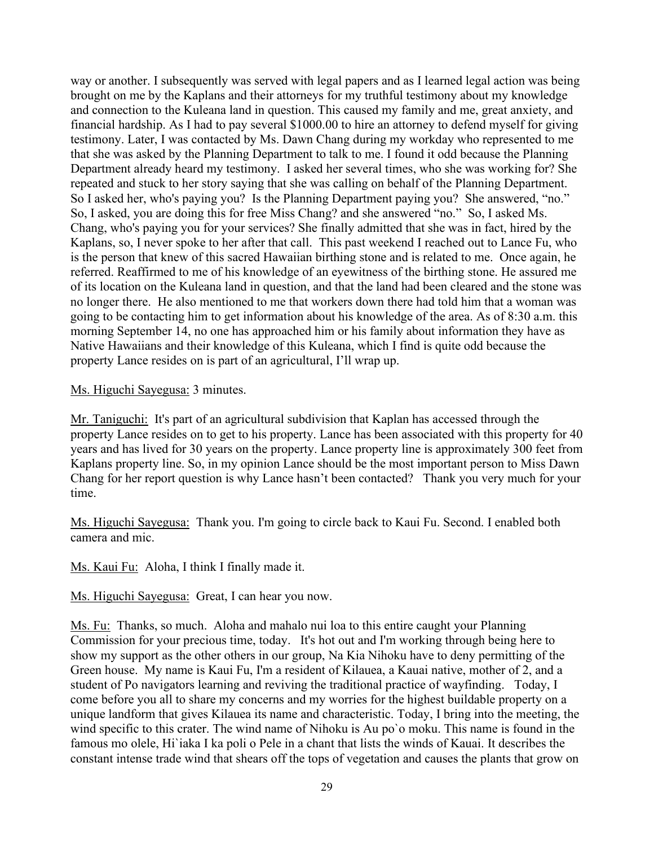way or another. I subsequently was served with legal papers and as I learned legal action was being brought on me by the Kaplans and their attorneys for my truthful testimony about my knowledge and connection to the Kuleana land in question. This caused my family and me, great anxiety, and financial hardship. As I had to pay several \$1000.00 to hire an attorney to defend myself for giving testimony. Later, I was contacted by Ms. Dawn Chang during my workday who represented to me that she was asked by the Planning Department to talk to me. I found it odd because the Planning Department already heard my testimony. I asked her several times, who she was working for? She repeated and stuck to her story saying that she was calling on behalf of the Planning Department. So I asked her, who's paying you? Is the Planning Department paying you? She answered, "no." So, I asked, you are doing this for free Miss Chang? and she answered "no." So, I asked Ms. Chang, who's paying you for your services? She finally admitted that she was in fact, hired by the Kaplans, so, I never spoke to her after that call. This past weekend I reached out to Lance Fu, who is the person that knew of this sacred Hawaiian birthing stone and is related to me. Once again, he referred. Reaffirmed to me of his knowledge of an eyewitness of the birthing stone. He assured me of its location on the Kuleana land in question, and that the land had been cleared and the stone was no longer there. He also mentioned to me that workers down there had told him that a woman was going to be contacting him to get information about his knowledge of the area. As of 8:30 a.m. this morning September 14, no one has approached him or his family about information they have as Native Hawaiians and their knowledge of this Kuleana, which I find is quite odd because the property Lance resides on is part of an agricultural, I'll wrap up.

Ms. Higuchi Sayegusa: 3 minutes.

Mr. Taniguchi: It's part of an agricultural subdivision that Kaplan has accessed through the property Lance resides on to get to his property. Lance has been associated with this property for 40 years and has lived for 30 years on the property. Lance property line is approximately 300 feet from Kaplans property line. So, in my opinion Lance should be the most important person to Miss Dawn Chang for her report question is why Lance hasn't been contacted? Thank you very much for your time.

Ms. Higuchi Sayegusa: Thank you. I'm going to circle back to Kaui Fu. Second. I enabled both camera and mic.

Ms. Kaui Fu: Aloha, I think I finally made it.

Ms. Higuchi Sayegusa: Great, I can hear you now.

Ms. Fu: Thanks, so much. Aloha and mahalo nui loa to this entire caught your Planning Commission for your precious time, today. It's hot out and I'm working through being here to show my support as the other others in our group, Na Kia Nihoku have to deny permitting of the Green house. My name is Kaui Fu, I'm a resident of Kilauea, a Kauai native, mother of 2, and a student of Po navigators learning and reviving the traditional practice of wayfinding. Today, I come before you all to share my concerns and my worries for the highest buildable property on a unique landform that gives Kilauea its name and characteristic. Today, I bring into the meeting, the wind specific to this crater. The wind name of Nihoku is Au po`o moku. This name is found in the famous mo olele, Hi`iaka I ka poli o Pele in a chant that lists the winds of Kauai. It describes the constant intense trade wind that shears off the tops of vegetation and causes the plants that grow on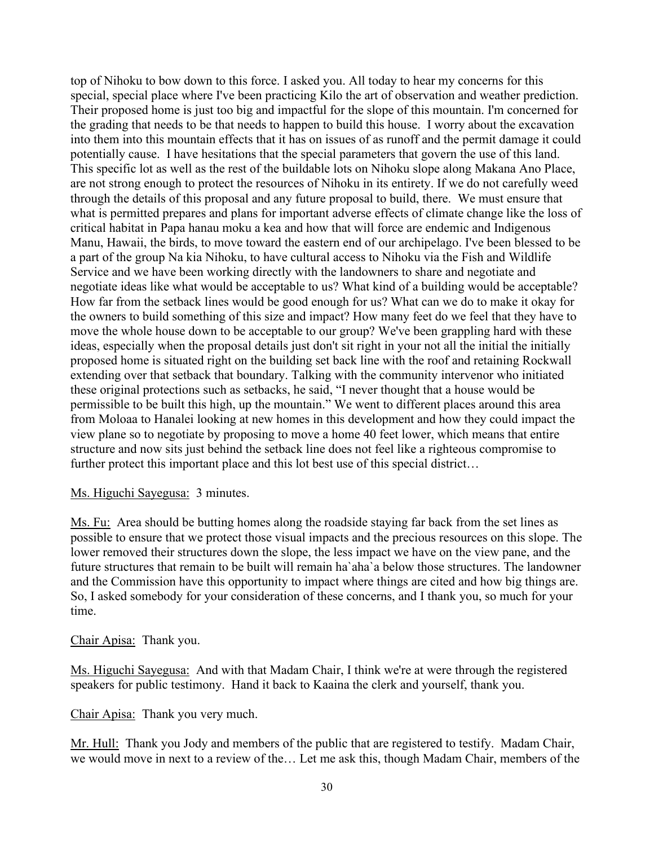top of Nihoku to bow down to this force. I asked you. All today to hear my concerns for this special, special place where I've been practicing Kilo the art of observation and weather prediction. Their proposed home is just too big and impactful for the slope of this mountain. I'm concerned for the grading that needs to be that needs to happen to build this house. I worry about the excavation into them into this mountain effects that it has on issues of as runoff and the permit damage it could potentially cause. I have hesitations that the special parameters that govern the use of this land. This specific lot as well as the rest of the buildable lots on Nihoku slope along Makana Ano Place, are not strong enough to protect the resources of Nihoku in its entirety. If we do not carefully weed through the details of this proposal and any future proposal to build, there. We must ensure that what is permitted prepares and plans for important adverse effects of climate change like the loss of critical habitat in Papa hanau moku a kea and how that will force are endemic and Indigenous Manu, Hawaii, the birds, to move toward the eastern end of our archipelago. I've been blessed to be a part of the group Na kia Nihoku, to have cultural access to Nihoku via the Fish and Wildlife Service and we have been working directly with the landowners to share and negotiate and negotiate ideas like what would be acceptable to us? What kind of a building would be acceptable? How far from the setback lines would be good enough for us? What can we do to make it okay for the owners to build something of this size and impact? How many feet do we feel that they have to move the whole house down to be acceptable to our group? We've been grappling hard with these ideas, especially when the proposal details just don't sit right in your not all the initial the initially proposed home is situated right on the building set back line with the roof and retaining Rockwall extending over that setback that boundary. Talking with the community intervenor who initiated these original protections such as setbacks, he said, "I never thought that a house would be permissible to be built this high, up the mountain." We went to different places around this area from Moloaa to Hanalei looking at new homes in this development and how they could impact the view plane so to negotiate by proposing to move a home 40 feet lower, which means that entire structure and now sits just behind the setback line does not feel like a righteous compromise to further protect this important place and this lot best use of this special district...

### Ms. Higuchi Sayegusa: 3 minutes.

Ms. Fu: Area should be butting homes along the roadside staying far back from the set lines as possible to ensure that we protect those visual impacts and the precious resources on this slope. The lower removed their structures down the slope, the less impact we have on the view pane, and the future structures that remain to be built will remain ha`aha`a below those structures. The landowner and the Commission have this opportunity to impact where things are cited and how big things are. So, I asked somebody for your consideration of these concerns, and I thank you, so much for your time.

#### Chair Apisa: Thank you.

Ms. Higuchi Sayegusa: And with that Madam Chair, I think we're at were through the registered speakers for public testimony. Hand it back to Kaaina the clerk and yourself, thank you.

Chair Apisa: Thank you very much.

Mr. Hull: Thank you Jody and members of the public that are registered to testify. Madam Chair, we would move in next to a review of the… Let me ask this, though Madam Chair, members of the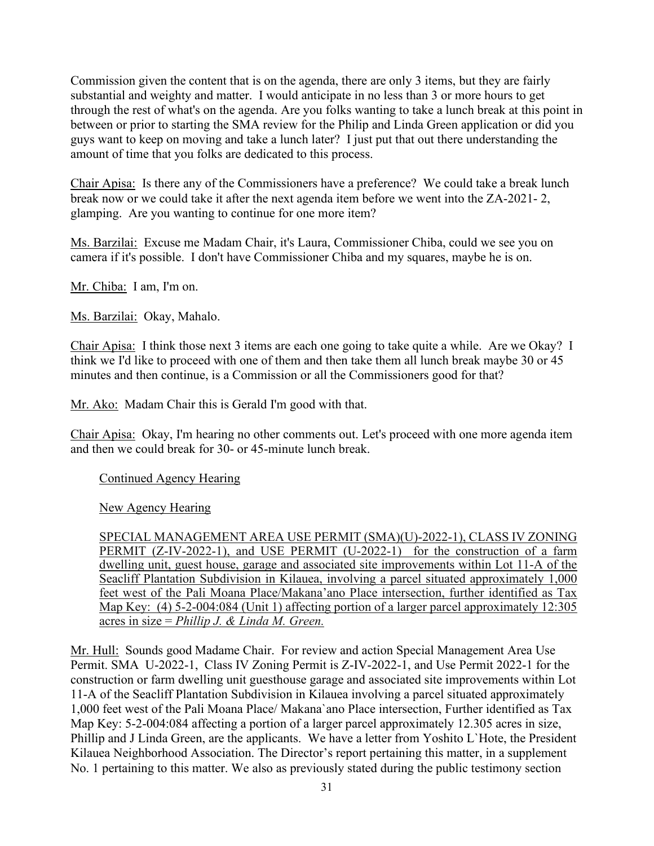Commission given the content that is on the agenda, there are only 3 items, but they are fairly substantial and weighty and matter. I would anticipate in no less than 3 or more hours to get through the rest of what's on the agenda. Are you folks wanting to take a lunch break at this point in between or prior to starting the SMA review for the Philip and Linda Green application or did you guys want to keep on moving and take a lunch later? I just put that out there understanding the amount of time that you folks are dedicated to this process.

Chair Apisa: Is there any of the Commissioners have a preference? We could take a break lunch break now or we could take it after the next agenda item before we went into the ZA-2021- 2, glamping. Are you wanting to continue for one more item?

Ms. Barzilai: Excuse me Madam Chair, it's Laura, Commissioner Chiba, could we see you on camera if it's possible. I don't have Commissioner Chiba and my squares, maybe he is on.

Mr. Chiba: I am, I'm on.

Ms. Barzilai: Okay, Mahalo.

Chair Apisa: I think those next 3 items are each one going to take quite a while. Are we Okay? I think we I'd like to proceed with one of them and then take them all lunch break maybe 30 or 45 minutes and then continue, is a Commission or all the Commissioners good for that?

Mr. Ako: Madam Chair this is Gerald I'm good with that.

Chair Apisa: Okay, I'm hearing no other comments out. Let's proceed with one more agenda item and then we could break for 30- or 45-minute lunch break.

Continued Agency Hearing

New Agency Hearing

SPECIAL MANAGEMENT AREA USE PERMIT (SMA)(U)-2022-1), CLASS IV ZONING PERMIT (Z-IV-2022-1), and USE PERMIT (U-2022-1) for the construction of a farm dwelling unit, guest house, garage and associated site improvements within Lot 11-A of the Seacliff Plantation Subdivision in Kilauea, involving a parcel situated approximately 1,000 feet west of the Pali Moana Place/Makana'ano Place intersection, further identified as Tax Map Key: (4) 5-2-004:084 (Unit 1) affecting portion of a larger parcel approximately 12:305 acres in size = *Phillip J. & Linda M. Green.*

Mr. Hull: Sounds good Madame Chair. For review and action Special Management Area Use Permit. SMA U-2022-1, Class IV Zoning Permit is Z-IV-2022-1, and Use Permit 2022-1 for the construction or farm dwelling unit guesthouse garage and associated site improvements within Lot 11-A of the Seacliff Plantation Subdivision in Kilauea involving a parcel situated approximately 1,000 feet west of the Pali Moana Place/ Makana`ano Place intersection, Further identified as Tax Map Key: 5-2-004:084 affecting a portion of a larger parcel approximately 12.305 acres in size, Phillip and J Linda Green, are the applicants. We have a letter from Yoshito L`Hote, the President Kilauea Neighborhood Association. The Director's report pertaining this matter, in a supplement No. 1 pertaining to this matter. We also as previously stated during the public testimony section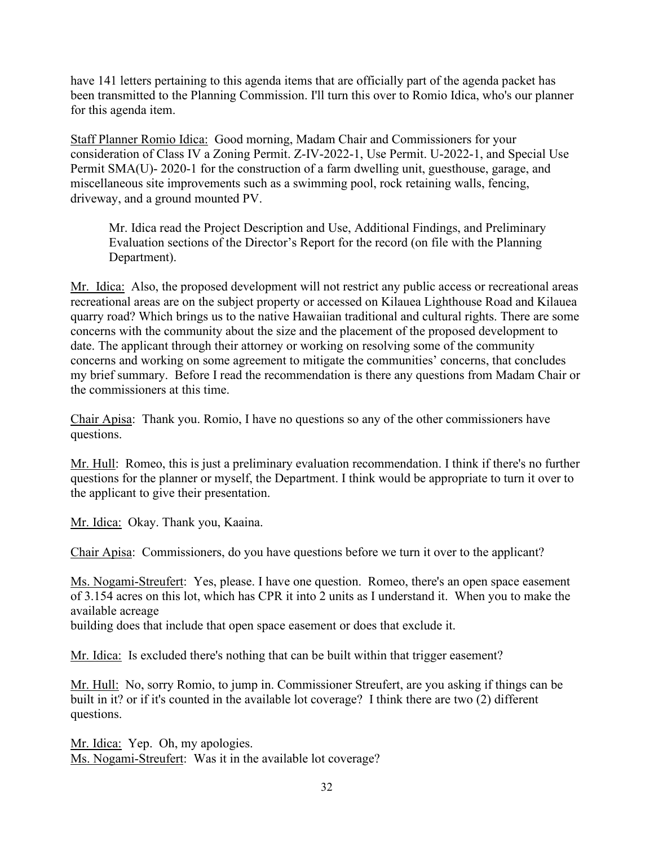have 141 letters pertaining to this agenda items that are officially part of the agenda packet has been transmitted to the Planning Commission. I'll turn this over to Romio Idica, who's our planner for this agenda item.

Staff Planner Romio Idica: Good morning, Madam Chair and Commissioners for your consideration of Class IV a Zoning Permit. Z-IV-2022-1, Use Permit. U-2022-1, and Special Use Permit SMA(U)- 2020-1 for the construction of a farm dwelling unit, guesthouse, garage, and miscellaneous site improvements such as a swimming pool, rock retaining walls, fencing, driveway, and a ground mounted PV.

Mr. Idica read the Project Description and Use, Additional Findings, and Preliminary Evaluation sections of the Director's Report for the record (on file with the Planning Department).

Mr. Idica: Also, the proposed development will not restrict any public access or recreational areas recreational areas are on the subject property or accessed on Kilauea Lighthouse Road and Kilauea quarry road? Which brings us to the native Hawaiian traditional and cultural rights. There are some concerns with the community about the size and the placement of the proposed development to date. The applicant through their attorney or working on resolving some of the community concerns and working on some agreement to mitigate the communities' concerns, that concludes my brief summary. Before I read the recommendation is there any questions from Madam Chair or the commissioners at this time.

Chair Apisa: Thank you. Romio, I have no questions so any of the other commissioners have questions.

Mr. Hull: Romeo, this is just a preliminary evaluation recommendation. I think if there's no further questions for the planner or myself, the Department. I think would be appropriate to turn it over to the applicant to give their presentation.

Mr. Idica: Okay. Thank you, Kaaina.

Chair Apisa: Commissioners, do you have questions before we turn it over to the applicant?

Ms. Nogami-Streufert: Yes, please. I have one question. Romeo, there's an open space easement of 3.154 acres on this lot, which has CPR it into 2 units as I understand it. When you to make the available acreage

building does that include that open space easement or does that exclude it.

Mr. Idica: Is excluded there's nothing that can be built within that trigger easement?

Mr. Hull: No, sorry Romio, to jump in. Commissioner Streufert, are you asking if things can be built in it? or if it's counted in the available lot coverage? I think there are two (2) different questions.

Mr. Idica: Yep. Oh, my apologies. Ms. Nogami-Streufert: Was it in the available lot coverage?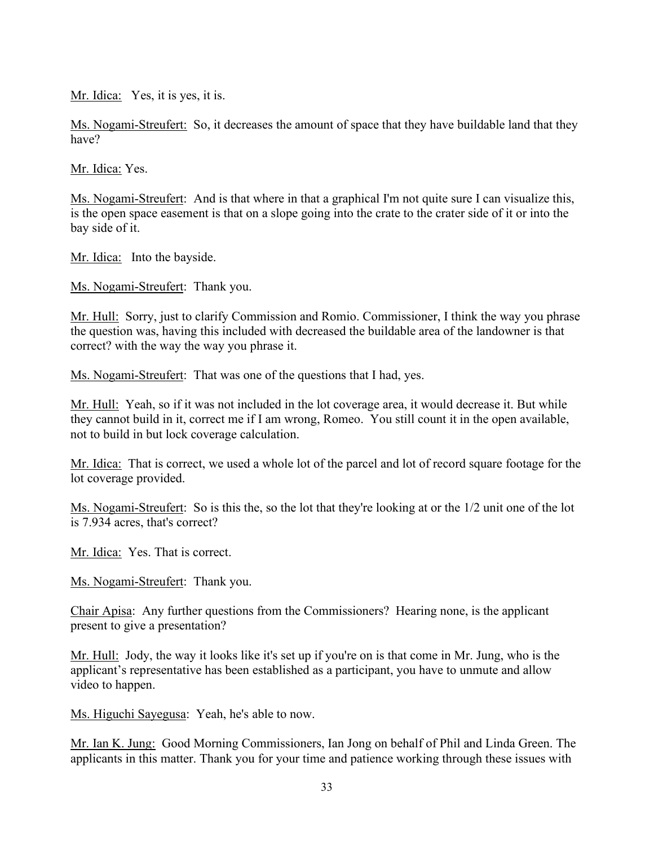Mr. Idica: Yes, it is yes, it is.

Ms. Nogami-Streufert: So, it decreases the amount of space that they have buildable land that they have?

Mr. Idica: Yes.

Ms. Nogami-Streufert: And is that where in that a graphical I'm not quite sure I can visualize this, is the open space easement is that on a slope going into the crate to the crater side of it or into the bay side of it.

Mr. Idica: Into the bayside.

Ms. Nogami-Streufert: Thank you.

Mr. Hull: Sorry, just to clarify Commission and Romio. Commissioner, I think the way you phrase the question was, having this included with decreased the buildable area of the landowner is that correct? with the way the way you phrase it.

Ms. Nogami-Streufert: That was one of the questions that I had, yes.

Mr. Hull: Yeah, so if it was not included in the lot coverage area, it would decrease it. But while they cannot build in it, correct me if I am wrong, Romeo. You still count it in the open available, not to build in but lock coverage calculation.

Mr. Idica: That is correct, we used a whole lot of the parcel and lot of record square footage for the lot coverage provided.

Ms. Nogami-Streufert: So is this the, so the lot that they're looking at or the 1/2 unit one of the lot is 7.934 acres, that's correct?

Mr. Idica: Yes. That is correct.

Ms. Nogami-Streufert: Thank you.

Chair Apisa: Any further questions from the Commissioners? Hearing none, is the applicant present to give a presentation?

Mr. Hull: Jody, the way it looks like it's set up if you're on is that come in Mr. Jung, who is the applicant's representative has been established as a participant, you have to unmute and allow video to happen.

Ms. Higuchi Sayegusa: Yeah, he's able to now.

Mr. Ian K. Jung: Good Morning Commissioners, Ian Jong on behalf of Phil and Linda Green. The applicants in this matter. Thank you for your time and patience working through these issues with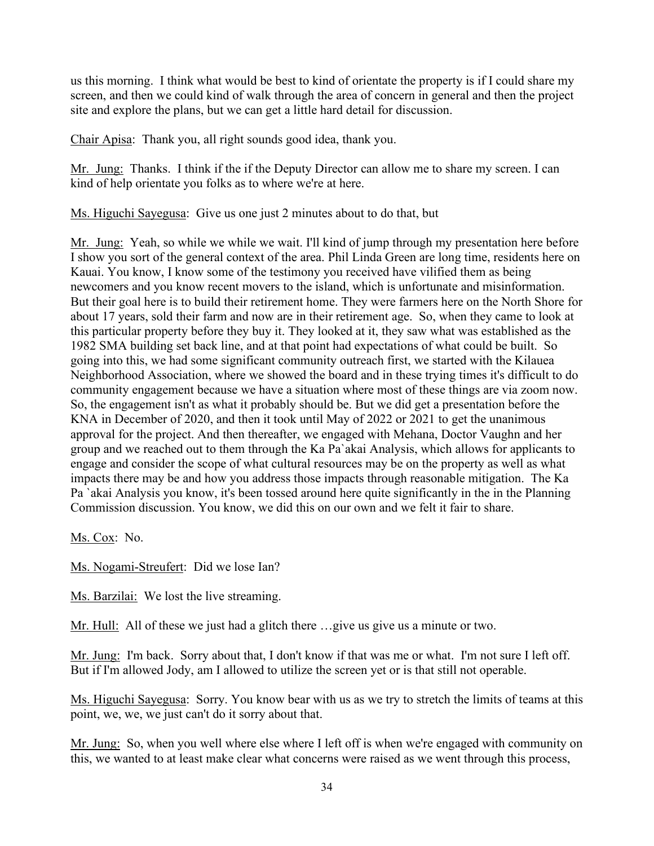us this morning. I think what would be best to kind of orientate the property is if I could share my screen, and then we could kind of walk through the area of concern in general and then the project site and explore the plans, but we can get a little hard detail for discussion.

Chair Apisa: Thank you, all right sounds good idea, thank you.

Mr. Jung: Thanks. I think if the if the Deputy Director can allow me to share my screen. I can kind of help orientate you folks as to where we're at here.

Ms. Higuchi Sayegusa: Give us one just 2 minutes about to do that, but

Mr. Jung: Yeah, so while we while we wait. I'll kind of jump through my presentation here before I show you sort of the general context of the area. Phil Linda Green are long time, residents here on Kauai. You know, I know some of the testimony you received have vilified them as being newcomers and you know recent movers to the island, which is unfortunate and misinformation. But their goal here is to build their retirement home. They were farmers here on the North Shore for about 17 years, sold their farm and now are in their retirement age. So, when they came to look at this particular property before they buy it. They looked at it, they saw what was established as the 1982 SMA building set back line, and at that point had expectations of what could be built. So going into this, we had some significant community outreach first, we started with the Kilauea Neighborhood Association, where we showed the board and in these trying times it's difficult to do community engagement because we have a situation where most of these things are via zoom now. So, the engagement isn't as what it probably should be. But we did get a presentation before the KNA in December of 2020, and then it took until May of 2022 or 2021 to get the unanimous approval for the project. And then thereafter, we engaged with Mehana, Doctor Vaughn and her group and we reached out to them through the Ka Pa`akai Analysis, which allows for applicants to engage and consider the scope of what cultural resources may be on the property as well as what impacts there may be and how you address those impacts through reasonable mitigation. The Ka Pa `akai Analysis you know, it's been tossed around here quite significantly in the in the Planning Commission discussion. You know, we did this on our own and we felt it fair to share.

Ms. Cox: No.

Ms. Nogami-Streufert: Did we lose Ian?

Ms. Barzilai: We lost the live streaming.

Mr. Hull: All of these we just had a glitch there …give us give us a minute or two.

Mr. Jung: I'm back. Sorry about that, I don't know if that was me or what. I'm not sure I left off. But if I'm allowed Jody, am I allowed to utilize the screen yet or is that still not operable.

Ms. Higuchi Sayegusa: Sorry. You know bear with us as we try to stretch the limits of teams at this point, we, we, we just can't do it sorry about that.

Mr. Jung: So, when you well where else where I left off is when we're engaged with community on this, we wanted to at least make clear what concerns were raised as we went through this process,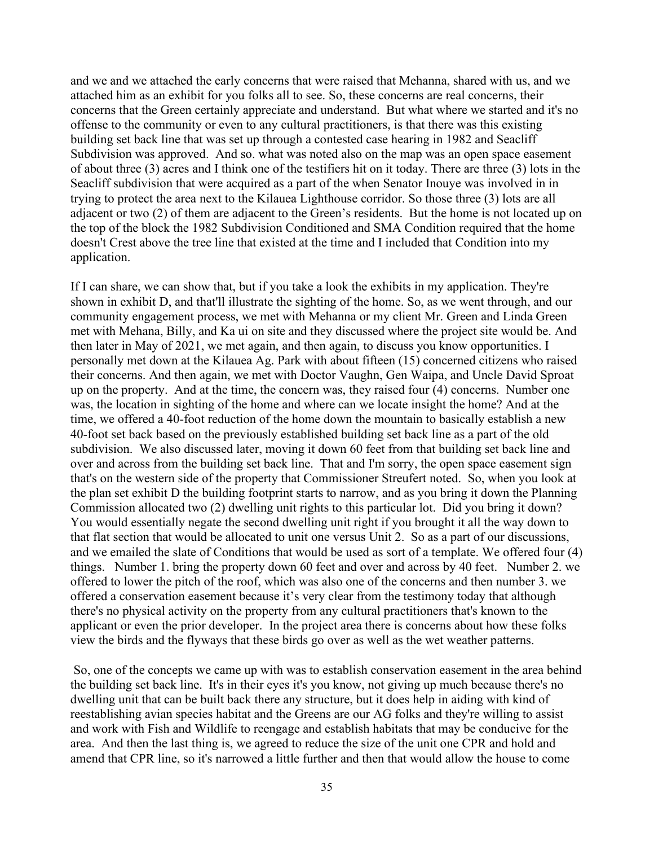and we and we attached the early concerns that were raised that Mehanna, shared with us, and we attached him as an exhibit for you folks all to see. So, these concerns are real concerns, their concerns that the Green certainly appreciate and understand. But what where we started and it's no offense to the community or even to any cultural practitioners, is that there was this existing building set back line that was set up through a contested case hearing in 1982 and Seacliff Subdivision was approved. And so. what was noted also on the map was an open space easement of about three (3) acres and I think one of the testifiers hit on it today. There are three (3) lots in the Seacliff subdivision that were acquired as a part of the when Senator Inouye was involved in in trying to protect the area next to the Kilauea Lighthouse corridor. So those three (3) lots are all adjacent or two (2) of them are adjacent to the Green's residents. But the home is not located up on the top of the block the 1982 Subdivision Conditioned and SMA Condition required that the home doesn't Crest above the tree line that existed at the time and I included that Condition into my application.

If I can share, we can show that, but if you take a look the exhibits in my application. They're shown in exhibit D, and that'll illustrate the sighting of the home. So, as we went through, and our community engagement process, we met with Mehanna or my client Mr. Green and Linda Green met with Mehana, Billy, and Ka ui on site and they discussed where the project site would be. And then later in May of 2021, we met again, and then again, to discuss you know opportunities. I personally met down at the Kilauea Ag. Park with about fifteen (15) concerned citizens who raised their concerns. And then again, we met with Doctor Vaughn, Gen Waipa, and Uncle David Sproat up on the property. And at the time, the concern was, they raised four (4) concerns. Number one was, the location in sighting of the home and where can we locate insight the home? And at the time, we offered a 40-foot reduction of the home down the mountain to basically establish a new 40-foot set back based on the previously established building set back line as a part of the old subdivision. We also discussed later, moving it down 60 feet from that building set back line and over and across from the building set back line. That and I'm sorry, the open space easement sign that's on the western side of the property that Commissioner Streufert noted. So, when you look at the plan set exhibit D the building footprint starts to narrow, and as you bring it down the Planning Commission allocated two (2) dwelling unit rights to this particular lot. Did you bring it down? You would essentially negate the second dwelling unit right if you brought it all the way down to that flat section that would be allocated to unit one versus Unit 2. So as a part of our discussions, and we emailed the slate of Conditions that would be used as sort of a template. We offered four (4) things. Number 1. bring the property down 60 feet and over and across by 40 feet. Number 2. we offered to lower the pitch of the roof, which was also one of the concerns and then number 3. we offered a conservation easement because it's very clear from the testimony today that although there's no physical activity on the property from any cultural practitioners that's known to the applicant or even the prior developer. In the project area there is concerns about how these folks view the birds and the flyways that these birds go over as well as the wet weather patterns.

So, one of the concepts we came up with was to establish conservation easement in the area behind the building set back line. It's in their eyes it's you know, not giving up much because there's no dwelling unit that can be built back there any structure, but it does help in aiding with kind of reestablishing avian species habitat and the Greens are our AG folks and they're willing to assist and work with Fish and Wildlife to reengage and establish habitats that may be conducive for the area. And then the last thing is, we agreed to reduce the size of the unit one CPR and hold and amend that CPR line, so it's narrowed a little further and then that would allow the house to come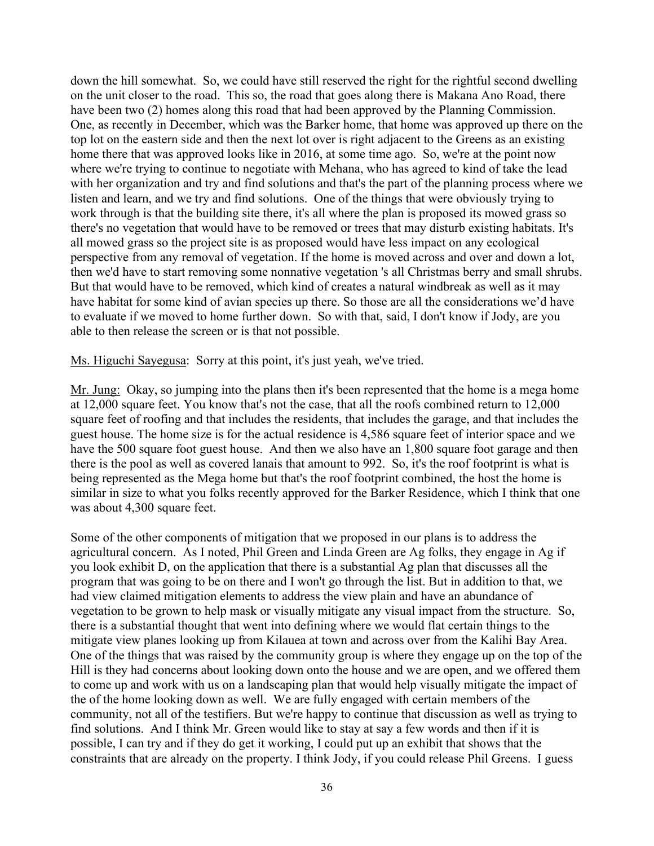down the hill somewhat. So, we could have still reserved the right for the rightful second dwelling on the unit closer to the road. This so, the road that goes along there is Makana Ano Road, there have been two (2) homes along this road that had been approved by the Planning Commission. One, as recently in December, which was the Barker home, that home was approved up there on the top lot on the eastern side and then the next lot over is right adjacent to the Greens as an existing home there that was approved looks like in 2016, at some time ago. So, we're at the point now where we're trying to continue to negotiate with Mehana, who has agreed to kind of take the lead with her organization and try and find solutions and that's the part of the planning process where we listen and learn, and we try and find solutions. One of the things that were obviously trying to work through is that the building site there, it's all where the plan is proposed its mowed grass so there's no vegetation that would have to be removed or trees that may disturb existing habitats. It's all mowed grass so the project site is as proposed would have less impact on any ecological perspective from any removal of vegetation. If the home is moved across and over and down a lot, then we'd have to start removing some nonnative vegetation 's all Christmas berry and small shrubs. But that would have to be removed, which kind of creates a natural windbreak as well as it may have habitat for some kind of avian species up there. So those are all the considerations we'd have to evaluate if we moved to home further down. So with that, said, I don't know if Jody, are you able to then release the screen or is that not possible.

Ms. Higuchi Sayegusa: Sorry at this point, it's just yeah, we've tried.

Mr. Jung: Okay, so jumping into the plans then it's been represented that the home is a mega home at 12,000 square feet. You know that's not the case, that all the roofs combined return to 12,000 square feet of roofing and that includes the residents, that includes the garage, and that includes the guest house. The home size is for the actual residence is 4,586 square feet of interior space and we have the 500 square foot guest house. And then we also have an 1,800 square foot garage and then there is the pool as well as covered lanais that amount to 992. So, it's the roof footprint is what is being represented as the Mega home but that's the roof footprint combined, the host the home is similar in size to what you folks recently approved for the Barker Residence, which I think that one was about 4,300 square feet.

Some of the other components of mitigation that we proposed in our plans is to address the agricultural concern. As I noted, Phil Green and Linda Green are Ag folks, they engage in Ag if you look exhibit D, on the application that there is a substantial Ag plan that discusses all the program that was going to be on there and I won't go through the list. But in addition to that, we had view claimed mitigation elements to address the view plain and have an abundance of vegetation to be grown to help mask or visually mitigate any visual impact from the structure. So, there is a substantial thought that went into defining where we would flat certain things to the mitigate view planes looking up from Kilauea at town and across over from the Kalihi Bay Area. One of the things that was raised by the community group is where they engage up on the top of the Hill is they had concerns about looking down onto the house and we are open, and we offered them to come up and work with us on a landscaping plan that would help visually mitigate the impact of the of the home looking down as well. We are fully engaged with certain members of the community, not all of the testifiers. But we're happy to continue that discussion as well as trying to find solutions. And I think Mr. Green would like to stay at say a few words and then if it is possible, I can try and if they do get it working, I could put up an exhibit that shows that the constraints that are already on the property. I think Jody, if you could release Phil Greens. I guess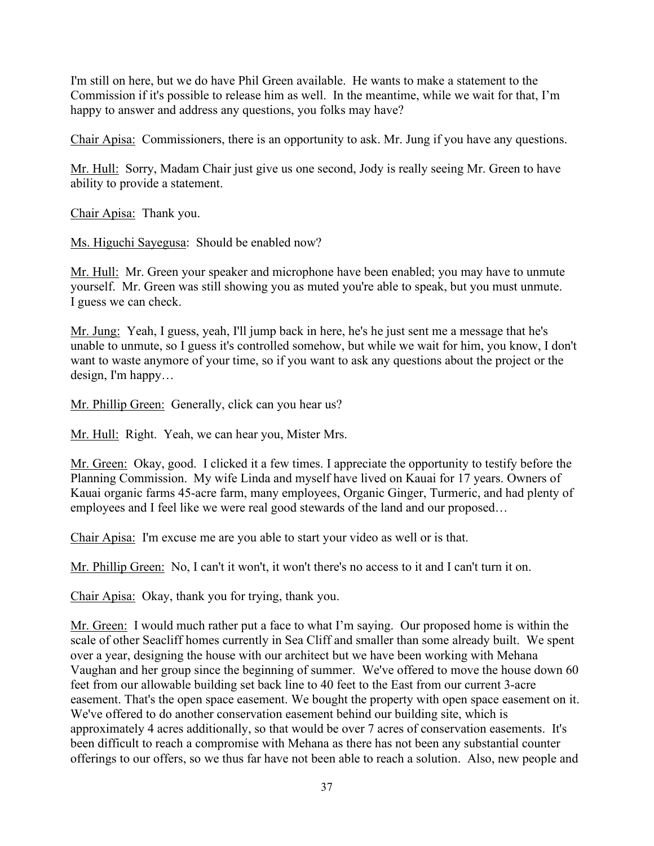I'm still on here, but we do have Phil Green available. He wants to make a statement to the Commission if it's possible to release him as well. In the meantime, while we wait for that, I'm happy to answer and address any questions, you folks may have?

Chair Apisa: Commissioners, there is an opportunity to ask. Mr. Jung if you have any questions.

Mr. Hull: Sorry, Madam Chair just give us one second, Jody is really seeing Mr. Green to have ability to provide a statement.

Chair Apisa: Thank you.

Ms. Higuchi Sayegusa: Should be enabled now?

Mr. Hull: Mr. Green your speaker and microphone have been enabled; you may have to unmute yourself. Mr. Green was still showing you as muted you're able to speak, but you must unmute. I guess we can check.

Mr. Jung: Yeah, I guess, yeah, I'll jump back in here, he's he just sent me a message that he's unable to unmute, so I guess it's controlled somehow, but while we wait for him, you know, I don't want to waste anymore of your time, so if you want to ask any questions about the project or the design, I'm happy…

Mr. Phillip Green: Generally, click can you hear us?

Mr. Hull: Right. Yeah, we can hear you, Mister Mrs.

Mr. Green: Okay, good. I clicked it a few times. I appreciate the opportunity to testify before the Planning Commission. My wife Linda and myself have lived on Kauai for 17 years. Owners of Kauai organic farms 45-acre farm, many employees, Organic Ginger, Turmeric, and had plenty of employees and I feel like we were real good stewards of the land and our proposed…

Chair Apisa: I'm excuse me are you able to start your video as well or is that.

Mr. Phillip Green: No, I can't it won't, it won't there's no access to it and I can't turn it on.

Chair Apisa: Okay, thank you for trying, thank you.

Mr. Green: I would much rather put a face to what I'm saying. Our proposed home is within the scale of other Seacliff homes currently in Sea Cliff and smaller than some already built. We spent over a year, designing the house with our architect but we have been working with Mehana Vaughan and her group since the beginning of summer. We've offered to move the house down 60 feet from our allowable building set back line to 40 feet to the East from our current 3-acre easement. That's the open space easement. We bought the property with open space easement on it. We've offered to do another conservation easement behind our building site, which is approximately 4 acres additionally, so that would be over 7 acres of conservation easements. It's been difficult to reach a compromise with Mehana as there has not been any substantial counter offerings to our offers, so we thus far have not been able to reach a solution. Also, new people and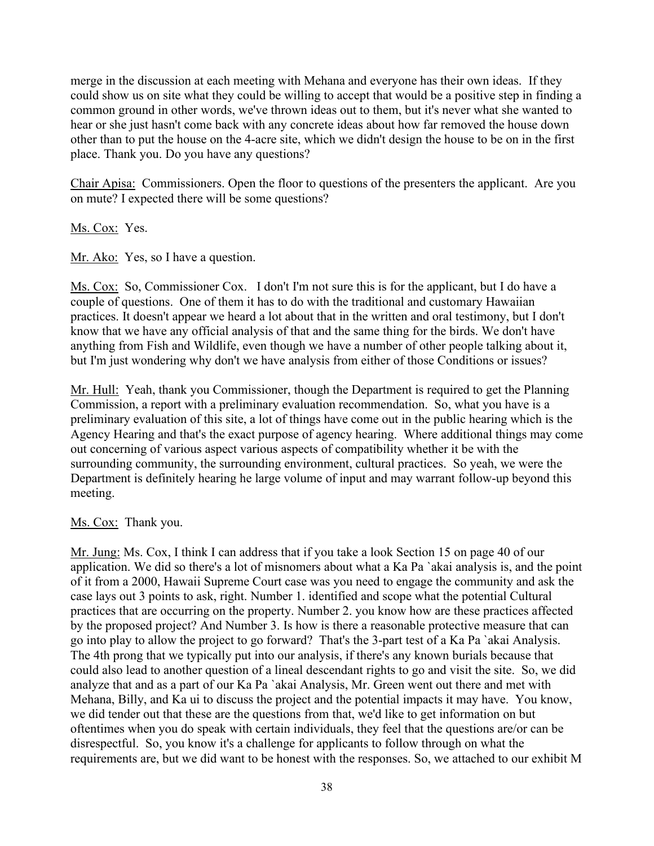merge in the discussion at each meeting with Mehana and everyone has their own ideas. If they could show us on site what they could be willing to accept that would be a positive step in finding a common ground in other words, we've thrown ideas out to them, but it's never what she wanted to hear or she just hasn't come back with any concrete ideas about how far removed the house down other than to put the house on the 4-acre site, which we didn't design the house to be on in the first place. Thank you. Do you have any questions?

Chair Apisa: Commissioners. Open the floor to questions of the presenters the applicant. Are you on mute? I expected there will be some questions?

Ms. Cox: Yes.

Mr. Ako: Yes, so I have a question.

Ms. Cox: So, Commissioner Cox. I don't I'm not sure this is for the applicant, but I do have a couple of questions. One of them it has to do with the traditional and customary Hawaiian practices. It doesn't appear we heard a lot about that in the written and oral testimony, but I don't know that we have any official analysis of that and the same thing for the birds. We don't have anything from Fish and Wildlife, even though we have a number of other people talking about it, but I'm just wondering why don't we have analysis from either of those Conditions or issues?

Mr. Hull: Yeah, thank you Commissioner, though the Department is required to get the Planning Commission, a report with a preliminary evaluation recommendation. So, what you have is a preliminary evaluation of this site, a lot of things have come out in the public hearing which is the Agency Hearing and that's the exact purpose of agency hearing. Where additional things may come out concerning of various aspect various aspects of compatibility whether it be with the surrounding community, the surrounding environment, cultural practices. So yeah, we were the Department is definitely hearing he large volume of input and may warrant follow-up beyond this meeting.

## Ms. Cox: Thank you.

Mr. Jung: Ms. Cox, I think I can address that if you take a look Section 15 on page 40 of our application. We did so there's a lot of misnomers about what a Ka Pa `akai analysis is, and the point of it from a 2000, Hawaii Supreme Court case was you need to engage the community and ask the case lays out 3 points to ask, right. Number 1. identified and scope what the potential Cultural practices that are occurring on the property. Number 2. you know how are these practices affected by the proposed project? And Number 3. Is how is there a reasonable protective measure that can go into play to allow the project to go forward? That's the 3-part test of a Ka Pa `akai Analysis. The 4th prong that we typically put into our analysis, if there's any known burials because that could also lead to another question of a lineal descendant rights to go and visit the site. So, we did analyze that and as a part of our Ka Pa `akai Analysis, Mr. Green went out there and met with Mehana, Billy, and Ka ui to discuss the project and the potential impacts it may have. You know, we did tender out that these are the questions from that, we'd like to get information on but oftentimes when you do speak with certain individuals, they feel that the questions are/or can be disrespectful. So, you know it's a challenge for applicants to follow through on what the requirements are, but we did want to be honest with the responses. So, we attached to our exhibit M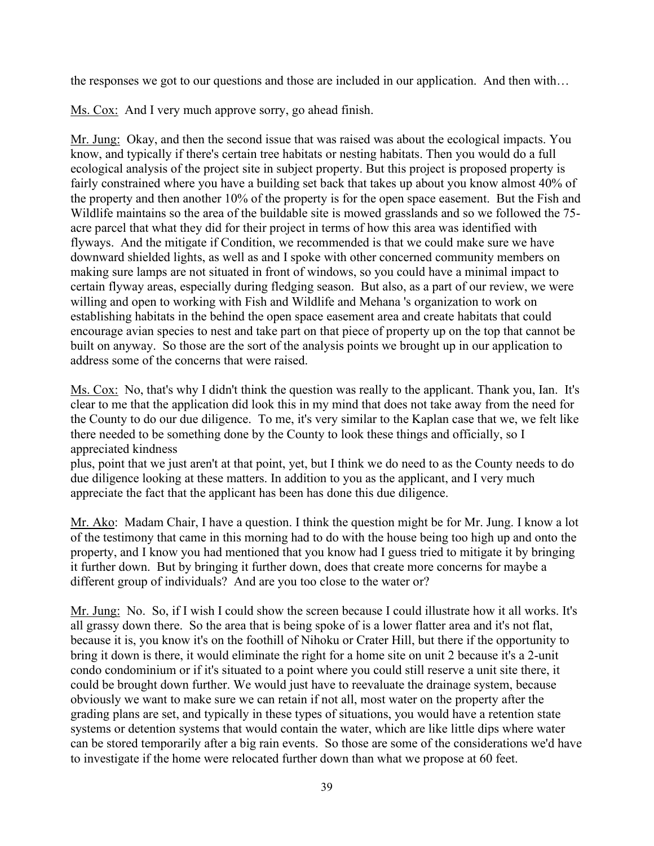the responses we got to our questions and those are included in our application. And then with…

Ms. Cox: And I very much approve sorry, go ahead finish.

Mr. Jung: Okay, and then the second issue that was raised was about the ecological impacts. You know, and typically if there's certain tree habitats or nesting habitats. Then you would do a full ecological analysis of the project site in subject property. But this project is proposed property is fairly constrained where you have a building set back that takes up about you know almost 40% of the property and then another 10% of the property is for the open space easement. But the Fish and Wildlife maintains so the area of the buildable site is mowed grasslands and so we followed the 75 acre parcel that what they did for their project in terms of how this area was identified with flyways. And the mitigate if Condition, we recommended is that we could make sure we have downward shielded lights, as well as and I spoke with other concerned community members on making sure lamps are not situated in front of windows, so you could have a minimal impact to certain flyway areas, especially during fledging season. But also, as a part of our review, we were willing and open to working with Fish and Wildlife and Mehana 's organization to work on establishing habitats in the behind the open space easement area and create habitats that could encourage avian species to nest and take part on that piece of property up on the top that cannot be built on anyway. So those are the sort of the analysis points we brought up in our application to address some of the concerns that were raised.

Ms. Cox: No, that's why I didn't think the question was really to the applicant. Thank you, Ian. It's clear to me that the application did look this in my mind that does not take away from the need for the County to do our due diligence. To me, it's very similar to the Kaplan case that we, we felt like there needed to be something done by the County to look these things and officially, so I appreciated kindness

plus, point that we just aren't at that point, yet, but I think we do need to as the County needs to do due diligence looking at these matters. In addition to you as the applicant, and I very much appreciate the fact that the applicant has been has done this due diligence.

Mr. Ako: Madam Chair, I have a question. I think the question might be for Mr. Jung. I know a lot of the testimony that came in this morning had to do with the house being too high up and onto the property, and I know you had mentioned that you know had I guess tried to mitigate it by bringing it further down. But by bringing it further down, does that create more concerns for maybe a different group of individuals? And are you too close to the water or?

Mr. Jung: No. So, if I wish I could show the screen because I could illustrate how it all works. It's all grassy down there. So the area that is being spoke of is a lower flatter area and it's not flat, because it is, you know it's on the foothill of Nihoku or Crater Hill, but there if the opportunity to bring it down is there, it would eliminate the right for a home site on unit 2 because it's a 2-unit condo condominium or if it's situated to a point where you could still reserve a unit site there, it could be brought down further. We would just have to reevaluate the drainage system, because obviously we want to make sure we can retain if not all, most water on the property after the grading plans are set, and typically in these types of situations, you would have a retention state systems or detention systems that would contain the water, which are like little dips where water can be stored temporarily after a big rain events. So those are some of the considerations we'd have to investigate if the home were relocated further down than what we propose at 60 feet.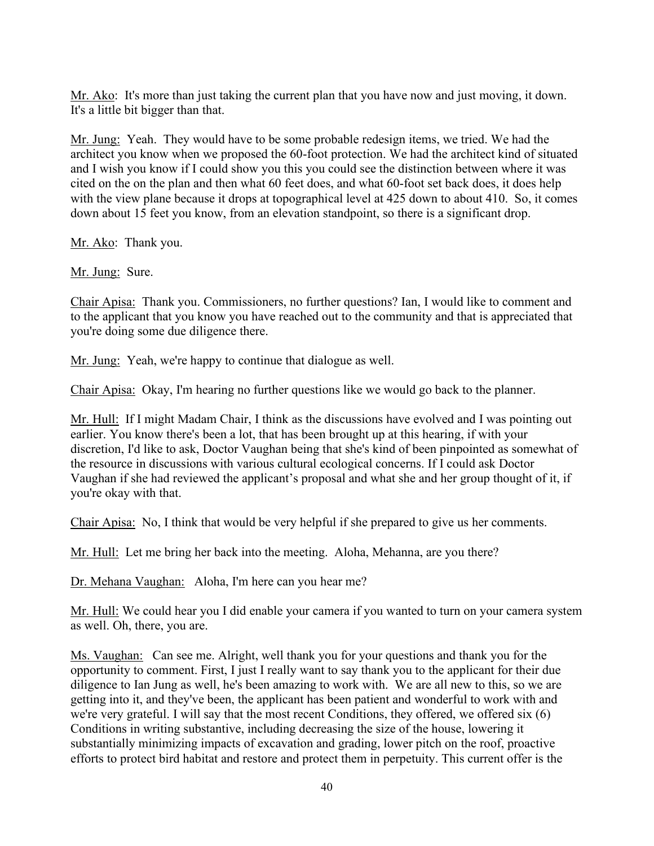Mr. Ako: It's more than just taking the current plan that you have now and just moving, it down. It's a little bit bigger than that.

Mr. Jung: Yeah. They would have to be some probable redesign items, we tried. We had the architect you know when we proposed the 60-foot protection. We had the architect kind of situated and I wish you know if I could show you this you could see the distinction between where it was cited on the on the plan and then what 60 feet does, and what 60-foot set back does, it does help with the view plane because it drops at topographical level at 425 down to about 410. So, it comes down about 15 feet you know, from an elevation standpoint, so there is a significant drop.

Mr. Ako: Thank you.

Mr. Jung: Sure.

Chair Apisa: Thank you. Commissioners, no further questions? Ian, I would like to comment and to the applicant that you know you have reached out to the community and that is appreciated that you're doing some due diligence there.

Mr. Jung: Yeah, we're happy to continue that dialogue as well.

Chair Apisa: Okay, I'm hearing no further questions like we would go back to the planner.

Mr. Hull: If I might Madam Chair, I think as the discussions have evolved and I was pointing out earlier. You know there's been a lot, that has been brought up at this hearing, if with your discretion, I'd like to ask, Doctor Vaughan being that she's kind of been pinpointed as somewhat of the resource in discussions with various cultural ecological concerns. If I could ask Doctor Vaughan if she had reviewed the applicant's proposal and what she and her group thought of it, if you're okay with that.

Chair Apisa: No, I think that would be very helpful if she prepared to give us her comments.

Mr. Hull: Let me bring her back into the meeting. Aloha, Mehanna, are you there?

Dr. Mehana Vaughan: Aloha, I'm here can you hear me?

Mr. Hull: We could hear you I did enable your camera if you wanted to turn on your camera system as well. Oh, there, you are.

Ms. Vaughan: Can see me. Alright, well thank you for your questions and thank you for the opportunity to comment. First, I just I really want to say thank you to the applicant for their due diligence to Ian Jung as well, he's been amazing to work with. We are all new to this, so we are getting into it, and they've been, the applicant has been patient and wonderful to work with and we're very grateful. I will say that the most recent Conditions, they offered, we offered six (6) Conditions in writing substantive, including decreasing the size of the house, lowering it substantially minimizing impacts of excavation and grading, lower pitch on the roof, proactive efforts to protect bird habitat and restore and protect them in perpetuity. This current offer is the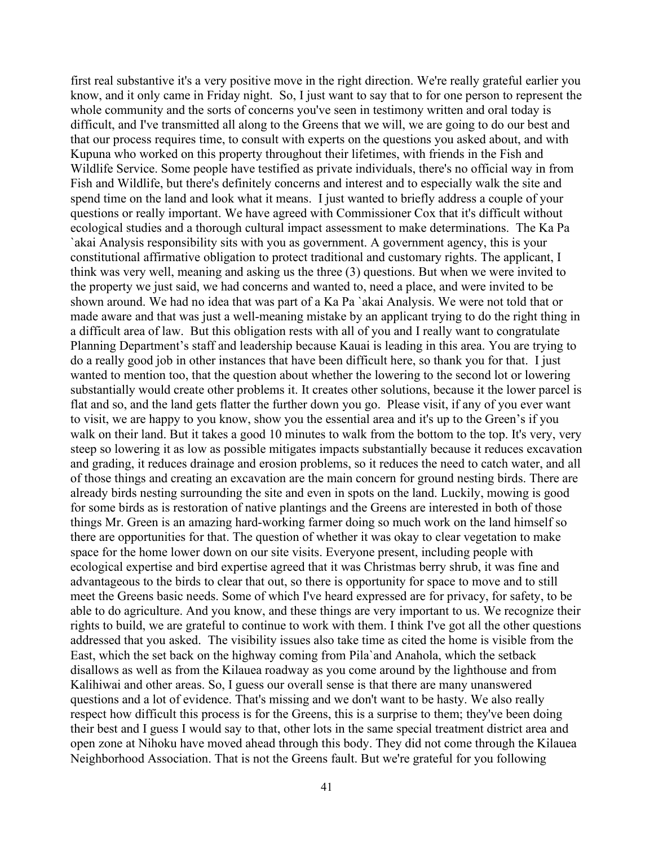first real substantive it's a very positive move in the right direction. We're really grateful earlier you know, and it only came in Friday night. So, I just want to say that to for one person to represent the whole community and the sorts of concerns you've seen in testimony written and oral today is difficult, and I've transmitted all along to the Greens that we will, we are going to do our best and that our process requires time, to consult with experts on the questions you asked about, and with Kupuna who worked on this property throughout their lifetimes, with friends in the Fish and Wildlife Service. Some people have testified as private individuals, there's no official way in from Fish and Wildlife, but there's definitely concerns and interest and to especially walk the site and spend time on the land and look what it means. I just wanted to briefly address a couple of your questions or really important. We have agreed with Commissioner Cox that it's difficult without ecological studies and a thorough cultural impact assessment to make determinations. The Ka Pa `akai Analysis responsibility sits with you as government. A government agency, this is your constitutional affirmative obligation to protect traditional and customary rights. The applicant, I think was very well, meaning and asking us the three (3) questions. But when we were invited to the property we just said, we had concerns and wanted to, need a place, and were invited to be shown around. We had no idea that was part of a Ka Pa `akai Analysis. We were not told that or made aware and that was just a well-meaning mistake by an applicant trying to do the right thing in a difficult area of law. But this obligation rests with all of you and I really want to congratulate Planning Department's staff and leadership because Kauai is leading in this area. You are trying to do a really good job in other instances that have been difficult here, so thank you for that. I just wanted to mention too, that the question about whether the lowering to the second lot or lowering substantially would create other problems it. It creates other solutions, because it the lower parcel is flat and so, and the land gets flatter the further down you go. Please visit, if any of you ever want to visit, we are happy to you know, show you the essential area and it's up to the Green's if you walk on their land. But it takes a good 10 minutes to walk from the bottom to the top. It's very, very steep so lowering it as low as possible mitigates impacts substantially because it reduces excavation and grading, it reduces drainage and erosion problems, so it reduces the need to catch water, and all of those things and creating an excavation are the main concern for ground nesting birds. There are already birds nesting surrounding the site and even in spots on the land. Luckily, mowing is good for some birds as is restoration of native plantings and the Greens are interested in both of those things Mr. Green is an amazing hard-working farmer doing so much work on the land himself so there are opportunities for that. The question of whether it was okay to clear vegetation to make space for the home lower down on our site visits. Everyone present, including people with ecological expertise and bird expertise agreed that it was Christmas berry shrub, it was fine and advantageous to the birds to clear that out, so there is opportunity for space to move and to still meet the Greens basic needs. Some of which I've heard expressed are for privacy, for safety, to be able to do agriculture. And you know, and these things are very important to us. We recognize their rights to build, we are grateful to continue to work with them. I think I've got all the other questions addressed that you asked. The visibility issues also take time as cited the home is visible from the East, which the set back on the highway coming from Pila`and Anahola, which the setback disallows as well as from the Kilauea roadway as you come around by the lighthouse and from Kalihiwai and other areas. So, I guess our overall sense is that there are many unanswered questions and a lot of evidence. That's missing and we don't want to be hasty. We also really respect how difficult this process is for the Greens, this is a surprise to them; they've been doing their best and I guess I would say to that, other lots in the same special treatment district area and open zone at Nihoku have moved ahead through this body. They did not come through the Kilauea Neighborhood Association. That is not the Greens fault. But we're grateful for you following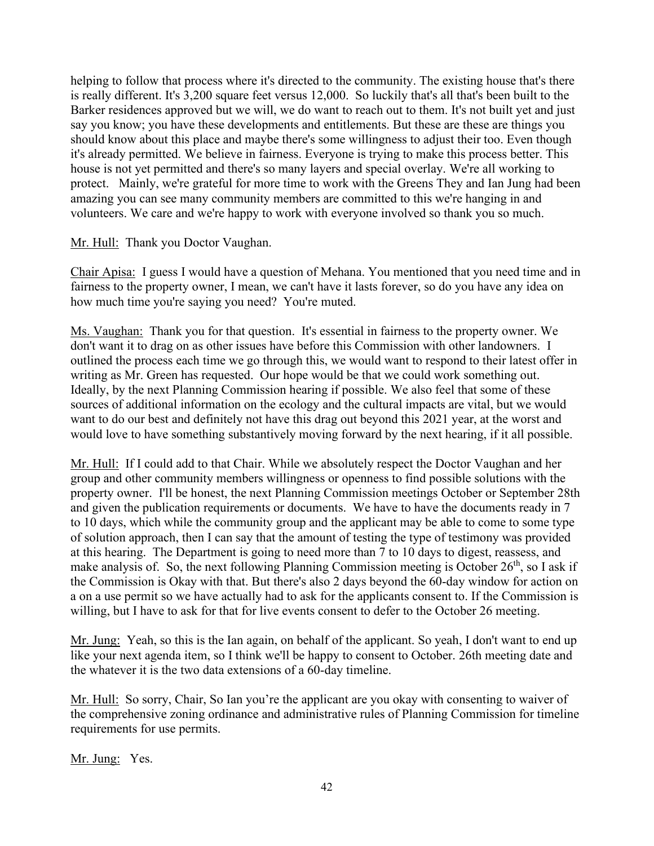helping to follow that process where it's directed to the community. The existing house that's there is really different. It's 3,200 square feet versus 12,000. So luckily that's all that's been built to the Barker residences approved but we will, we do want to reach out to them. It's not built yet and just say you know; you have these developments and entitlements. But these are these are things you should know about this place and maybe there's some willingness to adjust their too. Even though it's already permitted. We believe in fairness. Everyone is trying to make this process better. This house is not yet permitted and there's so many layers and special overlay. We're all working to protect. Mainly, we're grateful for more time to work with the Greens They and Ian Jung had been amazing you can see many community members are committed to this we're hanging in and volunteers. We care and we're happy to work with everyone involved so thank you so much.

### Mr. Hull: Thank you Doctor Vaughan.

Chair Apisa: I guess I would have a question of Mehana. You mentioned that you need time and in fairness to the property owner, I mean, we can't have it lasts forever, so do you have any idea on how much time you're saying you need? You're muted.

Ms. Vaughan: Thank you for that question. It's essential in fairness to the property owner. We don't want it to drag on as other issues have before this Commission with other landowners. I outlined the process each time we go through this, we would want to respond to their latest offer in writing as Mr. Green has requested. Our hope would be that we could work something out. Ideally, by the next Planning Commission hearing if possible. We also feel that some of these sources of additional information on the ecology and the cultural impacts are vital, but we would want to do our best and definitely not have this drag out beyond this 2021 year, at the worst and would love to have something substantively moving forward by the next hearing, if it all possible.

Mr. Hull: If I could add to that Chair. While we absolutely respect the Doctor Vaughan and her group and other community members willingness or openness to find possible solutions with the property owner. I'll be honest, the next Planning Commission meetings October or September 28th and given the publication requirements or documents. We have to have the documents ready in 7 to 10 days, which while the community group and the applicant may be able to come to some type of solution approach, then I can say that the amount of testing the type of testimony was provided at this hearing. The Department is going to need more than 7 to 10 days to digest, reassess, and make analysis of. So, the next following Planning Commission meeting is October  $26<sup>th</sup>$ , so I ask if the Commission is Okay with that. But there's also 2 days beyond the 60-day window for action on a on a use permit so we have actually had to ask for the applicants consent to. If the Commission is willing, but I have to ask for that for live events consent to defer to the October 26 meeting.

Mr. Jung: Yeah, so this is the Ian again, on behalf of the applicant. So yeah, I don't want to end up like your next agenda item, so I think we'll be happy to consent to October. 26th meeting date and the whatever it is the two data extensions of a 60-day timeline.

Mr. Hull: So sorry, Chair, So Ian you're the applicant are you okay with consenting to waiver of the comprehensive zoning ordinance and administrative rules of Planning Commission for timeline requirements for use permits.

Mr. Jung: Yes.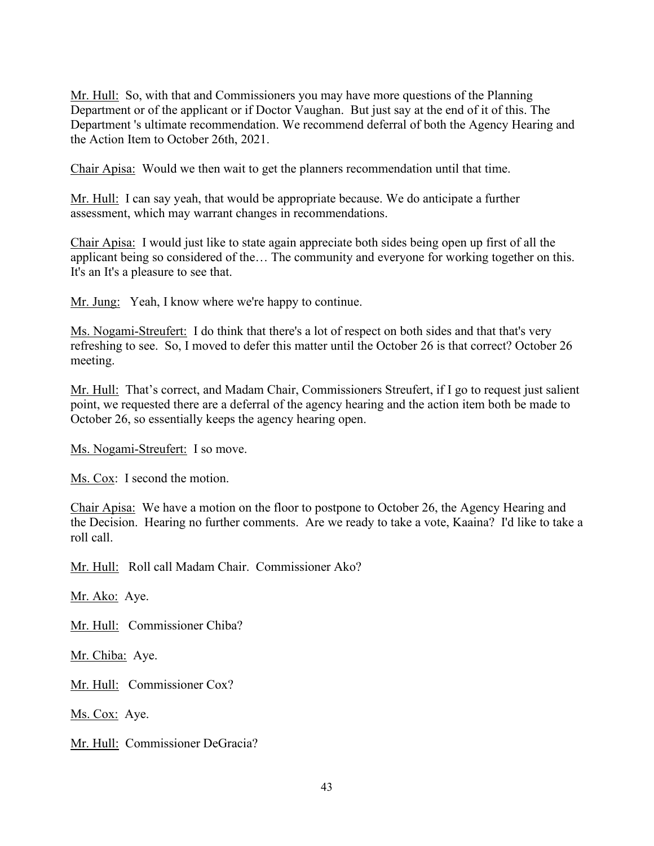Mr. Hull: So, with that and Commissioners you may have more questions of the Planning Department or of the applicant or if Doctor Vaughan. But just say at the end of it of this. The Department 's ultimate recommendation. We recommend deferral of both the Agency Hearing and the Action Item to October 26th, 2021.

Chair Apisa: Would we then wait to get the planners recommendation until that time.

Mr. Hull: I can say yeah, that would be appropriate because. We do anticipate a further assessment, which may warrant changes in recommendations.

Chair Apisa: I would just like to state again appreciate both sides being open up first of all the applicant being so considered of the… The community and everyone for working together on this. It's an It's a pleasure to see that.

Mr. Jung: Yeah, I know where we're happy to continue.

Ms. Nogami-Streufert: I do think that there's a lot of respect on both sides and that that's very refreshing to see. So, I moved to defer this matter until the October 26 is that correct? October 26 meeting.

Mr. Hull: That's correct, and Madam Chair, Commissioners Streufert, if I go to request just salient point, we requested there are a deferral of the agency hearing and the action item both be made to October 26, so essentially keeps the agency hearing open.

Ms. Nogami-Streufert: I so move.

Ms. Cox: I second the motion.

Chair Apisa: We have a motion on the floor to postpone to October 26, the Agency Hearing and the Decision. Hearing no further comments. Are we ready to take a vote, Kaaina? I'd like to take a roll call.

Mr. Hull: Roll call Madam Chair. Commissioner Ako?

Mr. Ako: Aye.

Mr. Hull: Commissioner Chiba?

Mr. Chiba: Aye.

Mr. Hull: Commissioner Cox?

Ms. Cox: Aye.

Mr. Hull: Commissioner DeGracia?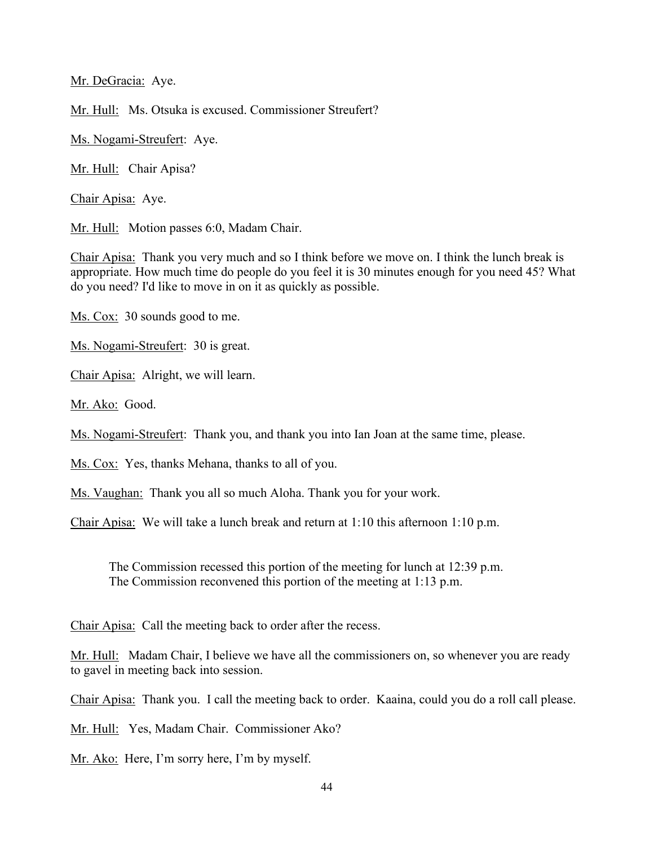Mr. DeGracia: Aye.

Mr. Hull: Ms. Otsuka is excused. Commissioner Streufert?

Ms. Nogami-Streufert: Aye.

Mr. Hull: Chair Apisa?

Chair Apisa: Aye.

Mr. Hull: Motion passes 6:0, Madam Chair.

Chair Apisa: Thank you very much and so I think before we move on. I think the lunch break is appropriate. How much time do people do you feel it is 30 minutes enough for you need 45? What do you need? I'd like to move in on it as quickly as possible.

Ms. Cox: 30 sounds good to me.

Ms. Nogami-Streufert: 30 is great.

Chair Apisa: Alright, we will learn.

Mr. Ako: Good.

Ms. Nogami-Streufert: Thank you, and thank you into Ian Joan at the same time, please.

Ms. Cox: Yes, thanks Mehana, thanks to all of you.

Ms. Vaughan: Thank you all so much Aloha. Thank you for your work.

Chair Apisa: We will take a lunch break and return at 1:10 this afternoon 1:10 p.m.

The Commission recessed this portion of the meeting for lunch at 12:39 p.m. The Commission reconvened this portion of the meeting at 1:13 p.m.

Chair Apisa: Call the meeting back to order after the recess.

Mr. Hull: Madam Chair, I believe we have all the commissioners on, so whenever you are ready to gavel in meeting back into session.

Chair Apisa: Thank you. I call the meeting back to order. Kaaina, could you do a roll call please.

Mr. Hull: Yes, Madam Chair. Commissioner Ako?

Mr. Ako: Here, I'm sorry here, I'm by myself.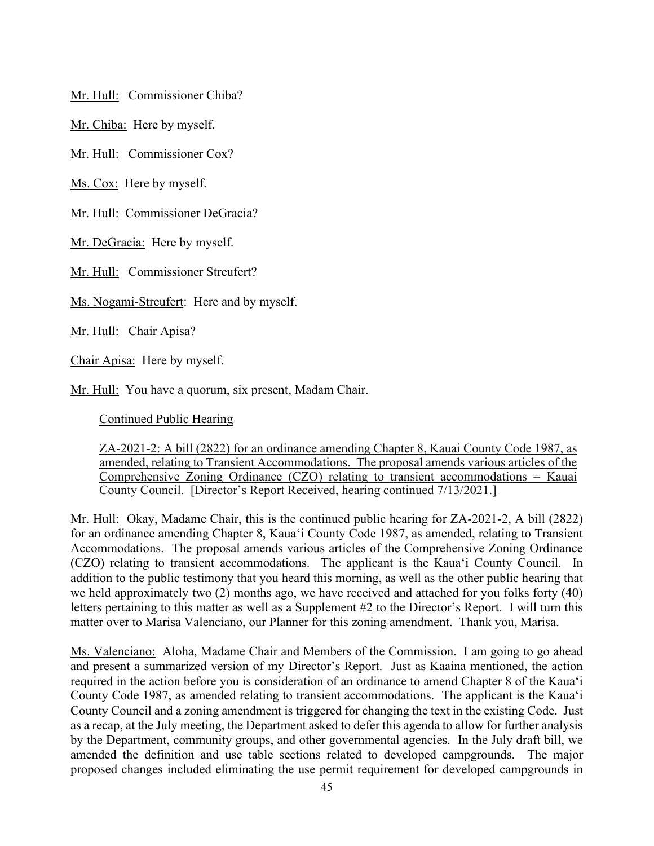Mr. Hull: Commissioner Chiba?

Mr. Chiba: Here by myself.

Mr. Hull: Commissioner Cox?

Ms. Cox: Here by myself.

Mr. Hull: Commissioner DeGracia?

Mr. DeGracia: Here by myself.

Mr. Hull: Commissioner Streufert?

Ms. Nogami-Streufert: Here and by myself.

Mr. Hull: Chair Apisa?

Chair Apisa: Here by myself.

Mr. Hull: You have a quorum, six present, Madam Chair.

Continued Public Hearing

ZA-2021-2: A bill (2822) for an ordinance amending Chapter 8, Kauai County Code 1987, as amended, relating to Transient Accommodations. The proposal amends various articles of the Comprehensive Zoning Ordinance (CZO) relating to transient accommodations = Kauai County Council. [Director's Report Received, hearing continued 7/13/2021.]

Mr. Hull: Okay, Madame Chair, this is the continued public hearing for ZA-2021-2, A bill (2822) for an ordinance amending Chapter 8, Kaua'i County Code 1987, as amended, relating to Transient Accommodations. The proposal amends various articles of the Comprehensive Zoning Ordinance (CZO) relating to transient accommodations. The applicant is the Kaua'i County Council. In addition to the public testimony that you heard this morning, as well as the other public hearing that we held approximately two (2) months ago, we have received and attached for you folks forty (40) letters pertaining to this matter as well as a Supplement #2 to the Director's Report. I will turn this matter over to Marisa Valenciano, our Planner for this zoning amendment. Thank you, Marisa.

Ms. Valenciano: Aloha, Madame Chair and Members of the Commission. I am going to go ahead and present a summarized version of my Director's Report. Just as Kaaina mentioned, the action required in the action before you is consideration of an ordinance to amend Chapter 8 of the Kaua'i County Code 1987, as amended relating to transient accommodations. The applicant is the Kaua'i County Council and a zoning amendment is triggered for changing the text in the existing Code. Just as a recap, at the July meeting, the Department asked to defer this agenda to allow for further analysis by the Department, community groups, and other governmental agencies. In the July draft bill, we amended the definition and use table sections related to developed campgrounds. The major proposed changes included eliminating the use permit requirement for developed campgrounds in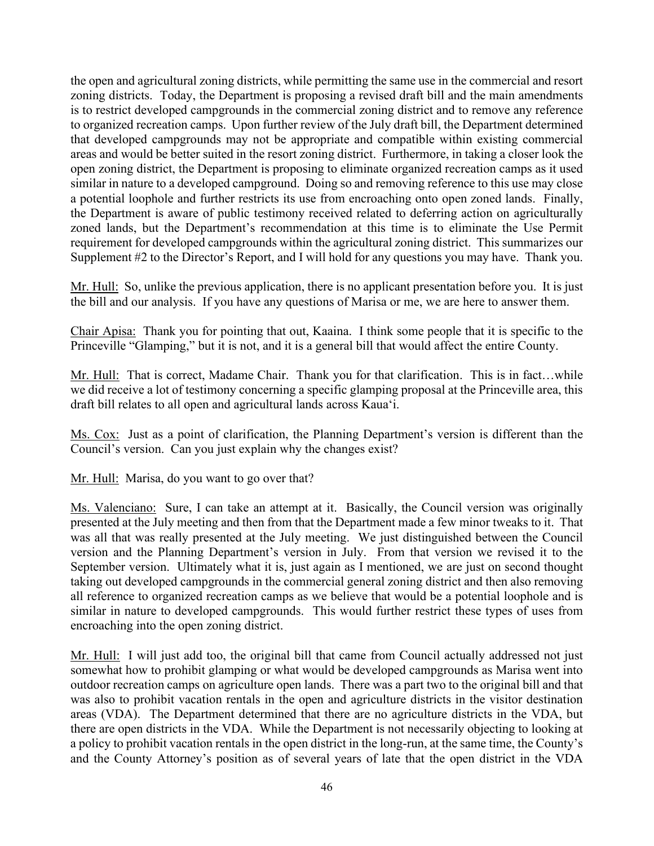the open and agricultural zoning districts, while permitting the same use in the commercial and resort zoning districts. Today, the Department is proposing a revised draft bill and the main amendments is to restrict developed campgrounds in the commercial zoning district and to remove any reference to organized recreation camps. Upon further review of the July draft bill, the Department determined that developed campgrounds may not be appropriate and compatible within existing commercial areas and would be better suited in the resort zoning district. Furthermore, in taking a closer look the open zoning district, the Department is proposing to eliminate organized recreation camps as it used similar in nature to a developed campground. Doing so and removing reference to this use may close a potential loophole and further restricts its use from encroaching onto open zoned lands. Finally, the Department is aware of public testimony received related to deferring action on agriculturally zoned lands, but the Department's recommendation at this time is to eliminate the Use Permit requirement for developed campgrounds within the agricultural zoning district. This summarizes our Supplement #2 to the Director's Report, and I will hold for any questions you may have. Thank you.

Mr. Hull: So, unlike the previous application, there is no applicant presentation before you. It is just the bill and our analysis. If you have any questions of Marisa or me, we are here to answer them.

Chair Apisa: Thank you for pointing that out, Kaaina. I think some people that it is specific to the Princeville "Glamping," but it is not, and it is a general bill that would affect the entire County.

Mr. Hull: That is correct, Madame Chair. Thank you for that clarification. This is in fact…while we did receive a lot of testimony concerning a specific glamping proposal at the Princeville area, this draft bill relates to all open and agricultural lands across Kaua'i.

Ms. Cox: Just as a point of clarification, the Planning Department's version is different than the Council's version. Can you just explain why the changes exist?

Mr. Hull: Marisa, do you want to go over that?

Ms. Valenciano: Sure, I can take an attempt at it. Basically, the Council version was originally presented at the July meeting and then from that the Department made a few minor tweaks to it. That was all that was really presented at the July meeting. We just distinguished between the Council version and the Planning Department's version in July. From that version we revised it to the September version. Ultimately what it is, just again as I mentioned, we are just on second thought taking out developed campgrounds in the commercial general zoning district and then also removing all reference to organized recreation camps as we believe that would be a potential loophole and is similar in nature to developed campgrounds. This would further restrict these types of uses from encroaching into the open zoning district.

Mr. Hull: I will just add too, the original bill that came from Council actually addressed not just somewhat how to prohibit glamping or what would be developed campgrounds as Marisa went into outdoor recreation camps on agriculture open lands. There was a part two to the original bill and that was also to prohibit vacation rentals in the open and agriculture districts in the visitor destination areas (VDA). The Department determined that there are no agriculture districts in the VDA, but there are open districts in the VDA. While the Department is not necessarily objecting to looking at a policy to prohibit vacation rentals in the open district in the long-run, at the same time, the County's and the County Attorney's position as of several years of late that the open district in the VDA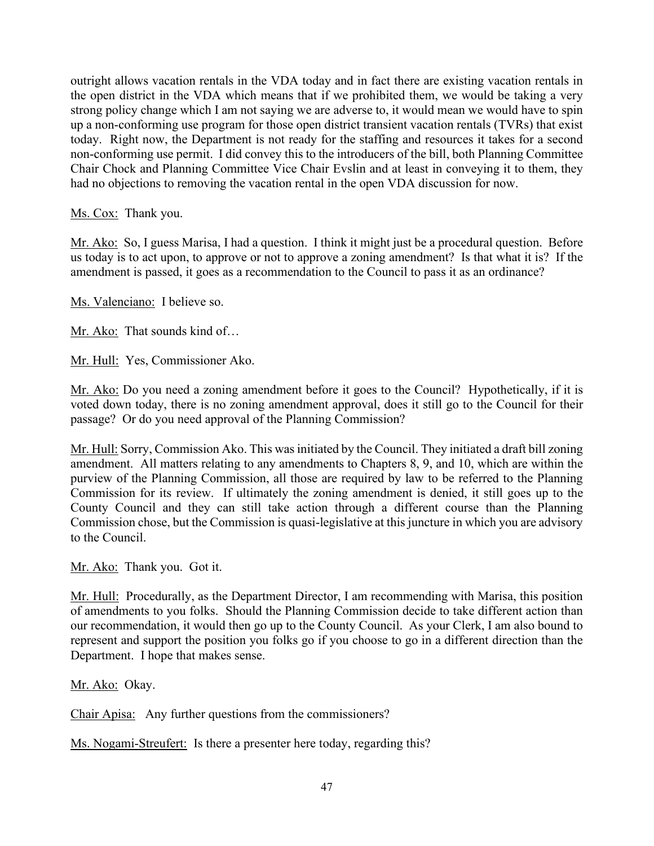outright allows vacation rentals in the VDA today and in fact there are existing vacation rentals in the open district in the VDA which means that if we prohibited them, we would be taking a very strong policy change which I am not saying we are adverse to, it would mean we would have to spin up a non-conforming use program for those open district transient vacation rentals (TVRs) that exist today. Right now, the Department is not ready for the staffing and resources it takes for a second non-conforming use permit. I did convey this to the introducers of the bill, both Planning Committee Chair Chock and Planning Committee Vice Chair Evslin and at least in conveying it to them, they had no objections to removing the vacation rental in the open VDA discussion for now.

Ms. Cox: Thank you.

Mr. Ako: So, I guess Marisa, I had a question. I think it might just be a procedural question. Before us today is to act upon, to approve or not to approve a zoning amendment? Is that what it is? If the amendment is passed, it goes as a recommendation to the Council to pass it as an ordinance?

Ms. Valenciano: I believe so.

Mr. Ako: That sounds kind of…

Mr. Hull: Yes, Commissioner Ako.

Mr. Ako: Do you need a zoning amendment before it goes to the Council? Hypothetically, if it is voted down today, there is no zoning amendment approval, does it still go to the Council for their passage? Or do you need approval of the Planning Commission?

Mr. Hull: Sorry, Commission Ako. This was initiated by the Council. They initiated a draft bill zoning amendment. All matters relating to any amendments to Chapters 8, 9, and 10, which are within the purview of the Planning Commission, all those are required by law to be referred to the Planning Commission for its review. If ultimately the zoning amendment is denied, it still goes up to the County Council and they can still take action through a different course than the Planning Commission chose, but the Commission is quasi-legislative at this juncture in which you are advisory to the Council.

Mr. Ako: Thank you. Got it.

Mr. Hull: Procedurally, as the Department Director, I am recommending with Marisa, this position of amendments to you folks. Should the Planning Commission decide to take different action than our recommendation, it would then go up to the County Council. As your Clerk, I am also bound to represent and support the position you folks go if you choose to go in a different direction than the Department. I hope that makes sense.

Mr. Ako: Okay.

Chair Apisa: Any further questions from the commissioners?

Ms. Nogami-Streufert: Is there a presenter here today, regarding this?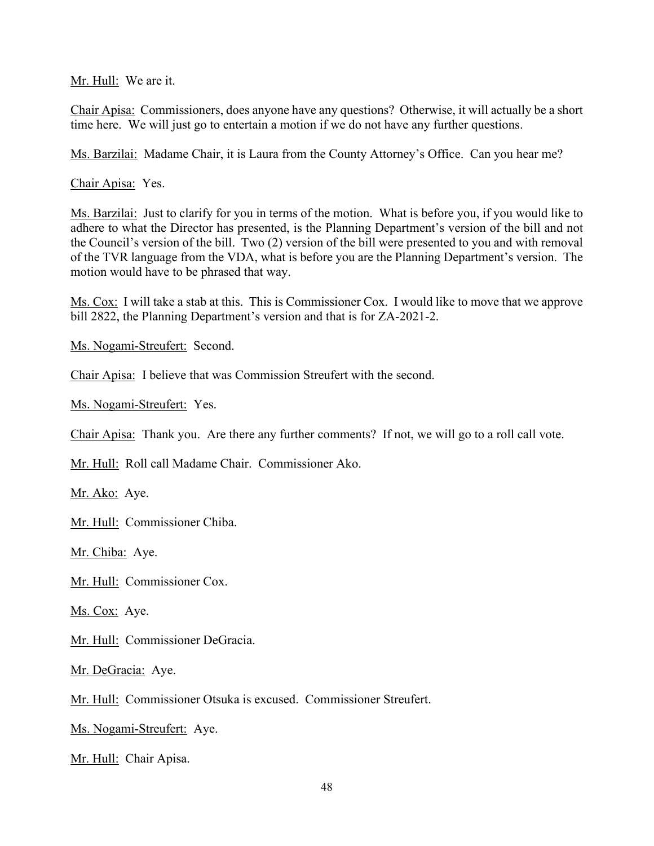Mr. Hull: We are it.

Chair Apisa: Commissioners, does anyone have any questions? Otherwise, it will actually be a short time here. We will just go to entertain a motion if we do not have any further questions.

Ms. Barzilai: Madame Chair, it is Laura from the County Attorney's Office. Can you hear me?

Chair Apisa: Yes.

Ms. Barzilai: Just to clarify for you in terms of the motion. What is before you, if you would like to adhere to what the Director has presented, is the Planning Department's version of the bill and not the Council's version of the bill. Two (2) version of the bill were presented to you and with removal of the TVR language from the VDA, what is before you are the Planning Department's version. The motion would have to be phrased that way.

Ms. Cox: I will take a stab at this. This is Commissioner Cox. I would like to move that we approve bill 2822, the Planning Department's version and that is for ZA-2021-2.

Ms. Nogami-Streufert: Second.

Chair Apisa: I believe that was Commission Streufert with the second.

Ms. Nogami-Streufert: Yes.

Chair Apisa: Thank you. Are there any further comments? If not, we will go to a roll call vote.

Mr. Hull: Roll call Madame Chair. Commissioner Ako.

Mr. Ako: Aye.

Mr. Hull: Commissioner Chiba.

Mr. Chiba: Aye.

Mr. Hull: Commissioner Cox.

Ms. Cox: Aye.

Mr. Hull: Commissioner DeGracia.

Mr. DeGracia: Aye.

Mr. Hull: Commissioner Otsuka is excused. Commissioner Streufert.

Ms. Nogami-Streufert: Aye.

Mr. Hull: Chair Apisa.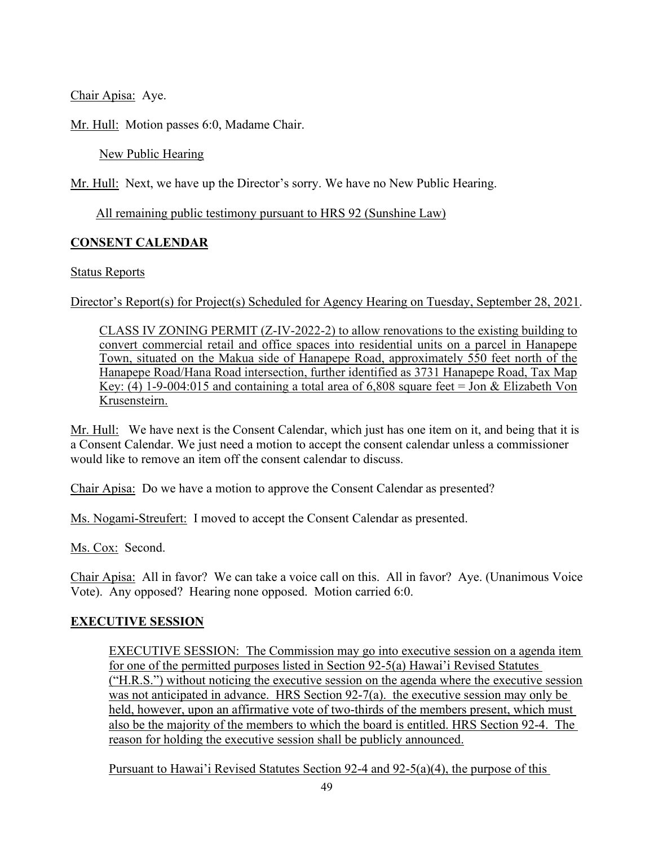Chair Apisa: Aye.

Mr. Hull: Motion passes 6:0, Madame Chair.

New Public Hearing

Mr. Hull: Next, we have up the Director's sorry. We have no New Public Hearing.

All remaining public testimony pursuant to HRS 92 (Sunshine Law)

## **CONSENT CALENDAR**

### Status Reports

Director's Report(s) for Project(s) Scheduled for Agency Hearing on Tuesday, September 28, 2021.

CLASS IV ZONING PERMIT (Z-IV-2022-2) to allow renovations to the existing building to convert commercial retail and office spaces into residential units on a parcel in Hanapepe Town, situated on the Makua side of Hanapepe Road, approximately 550 feet north of the Hanapepe Road/Hana Road intersection, further identified as 3731 Hanapepe Road, Tax Map Key: (4) 1-9-004:015 and containing a total area of 6,808 square feet = Jon & Elizabeth Von Krusensteirn.

Mr. Hull: We have next is the Consent Calendar, which just has one item on it, and being that it is a Consent Calendar. We just need a motion to accept the consent calendar unless a commissioner would like to remove an item off the consent calendar to discuss.

Chair Apisa: Do we have a motion to approve the Consent Calendar as presented?

Ms. Nogami-Streufert: I moved to accept the Consent Calendar as presented.

Ms. Cox: Second.

Chair Apisa: All in favor? We can take a voice call on this. All in favor? Aye. (Unanimous Voice Vote). Any opposed? Hearing none opposed. Motion carried 6:0.

## **EXECUTIVE SESSION**

EXECUTIVE SESSION: The Commission may go into executive session on a agenda item for one of the permitted purposes listed in Section 92-5(a) Hawai'i Revised Statutes ("H.R.S.") without noticing the executive session on the agenda where the executive session was not anticipated in advance. HRS Section 92-7(a). the executive session may only be held, however, upon an affirmative vote of two-thirds of the members present, which must also be the majority of the members to which the board is entitled. HRS Section 92-4. The reason for holding the executive session shall be publicly announced.

Pursuant to Hawai'i Revised Statutes Section 92-4 and 92-5(a)(4), the purpose of this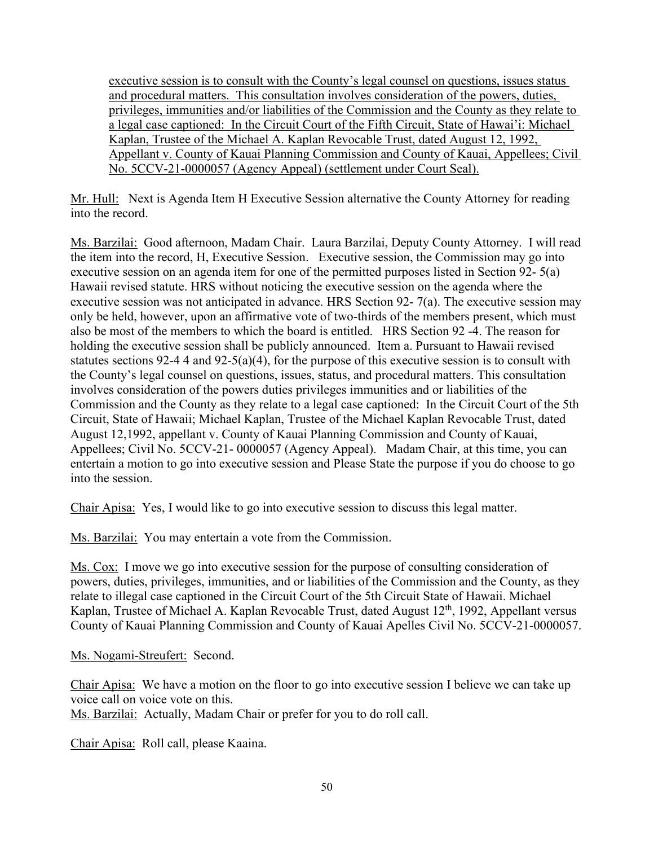executive session is to consult with the County's legal counsel on questions, issues status and procedural matters. This consultation involves consideration of the powers, duties, privileges, immunities and/or liabilities of the Commission and the County as they relate to a legal case captioned: In the Circuit Court of the Fifth Circuit, State of Hawai'i: Michael Kaplan, Trustee of the Michael A. Kaplan Revocable Trust, dated August 12, 1992, Appellant v. County of Kauai Planning Commission and County of Kauai, Appellees; Civil No. 5CCV-21-0000057 (Agency Appeal) (settlement under Court Seal).

Mr. Hull: Next is Agenda Item H Executive Session alternative the County Attorney for reading into the record.

Ms. Barzilai: Good afternoon, Madam Chair. Laura Barzilai, Deputy County Attorney. I will read the item into the record, H, Executive Session. Executive session, the Commission may go into executive session on an agenda item for one of the permitted purposes listed in Section 92- 5(a) Hawaii revised statute. HRS without noticing the executive session on the agenda where the executive session was not anticipated in advance. HRS Section 92- 7(a). The executive session may only be held, however, upon an affirmative vote of two-thirds of the members present, which must also be most of the members to which the board is entitled. HRS Section 92 -4. The reason for holding the executive session shall be publicly announced. Item a. Pursuant to Hawaii revised statutes sections 92-4 4 and 92-5(a)(4), for the purpose of this executive session is to consult with the County's legal counsel on questions, issues, status, and procedural matters. This consultation involves consideration of the powers duties privileges immunities and or liabilities of the Commission and the County as they relate to a legal case captioned: In the Circuit Court of the 5th Circuit, State of Hawaii; Michael Kaplan, Trustee of the Michael Kaplan Revocable Trust, dated August 12,1992, appellant v. County of Kauai Planning Commission and County of Kauai, Appellees; Civil No. 5CCV-21- 0000057 (Agency Appeal). Madam Chair, at this time, you can entertain a motion to go into executive session and Please State the purpose if you do choose to go into the session.

Chair Apisa: Yes, I would like to go into executive session to discuss this legal matter.

Ms. Barzilai: You may entertain a vote from the Commission.

Ms. Cox: I move we go into executive session for the purpose of consulting consideration of powers, duties, privileges, immunities, and or liabilities of the Commission and the County, as they relate to illegal case captioned in the Circuit Court of the 5th Circuit State of Hawaii. Michael Kaplan, Trustee of Michael A. Kaplan Revocable Trust, dated August 12<sup>th</sup>, 1992, Appellant versus County of Kauai Planning Commission and County of Kauai Apelles Civil No. 5CCV-21-0000057.

Ms. Nogami-Streufert: Second.

Chair Apisa: We have a motion on the floor to go into executive session I believe we can take up voice call on voice vote on this.

Ms. Barzilai: Actually, Madam Chair or prefer for you to do roll call.

Chair Apisa: Roll call, please Kaaina.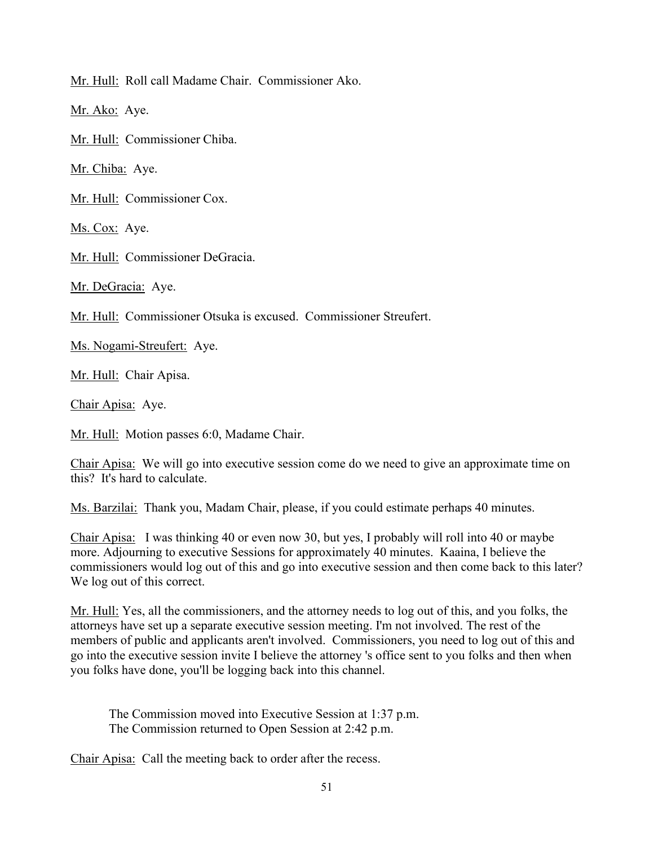Mr. Hull: Roll call Madame Chair. Commissioner Ako.

Mr. Ako: Aye.

Mr. Hull: Commissioner Chiba.

Mr. Chiba: Aye.

Mr. Hull: Commissioner Cox.

Ms. Cox: Aye.

Mr. Hull: Commissioner DeGracia.

Mr. DeGracia: Aye.

Mr. Hull: Commissioner Otsuka is excused. Commissioner Streufert.

Ms. Nogami-Streufert: Aye.

Mr. Hull: Chair Apisa.

Chair Apisa: Aye.

Mr. Hull: Motion passes 6:0, Madame Chair.

Chair Apisa: We will go into executive session come do we need to give an approximate time on this? It's hard to calculate.

Ms. Barzilai: Thank you, Madam Chair, please, if you could estimate perhaps 40 minutes.

Chair Apisa: I was thinking 40 or even now 30, but yes, I probably will roll into 40 or maybe more. Adjourning to executive Sessions for approximately 40 minutes. Kaaina, I believe the commissioners would log out of this and go into executive session and then come back to this later? We log out of this correct.

Mr. Hull: Yes, all the commissioners, and the attorney needs to log out of this, and you folks, the attorneys have set up a separate executive session meeting. I'm not involved. The rest of the members of public and applicants aren't involved. Commissioners, you need to log out of this and go into the executive session invite I believe the attorney 's office sent to you folks and then when you folks have done, you'll be logging back into this channel.

The Commission moved into Executive Session at 1:37 p.m. The Commission returned to Open Session at 2:42 p.m.

Chair Apisa: Call the meeting back to order after the recess.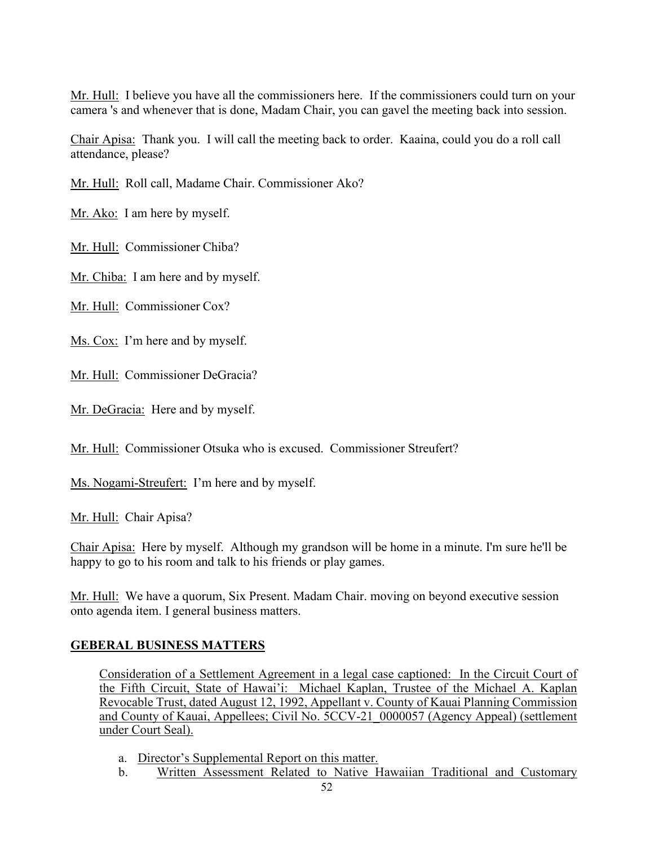Mr. Hull: I believe you have all the commissioners here. If the commissioners could turn on your camera 's and whenever that is done, Madam Chair, you can gavel the meeting back into session.

Chair Apisa: Thank you. I will call the meeting back to order. Kaaina, could you do a roll call attendance, please?

Mr. Hull: Roll call, Madame Chair. Commissioner Ako?

Mr. Ako: I am here by myself.

Mr. Hull: Commissioner Chiba?

Mr. Chiba: I am here and by myself.

Mr. Hull: Commissioner Cox?

Ms. Cox: I'm here and by myself.

Mr. Hull: Commissioner DeGracia?

Mr. DeGracia: Here and by myself.

Mr. Hull: Commissioner Otsuka who is excused. Commissioner Streufert?

Ms. Nogami-Streufert: I'm here and by myself.

Mr. Hull: Chair Apisa?

Chair Apisa: Here by myself. Although my grandson will be home in a minute. I'm sure he'll be happy to go to his room and talk to his friends or play games.

Mr. Hull: We have a quorum, Six Present. Madam Chair. moving on beyond executive session onto agenda item. I general business matters.

## **GEBERAL BUSINESS MATTERS**

Consideration of a Settlement Agreement in a legal case captioned: In the Circuit Court of the Fifth Circuit, State of Hawai'i: Michael Kaplan, Trustee of the Michael A. Kaplan Revocable Trust, dated August 12, 1992, Appellant v. County of Kauai Planning Commission and County of Kauai, Appellees; Civil No. 5CCV-21\_0000057 (Agency Appeal) (settlement under Court Seal).

- a. Director's Supplemental Report on this matter.
- b. Written Assessment Related to Native Hawaiian Traditional and Customary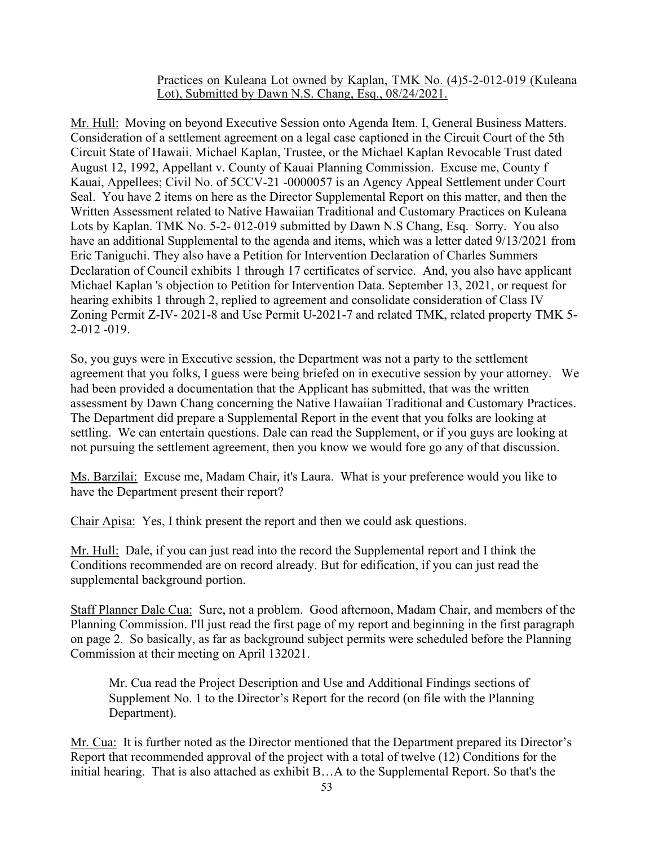### Practices on Kuleana Lot owned by Kaplan, TMK No. (4)5-2-012-019 (Kuleana Lot), Submitted by Dawn N.S. Chang, Esq., 08/24/2021.

Mr. Hull: Moving on beyond Executive Session onto Agenda Item. I, General Business Matters. Consideration of a settlement agreement on a legal case captioned in the Circuit Court of the 5th Circuit State of Hawaii. Michael Kaplan, Trustee, or the Michael Kaplan Revocable Trust dated August 12, 1992, Appellant v. County of Kauai Planning Commission. Excuse me, County f Kauai, Appellees; Civil No. of 5CCV-21 -0000057 is an Agency Appeal Settlement under Court Seal. You have 2 items on here as the Director Supplemental Report on this matter, and then the Written Assessment related to Native Hawaiian Traditional and Customary Practices on Kuleana Lots by Kaplan. TMK No. 5-2- 012-019 submitted by Dawn N.S Chang, Esq. Sorry. You also have an additional Supplemental to the agenda and items, which was a letter dated 9/13/2021 from Eric Taniguchi. They also have a Petition for Intervention Declaration of Charles Summers Declaration of Council exhibits 1 through 17 certificates of service. And, you also have applicant Michael Kaplan 's objection to Petition for Intervention Data. September 13, 2021, or request for hearing exhibits 1 through 2, replied to agreement and consolidate consideration of Class IV Zoning Permit Z-IV- 2021-8 and Use Permit U-2021-7 and related TMK, related property TMK 5- 2-012 -019.

So, you guys were in Executive session, the Department was not a party to the settlement agreement that you folks, I guess were being briefed on in executive session by your attorney. We had been provided a documentation that the Applicant has submitted, that was the written assessment by Dawn Chang concerning the Native Hawaiian Traditional and Customary Practices. The Department did prepare a Supplemental Report in the event that you folks are looking at settling. We can entertain questions. Dale can read the Supplement, or if you guys are looking at not pursuing the settlement agreement, then you know we would fore go any of that discussion.

Ms. Barzilai: Excuse me, Madam Chair, it's Laura. What is your preference would you like to have the Department present their report?

Chair Apisa: Yes, I think present the report and then we could ask questions.

Mr. Hull: Dale, if you can just read into the record the Supplemental report and I think the Conditions recommended are on record already. But for edification, if you can just read the supplemental background portion.

Staff Planner Dale Cua: Sure, not a problem. Good afternoon, Madam Chair, and members of the Planning Commission. I'll just read the first page of my report and beginning in the first paragraph on page 2. So basically, as far as background subject permits were scheduled before the Planning Commission at their meeting on April 132021.

Mr. Cua read the Project Description and Use and Additional Findings sections of Supplement No. 1 to the Director's Report for the record (on file with the Planning Department).

Mr. Cua: It is further noted as the Director mentioned that the Department prepared its Director's Report that recommended approval of the project with a total of twelve (12) Conditions for the initial hearing. That is also attached as exhibit B…A to the Supplemental Report. So that's the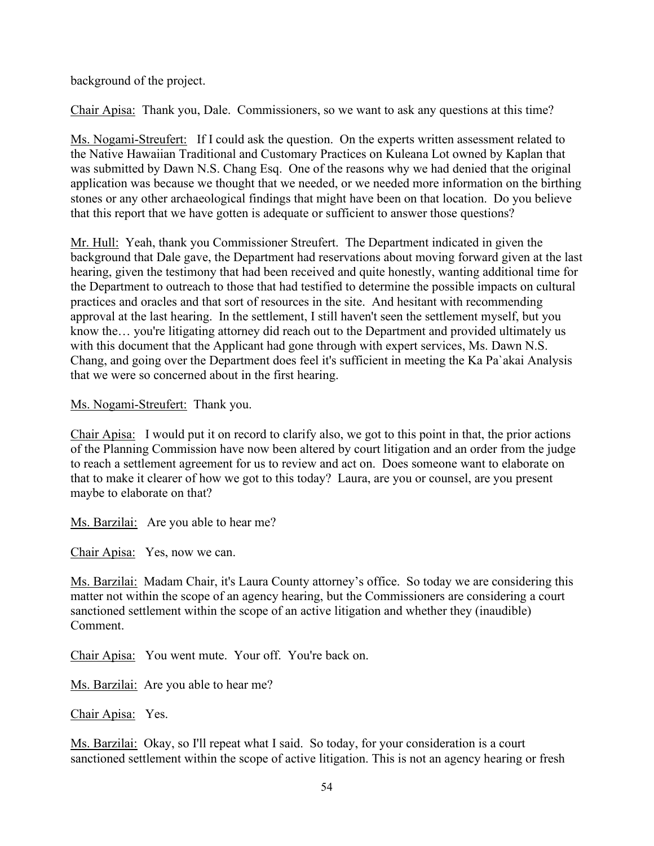background of the project.

Chair Apisa: Thank you, Dale. Commissioners, so we want to ask any questions at this time?

Ms. Nogami-Streufert: If I could ask the question. On the experts written assessment related to the Native Hawaiian Traditional and Customary Practices on Kuleana Lot owned by Kaplan that was submitted by Dawn N.S. Chang Esq. One of the reasons why we had denied that the original application was because we thought that we needed, or we needed more information on the birthing stones or any other archaeological findings that might have been on that location. Do you believe that this report that we have gotten is adequate or sufficient to answer those questions?

Mr. Hull: Yeah, thank you Commissioner Streufert. The Department indicated in given the background that Dale gave, the Department had reservations about moving forward given at the last hearing, given the testimony that had been received and quite honestly, wanting additional time for the Department to outreach to those that had testified to determine the possible impacts on cultural practices and oracles and that sort of resources in the site. And hesitant with recommending approval at the last hearing. In the settlement, I still haven't seen the settlement myself, but you know the... you're litigating attorney did reach out to the Department and provided ultimately us with this document that the Applicant had gone through with expert services, Ms. Dawn N.S. Chang, and going over the Department does feel it's sufficient in meeting the Ka Pa`akai Analysis that we were so concerned about in the first hearing.

Ms. Nogami-Streufert: Thank you.

Chair Apisa: I would put it on record to clarify also, we got to this point in that, the prior actions of the Planning Commission have now been altered by court litigation and an order from the judge to reach a settlement agreement for us to review and act on. Does someone want to elaborate on that to make it clearer of how we got to this today? Laura, are you or counsel, are you present maybe to elaborate on that?

Ms. Barzilai: Are you able to hear me?

Chair Apisa: Yes, now we can.

Ms. Barzilai: Madam Chair, it's Laura County attorney's office. So today we are considering this matter not within the scope of an agency hearing, but the Commissioners are considering a court sanctioned settlement within the scope of an active litigation and whether they (inaudible) Comment.

Chair Apisa: You went mute. Your off. You're back on.

Ms. Barzilai: Are you able to hear me?

Chair Apisa: Yes.

Ms. Barzilai: Okay, so I'll repeat what I said. So today, for your consideration is a court sanctioned settlement within the scope of active litigation. This is not an agency hearing or fresh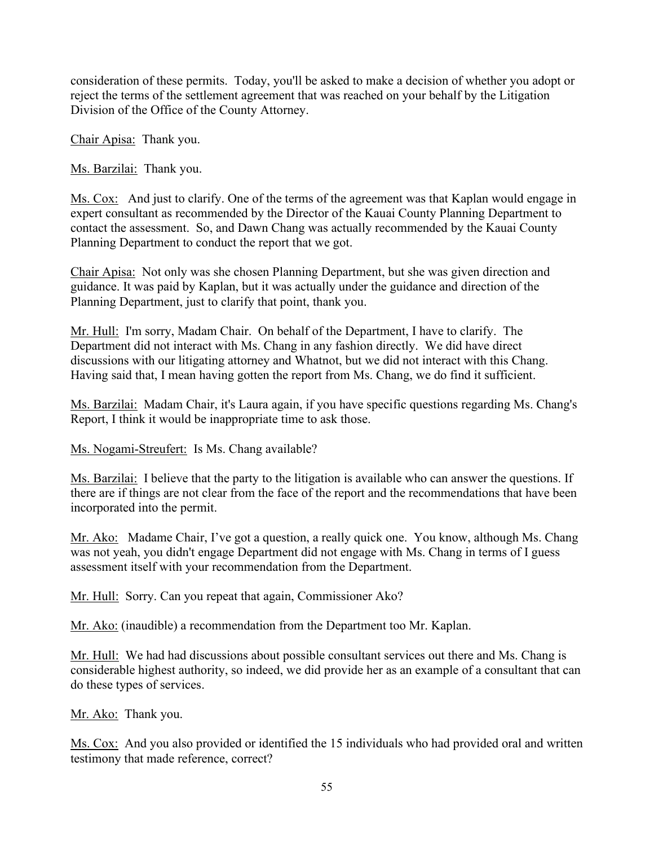consideration of these permits. Today, you'll be asked to make a decision of whether you adopt or reject the terms of the settlement agreement that was reached on your behalf by the Litigation Division of the Office of the County Attorney.

Chair Apisa: Thank you.

Ms. Barzilai: Thank you.

Ms. Cox: And just to clarify. One of the terms of the agreement was that Kaplan would engage in expert consultant as recommended by the Director of the Kauai County Planning Department to contact the assessment. So, and Dawn Chang was actually recommended by the Kauai County Planning Department to conduct the report that we got.

Chair Apisa: Not only was she chosen Planning Department, but she was given direction and guidance. It was paid by Kaplan, but it was actually under the guidance and direction of the Planning Department, just to clarify that point, thank you.

Mr. Hull: I'm sorry, Madam Chair. On behalf of the Department, I have to clarify. The Department did not interact with Ms. Chang in any fashion directly. We did have direct discussions with our litigating attorney and Whatnot, but we did not interact with this Chang. Having said that, I mean having gotten the report from Ms. Chang, we do find it sufficient.

Ms. Barzilai: Madam Chair, it's Laura again, if you have specific questions regarding Ms. Chang's Report, I think it would be inappropriate time to ask those.

Ms. Nogami-Streufert: Is Ms. Chang available?

Ms. Barzilai: I believe that the party to the litigation is available who can answer the questions. If there are if things are not clear from the face of the report and the recommendations that have been incorporated into the permit.

Mr. Ako: Madame Chair, I've got a question, a really quick one. You know, although Ms. Chang was not yeah, you didn't engage Department did not engage with Ms. Chang in terms of I guess assessment itself with your recommendation from the Department.

Mr. Hull: Sorry. Can you repeat that again, Commissioner Ako?

Mr. Ako: (inaudible) a recommendation from the Department too Mr. Kaplan.

Mr. Hull: We had had discussions about possible consultant services out there and Ms. Chang is considerable highest authority, so indeed, we did provide her as an example of a consultant that can do these types of services.

Mr. Ako: Thank you.

Ms. Cox: And you also provided or identified the 15 individuals who had provided oral and written testimony that made reference, correct?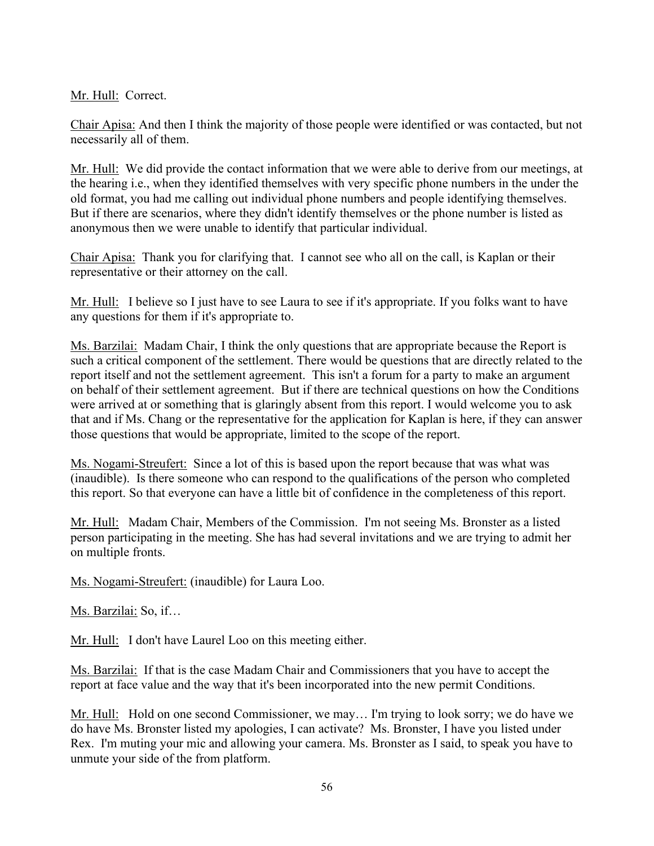Mr. Hull: Correct.

Chair Apisa: And then I think the majority of those people were identified or was contacted, but not necessarily all of them.

Mr. Hull: We did provide the contact information that we were able to derive from our meetings, at the hearing i.e., when they identified themselves with very specific phone numbers in the under the old format, you had me calling out individual phone numbers and people identifying themselves. But if there are scenarios, where they didn't identify themselves or the phone number is listed as anonymous then we were unable to identify that particular individual.

Chair Apisa: Thank you for clarifying that. I cannot see who all on the call, is Kaplan or their representative or their attorney on the call.

Mr. Hull: I believe so I just have to see Laura to see if it's appropriate. If you folks want to have any questions for them if it's appropriate to.

Ms. Barzilai: Madam Chair, I think the only questions that are appropriate because the Report is such a critical component of the settlement. There would be questions that are directly related to the report itself and not the settlement agreement. This isn't a forum for a party to make an argument on behalf of their settlement agreement. But if there are technical questions on how the Conditions were arrived at or something that is glaringly absent from this report. I would welcome you to ask that and if Ms. Chang or the representative for the application for Kaplan is here, if they can answer those questions that would be appropriate, limited to the scope of the report.

Ms. Nogami-Streufert: Since a lot of this is based upon the report because that was what was (inaudible). Is there someone who can respond to the qualifications of the person who completed this report. So that everyone can have a little bit of confidence in the completeness of this report.

Mr. Hull: Madam Chair, Members of the Commission. I'm not seeing Ms. Bronster as a listed person participating in the meeting. She has had several invitations and we are trying to admit her on multiple fronts.

Ms. Nogami-Streufert: (inaudible) for Laura Loo.

Ms. Barzilai: So, if…

Mr. Hull: I don't have Laurel Loo on this meeting either.

Ms. Barzilai: If that is the case Madam Chair and Commissioners that you have to accept the report at face value and the way that it's been incorporated into the new permit Conditions.

Mr. Hull: Hold on one second Commissioner, we may... I'm trying to look sorry; we do have we do have Ms. Bronster listed my apologies, I can activate? Ms. Bronster, I have you listed under Rex. I'm muting your mic and allowing your camera. Ms. Bronster as I said, to speak you have to unmute your side of the from platform.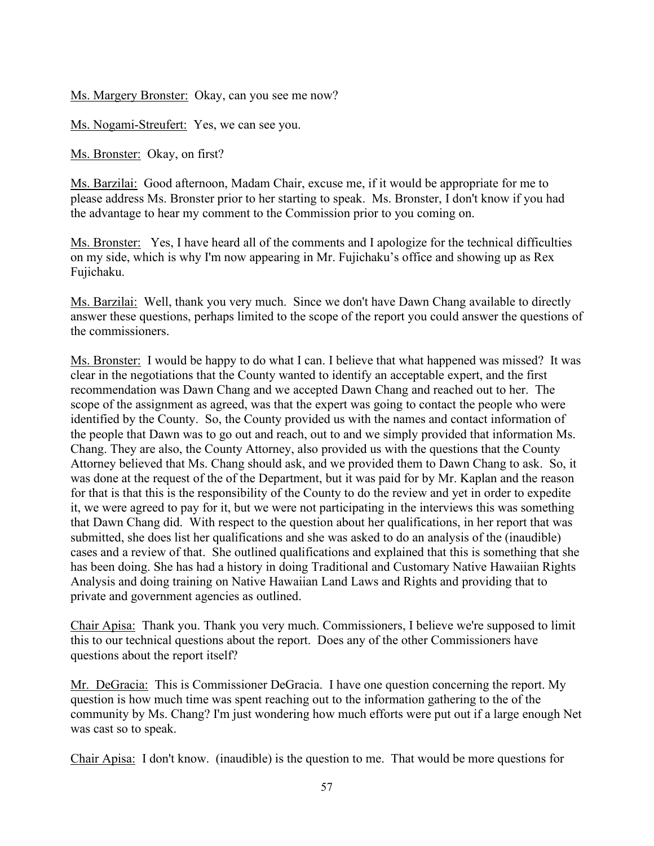Ms. Margery Bronster: Okay, can you see me now?

Ms. Nogami-Streufert: Yes, we can see you.

Ms. Bronster: Okay, on first?

Ms. Barzilai: Good afternoon, Madam Chair, excuse me, if it would be appropriate for me to please address Ms. Bronster prior to her starting to speak. Ms. Bronster, I don't know if you had the advantage to hear my comment to the Commission prior to you coming on.

Ms. Bronster: Yes, I have heard all of the comments and I apologize for the technical difficulties on my side, which is why I'm now appearing in Mr. Fujichaku's office and showing up as Rex Fujichaku.

Ms. Barzilai: Well, thank you very much. Since we don't have Dawn Chang available to directly answer these questions, perhaps limited to the scope of the report you could answer the questions of the commissioners.

Ms. Bronster: I would be happy to do what I can. I believe that what happened was missed? It was clear in the negotiations that the County wanted to identify an acceptable expert, and the first recommendation was Dawn Chang and we accepted Dawn Chang and reached out to her. The scope of the assignment as agreed, was that the expert was going to contact the people who were identified by the County. So, the County provided us with the names and contact information of the people that Dawn was to go out and reach, out to and we simply provided that information Ms. Chang. They are also, the County Attorney, also provided us with the questions that the County Attorney believed that Ms. Chang should ask, and we provided them to Dawn Chang to ask. So, it was done at the request of the of the Department, but it was paid for by Mr. Kaplan and the reason for that is that this is the responsibility of the County to do the review and yet in order to expedite it, we were agreed to pay for it, but we were not participating in the interviews this was something that Dawn Chang did. With respect to the question about her qualifications, in her report that was submitted, she does list her qualifications and she was asked to do an analysis of the (inaudible) cases and a review of that. She outlined qualifications and explained that this is something that she has been doing. She has had a history in doing Traditional and Customary Native Hawaiian Rights Analysis and doing training on Native Hawaiian Land Laws and Rights and providing that to private and government agencies as outlined.

Chair Apisa: Thank you. Thank you very much. Commissioners, I believe we're supposed to limit this to our technical questions about the report. Does any of the other Commissioners have questions about the report itself?

Mr. DeGracia: This is Commissioner DeGracia. I have one question concerning the report. My question is how much time was spent reaching out to the information gathering to the of the community by Ms. Chang? I'm just wondering how much efforts were put out if a large enough Net was cast so to speak.

Chair Apisa: I don't know. (inaudible) is the question to me. That would be more questions for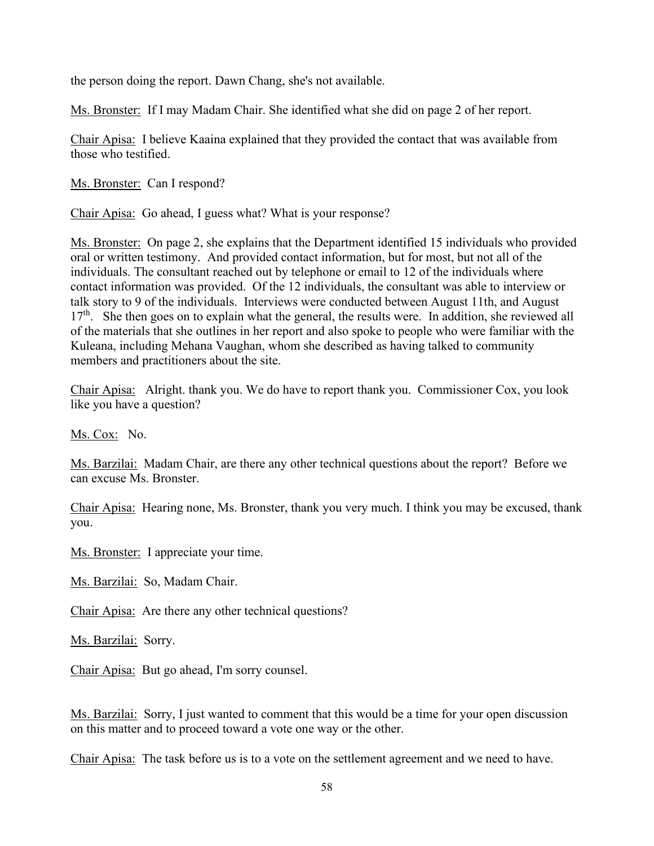the person doing the report. Dawn Chang, she's not available.

Ms. Bronster: If I may Madam Chair. She identified what she did on page 2 of her report.

Chair Apisa: I believe Kaaina explained that they provided the contact that was available from those who testified.

Ms. Bronster: Can I respond?

Chair Apisa: Go ahead, I guess what? What is your response?

Ms. Bronster: On page 2, she explains that the Department identified 15 individuals who provided oral or written testimony. And provided contact information, but for most, but not all of the individuals. The consultant reached out by telephone or email to 12 of the individuals where contact information was provided. Of the 12 individuals, the consultant was able to interview or talk story to 9 of the individuals. Interviews were conducted between August 11th, and August  $17<sup>th</sup>$ . She then goes on to explain what the general, the results were. In addition, she reviewed all of the materials that she outlines in her report and also spoke to people who were familiar with the Kuleana, including Mehana Vaughan, whom she described as having talked to community members and practitioners about the site.

Chair Apisa: Alright. thank you. We do have to report thank you. Commissioner Cox, you look like you have a question?

Ms. Cox: No.

Ms. Barzilai: Madam Chair, are there any other technical questions about the report? Before we can excuse Ms. Bronster.

Chair Apisa: Hearing none, Ms. Bronster, thank you very much. I think you may be excused, thank you.

Ms. Bronster: I appreciate your time.

Ms. Barzilai: So, Madam Chair.

Chair Apisa: Are there any other technical questions?

Ms. Barzilai: Sorry.

Chair Apisa: But go ahead, I'm sorry counsel.

Ms. Barzilai: Sorry, I just wanted to comment that this would be a time for your open discussion on this matter and to proceed toward a vote one way or the other.

Chair Apisa: The task before us is to a vote on the settlement agreement and we need to have.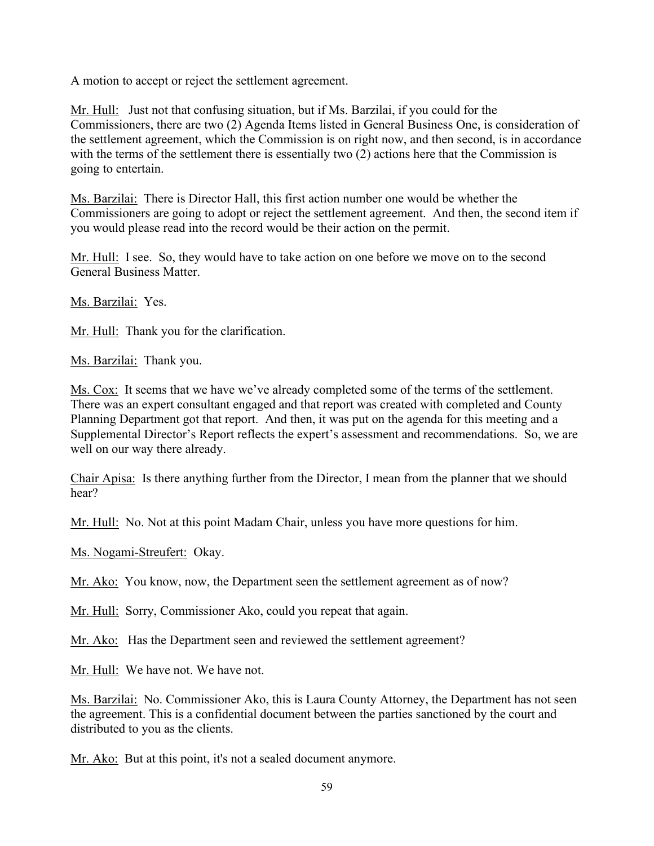A motion to accept or reject the settlement agreement.

Mr. Hull: Just not that confusing situation, but if Ms. Barzilai, if you could for the Commissioners, there are two (2) Agenda Items listed in General Business One, is consideration of the settlement agreement, which the Commission is on right now, and then second, is in accordance with the terms of the settlement there is essentially two (2) actions here that the Commission is going to entertain.

Ms. Barzilai: There is Director Hall, this first action number one would be whether the Commissioners are going to adopt or reject the settlement agreement. And then, the second item if you would please read into the record would be their action on the permit.

Mr. Hull: I see. So, they would have to take action on one before we move on to the second General Business Matter.

Ms. Barzilai: Yes.

Mr. Hull: Thank you for the clarification.

Ms. Barzilai: Thank you.

Ms. Cox: It seems that we have we've already completed some of the terms of the settlement. There was an expert consultant engaged and that report was created with completed and County Planning Department got that report. And then, it was put on the agenda for this meeting and a Supplemental Director's Report reflects the expert's assessment and recommendations. So, we are well on our way there already.

Chair Apisa: Is there anything further from the Director, I mean from the planner that we should hear?

Mr. Hull: No. Not at this point Madam Chair, unless you have more questions for him.

Ms. Nogami-Streufert: Okay.

Mr. Ako: You know, now, the Department seen the settlement agreement as of now?

Mr. Hull: Sorry, Commissioner Ako, could you repeat that again.

Mr. Ako: Has the Department seen and reviewed the settlement agreement?

Mr. Hull: We have not. We have not.

Ms. Barzilai: No. Commissioner Ako, this is Laura County Attorney, the Department has not seen the agreement. This is a confidential document between the parties sanctioned by the court and distributed to you as the clients.

Mr. Ako: But at this point, it's not a sealed document anymore.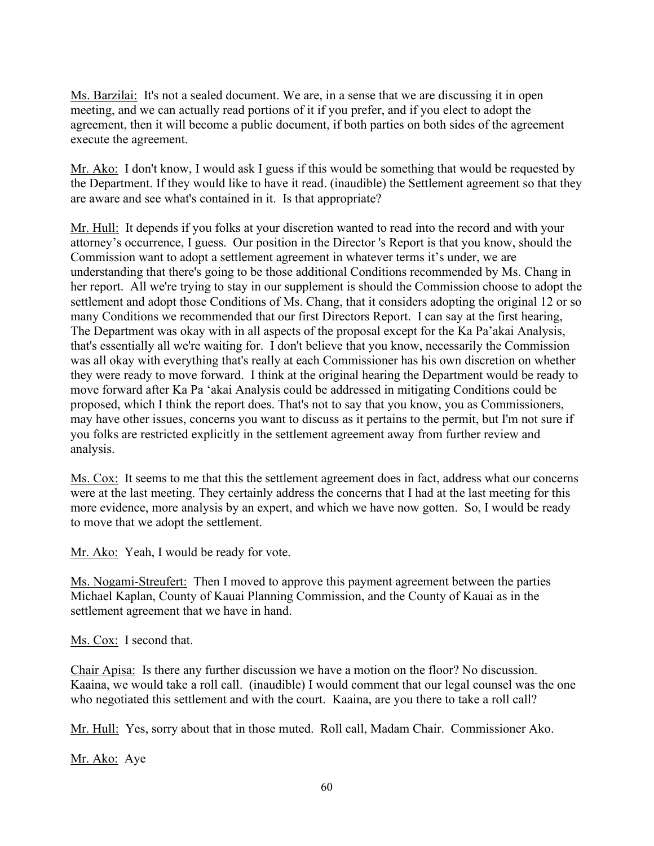Ms. Barzilai: It's not a sealed document. We are, in a sense that we are discussing it in open meeting, and we can actually read portions of it if you prefer, and if you elect to adopt the agreement, then it will become a public document, if both parties on both sides of the agreement execute the agreement.

Mr. Ako: I don't know, I would ask I guess if this would be something that would be requested by the Department. If they would like to have it read. (inaudible) the Settlement agreement so that they are aware and see what's contained in it. Is that appropriate?

Mr. Hull: It depends if you folks at your discretion wanted to read into the record and with your attorney's occurrence, I guess. Our position in the Director 's Report is that you know, should the Commission want to adopt a settlement agreement in whatever terms it's under, we are understanding that there's going to be those additional Conditions recommended by Ms. Chang in her report. All we're trying to stay in our supplement is should the Commission choose to adopt the settlement and adopt those Conditions of Ms. Chang, that it considers adopting the original 12 or so many Conditions we recommended that our first Directors Report. I can say at the first hearing, The Department was okay with in all aspects of the proposal except for the Ka Pa'akai Analysis, that's essentially all we're waiting for. I don't believe that you know, necessarily the Commission was all okay with everything that's really at each Commissioner has his own discretion on whether they were ready to move forward. I think at the original hearing the Department would be ready to move forward after Ka Pa 'akai Analysis could be addressed in mitigating Conditions could be proposed, which I think the report does. That's not to say that you know, you as Commissioners, may have other issues, concerns you want to discuss as it pertains to the permit, but I'm not sure if you folks are restricted explicitly in the settlement agreement away from further review and analysis.

Ms. Cox: It seems to me that this the settlement agreement does in fact, address what our concerns were at the last meeting. They certainly address the concerns that I had at the last meeting for this more evidence, more analysis by an expert, and which we have now gotten. So, I would be ready to move that we adopt the settlement.

Mr. Ako: Yeah, I would be ready for vote.

Ms. Nogami-Streufert: Then I moved to approve this payment agreement between the parties Michael Kaplan, County of Kauai Planning Commission, and the County of Kauai as in the settlement agreement that we have in hand.

Ms. Cox: I second that.

Chair Apisa: Is there any further discussion we have a motion on the floor? No discussion. Kaaina, we would take a roll call. (inaudible) I would comment that our legal counsel was the one who negotiated this settlement and with the court. Kaaina, are you there to take a roll call?

Mr. Hull: Yes, sorry about that in those muted. Roll call, Madam Chair. Commissioner Ako.

Mr. Ako: Aye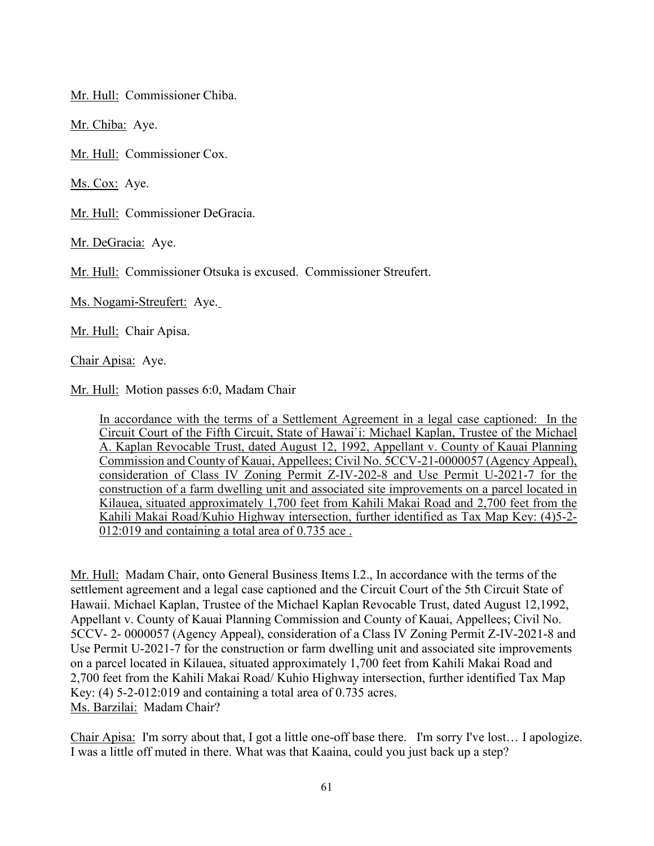Mr. Hull: Commissioner Chiba.

Mr. Chiba: Aye.

Mr. Hull: Commissioner Cox.

Ms. Cox: Aye.

Mr. Hull: Commissioner DeGracia.

Mr. DeGracia: Aye.

Mr. Hull: Commissioner Otsuka is excused. Commissioner Streufert.

Ms. Nogami-Streufert: Aye.

Mr. Hull: Chair Apisa.

Chair Apisa: Aye.

Mr. Hull: Motion passes 6:0, Madam Chair

In accordance with the terms of a Settlement Agreement in a legal case captioned: In the Circuit Court of the Fifth Circuit, State of Hawai`i: Michael Kaplan, Trustee of the Michael A. Kaplan Revocable Trust, dated August 12, 1992, Appellant v. County of Kauai Planning Commission and County of Kauai, Appellees; Civil No. 5CCV-21-0000057 (Agency Appeal), consideration of Class IV Zoning Permit Z-IV-202-8 and Use Permit U-2021-7 for the construction of a farm dwelling unit and associated site improvements on a parcel located in Kilauea, situated approximately 1,700 feet from Kahili Makai Road and 2,700 feet from the Kahili Makai Road/Kuhio Highway intersection, further identified as Tax Map Key: (4)5-2- 012:019 and containing a total area of 0.735 ace .

Mr. Hull: Madam Chair, onto General Business Items I.2., In accordance with the terms of the settlement agreement and a legal case captioned and the Circuit Court of the 5th Circuit State of Hawaii. Michael Kaplan, Trustee of the Michael Kaplan Revocable Trust, dated August 12,1992, Appellant v. County of Kauai Planning Commission and County of Kauai, Appellees; Civil No. 5CCV- 2- 0000057 (Agency Appeal), consideration of a Class IV Zoning Permit Z-IV-2021-8 and Use Permit U-2021-7 for the construction or farm dwelling unit and associated site improvements on a parcel located in Kilauea, situated approximately 1,700 feet from Kahili Makai Road and 2,700 feet from the Kahili Makai Road/ Kuhio Highway intersection, further identified Tax Map Key: (4) 5-2-012:019 and containing a total area of 0.735 acres. Ms. Barzilai: Madam Chair?

Chair Apisa: I'm sorry about that, I got a little one-off base there. I'm sorry I've lost… I apologize. I was a little off muted in there. What was that Kaaina, could you just back up a step?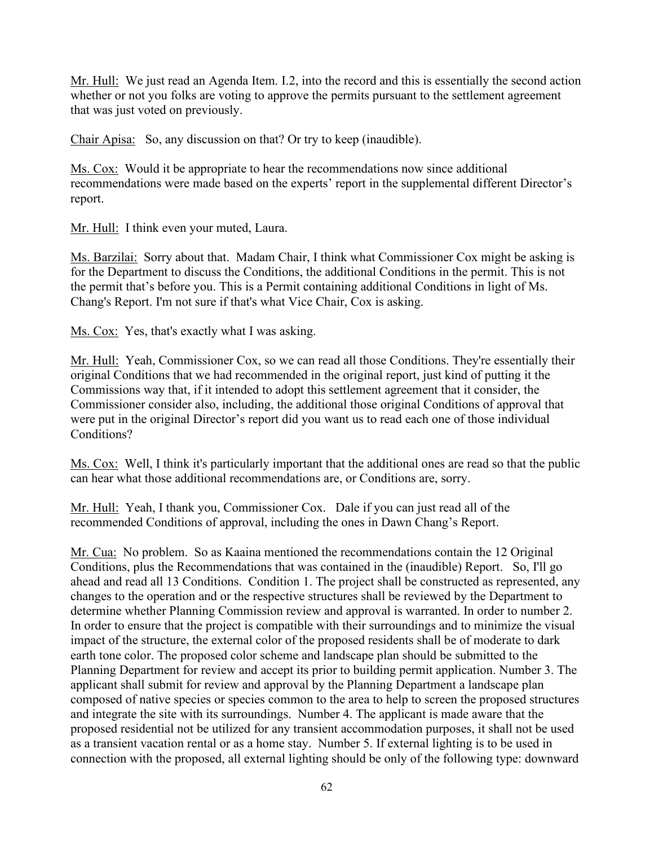Mr. Hull: We just read an Agenda Item. I.2, into the record and this is essentially the second action whether or not you folks are voting to approve the permits pursuant to the settlement agreement that was just voted on previously.

Chair Apisa: So, any discussion on that? Or try to keep (inaudible).

Ms. Cox: Would it be appropriate to hear the recommendations now since additional recommendations were made based on the experts' report in the supplemental different Director's report.

Mr. Hull: I think even your muted, Laura.

Ms. Barzilai: Sorry about that. Madam Chair, I think what Commissioner Cox might be asking is for the Department to discuss the Conditions, the additional Conditions in the permit. This is not the permit that's before you. This is a Permit containing additional Conditions in light of Ms. Chang's Report. I'm not sure if that's what Vice Chair, Cox is asking.

Ms. Cox: Yes, that's exactly what I was asking.

Mr. Hull: Yeah, Commissioner Cox, so we can read all those Conditions. They're essentially their original Conditions that we had recommended in the original report, just kind of putting it the Commissions way that, if it intended to adopt this settlement agreement that it consider, the Commissioner consider also, including, the additional those original Conditions of approval that were put in the original Director's report did you want us to read each one of those individual Conditions?

Ms. Cox: Well, I think it's particularly important that the additional ones are read so that the public can hear what those additional recommendations are, or Conditions are, sorry.

Mr. Hull: Yeah, I thank you, Commissioner Cox. Dale if you can just read all of the recommended Conditions of approval, including the ones in Dawn Chang's Report.

Mr. Cua: No problem. So as Kaaina mentioned the recommendations contain the 12 Original Conditions, plus the Recommendations that was contained in the (inaudible) Report. So, I'll go ahead and read all 13 Conditions. Condition 1. The project shall be constructed as represented, any changes to the operation and or the respective structures shall be reviewed by the Department to determine whether Planning Commission review and approval is warranted. In order to number 2. In order to ensure that the project is compatible with their surroundings and to minimize the visual impact of the structure, the external color of the proposed residents shall be of moderate to dark earth tone color. The proposed color scheme and landscape plan should be submitted to the Planning Department for review and accept its prior to building permit application. Number 3. The applicant shall submit for review and approval by the Planning Department a landscape plan composed of native species or species common to the area to help to screen the proposed structures and integrate the site with its surroundings. Number 4. The applicant is made aware that the proposed residential not be utilized for any transient accommodation purposes, it shall not be used as a transient vacation rental or as a home stay. Number 5. If external lighting is to be used in connection with the proposed, all external lighting should be only of the following type: downward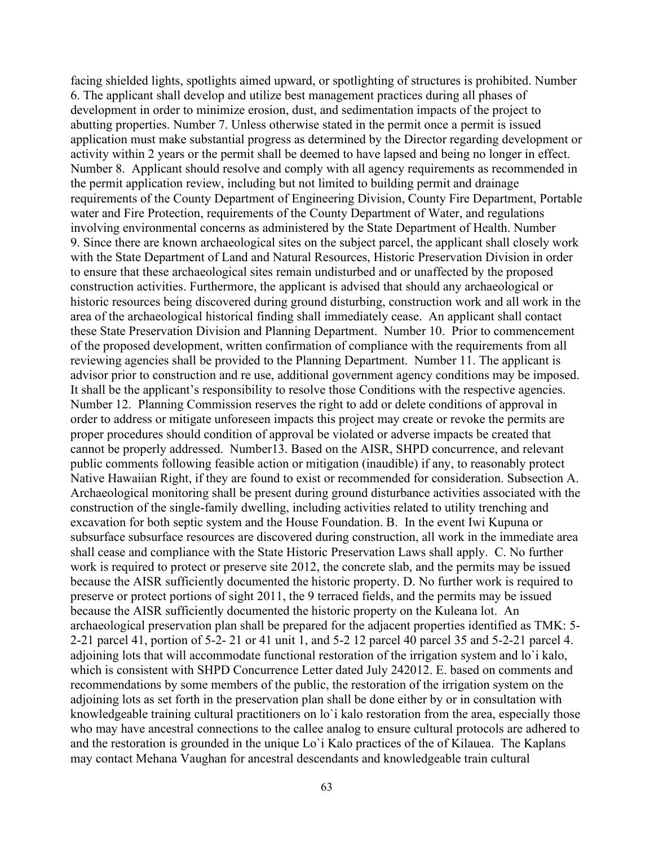facing shielded lights, spotlights aimed upward, or spotlighting of structures is prohibited. Number 6. The applicant shall develop and utilize best management practices during all phases of development in order to minimize erosion, dust, and sedimentation impacts of the project to abutting properties. Number 7. Unless otherwise stated in the permit once a permit is issued application must make substantial progress as determined by the Director regarding development or activity within 2 years or the permit shall be deemed to have lapsed and being no longer in effect. Number 8. Applicant should resolve and comply with all agency requirements as recommended in the permit application review, including but not limited to building permit and drainage requirements of the County Department of Engineering Division, County Fire Department, Portable water and Fire Protection, requirements of the County Department of Water, and regulations involving environmental concerns as administered by the State Department of Health. Number 9. Since there are known archaeological sites on the subject parcel, the applicant shall closely work with the State Department of Land and Natural Resources, Historic Preservation Division in order to ensure that these archaeological sites remain undisturbed and or unaffected by the proposed construction activities. Furthermore, the applicant is advised that should any archaeological or historic resources being discovered during ground disturbing, construction work and all work in the area of the archaeological historical finding shall immediately cease. An applicant shall contact these State Preservation Division and Planning Department. Number 10. Prior to commencement of the proposed development, written confirmation of compliance with the requirements from all reviewing agencies shall be provided to the Planning Department. Number 11. The applicant is advisor prior to construction and re use, additional government agency conditions may be imposed. It shall be the applicant's responsibility to resolve those Conditions with the respective agencies. Number 12. Planning Commission reserves the right to add or delete conditions of approval in order to address or mitigate unforeseen impacts this project may create or revoke the permits are proper procedures should condition of approval be violated or adverse impacts be created that cannot be properly addressed. Number13. Based on the AISR, SHPD concurrence, and relevant public comments following feasible action or mitigation (inaudible) if any, to reasonably protect Native Hawaiian Right, if they are found to exist or recommended for consideration. Subsection A. Archaeological monitoring shall be present during ground disturbance activities associated with the construction of the single-family dwelling, including activities related to utility trenching and excavation for both septic system and the House Foundation. B. In the event Iwi Kupuna or subsurface subsurface resources are discovered during construction, all work in the immediate area shall cease and compliance with the State Historic Preservation Laws shall apply. C. No further work is required to protect or preserve site 2012, the concrete slab, and the permits may be issued because the AISR sufficiently documented the historic property. D. No further work is required to preserve or protect portions of sight 2011, the 9 terraced fields, and the permits may be issued because the AISR sufficiently documented the historic property on the Kuleana lot. An archaeological preservation plan shall be prepared for the adjacent properties identified as TMK: 5- 2-21 parcel 41, portion of 5-2- 21 or 41 unit 1, and 5-2 12 parcel 40 parcel 35 and 5-2-21 parcel 4. adjoining lots that will accommodate functional restoration of the irrigation system and lo`i kalo, which is consistent with SHPD Concurrence Letter dated July 242012. E. based on comments and recommendations by some members of the public, the restoration of the irrigation system on the adjoining lots as set forth in the preservation plan shall be done either by or in consultation with knowledgeable training cultural practitioners on lo`i kalo restoration from the area, especially those who may have ancestral connections to the callee analog to ensure cultural protocols are adhered to and the restoration is grounded in the unique Lo`i Kalo practices of the of Kilauea. The Kaplans may contact Mehana Vaughan for ancestral descendants and knowledgeable train cultural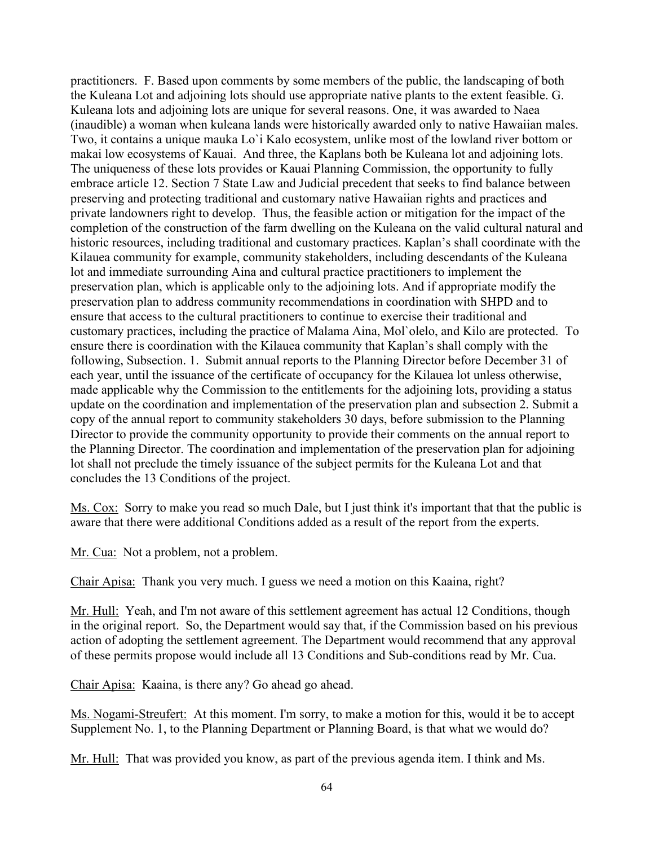practitioners. F. Based upon comments by some members of the public, the landscaping of both the Kuleana Lot and adjoining lots should use appropriate native plants to the extent feasible. G. Kuleana lots and adjoining lots are unique for several reasons. One, it was awarded to Naea (inaudible) a woman when kuleana lands were historically awarded only to native Hawaiian males. Two, it contains a unique mauka Lo`i Kalo ecosystem, unlike most of the lowland river bottom or makai low ecosystems of Kauai. And three, the Kaplans both be Kuleana lot and adjoining lots. The uniqueness of these lots provides or Kauai Planning Commission, the opportunity to fully embrace article 12. Section 7 State Law and Judicial precedent that seeks to find balance between preserving and protecting traditional and customary native Hawaiian rights and practices and private landowners right to develop. Thus, the feasible action or mitigation for the impact of the completion of the construction of the farm dwelling on the Kuleana on the valid cultural natural and historic resources, including traditional and customary practices. Kaplan's shall coordinate with the Kilauea community for example, community stakeholders, including descendants of the Kuleana lot and immediate surrounding Aina and cultural practice practitioners to implement the preservation plan, which is applicable only to the adjoining lots. And if appropriate modify the preservation plan to address community recommendations in coordination with SHPD and to ensure that access to the cultural practitioners to continue to exercise their traditional and customary practices, including the practice of Malama Aina, Mol`olelo, and Kilo are protected. To ensure there is coordination with the Kilauea community that Kaplan's shall comply with the following, Subsection. 1. Submit annual reports to the Planning Director before December 31 of each year, until the issuance of the certificate of occupancy for the Kilauea lot unless otherwise, made applicable why the Commission to the entitlements for the adjoining lots, providing a status update on the coordination and implementation of the preservation plan and subsection 2. Submit a copy of the annual report to community stakeholders 30 days, before submission to the Planning Director to provide the community opportunity to provide their comments on the annual report to the Planning Director. The coordination and implementation of the preservation plan for adjoining lot shall not preclude the timely issuance of the subject permits for the Kuleana Lot and that concludes the 13 Conditions of the project.

Ms. Cox: Sorry to make you read so much Dale, but I just think it's important that that the public is aware that there were additional Conditions added as a result of the report from the experts.

Mr. Cua: Not a problem, not a problem.

Chair Apisa: Thank you very much. I guess we need a motion on this Kaaina, right?

Mr. Hull: Yeah, and I'm not aware of this settlement agreement has actual 12 Conditions, though in the original report. So, the Department would say that, if the Commission based on his previous action of adopting the settlement agreement. The Department would recommend that any approval of these permits propose would include all 13 Conditions and Sub-conditions read by Mr. Cua.

Chair Apisa: Kaaina, is there any? Go ahead go ahead.

Ms. Nogami-Streufert: At this moment. I'm sorry, to make a motion for this, would it be to accept Supplement No. 1, to the Planning Department or Planning Board, is that what we would do?

Mr. Hull: That was provided you know, as part of the previous agenda item. I think and Ms.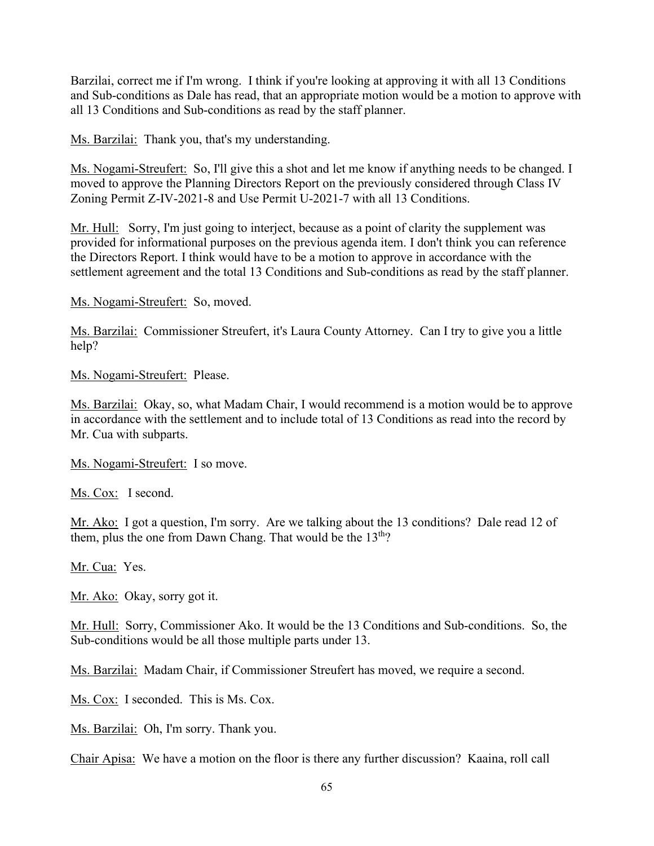Barzilai, correct me if I'm wrong. I think if you're looking at approving it with all 13 Conditions and Sub-conditions as Dale has read, that an appropriate motion would be a motion to approve with all 13 Conditions and Sub-conditions as read by the staff planner.

Ms. Barzilai: Thank you, that's my understanding.

Ms. Nogami-Streufert: So, I'll give this a shot and let me know if anything needs to be changed. I moved to approve the Planning Directors Report on the previously considered through Class IV Zoning Permit Z-IV-2021-8 and Use Permit U-2021-7 with all 13 Conditions.

Mr. Hull: Sorry, I'm just going to interject, because as a point of clarity the supplement was provided for informational purposes on the previous agenda item. I don't think you can reference the Directors Report. I think would have to be a motion to approve in accordance with the settlement agreement and the total 13 Conditions and Sub-conditions as read by the staff planner.

Ms. Nogami-Streufert: So, moved.

Ms. Barzilai: Commissioner Streufert, it's Laura County Attorney. Can I try to give you a little help?

Ms. Nogami-Streufert: Please.

Ms. Barzilai: Okay, so, what Madam Chair, I would recommend is a motion would be to approve in accordance with the settlement and to include total of 13 Conditions as read into the record by Mr. Cua with subparts.

Ms. Nogami-Streufert: I so move.

Ms. Cox: I second.

Mr. Ako: I got a question, I'm sorry. Are we talking about the 13 conditions? Dale read 12 of them, plus the one from Dawn Chang. That would be the 13<sup>th</sup>?

Mr. Cua: Yes.

Mr. Ako: Okay, sorry got it.

Mr. Hull: Sorry, Commissioner Ako. It would be the 13 Conditions and Sub-conditions. So, the Sub-conditions would be all those multiple parts under 13.

Ms. Barzilai: Madam Chair, if Commissioner Streufert has moved, we require a second.

Ms. Cox: I seconded. This is Ms. Cox.

Ms. Barzilai: Oh, I'm sorry. Thank you.

Chair Apisa: We have a motion on the floor is there any further discussion? Kaaina, roll call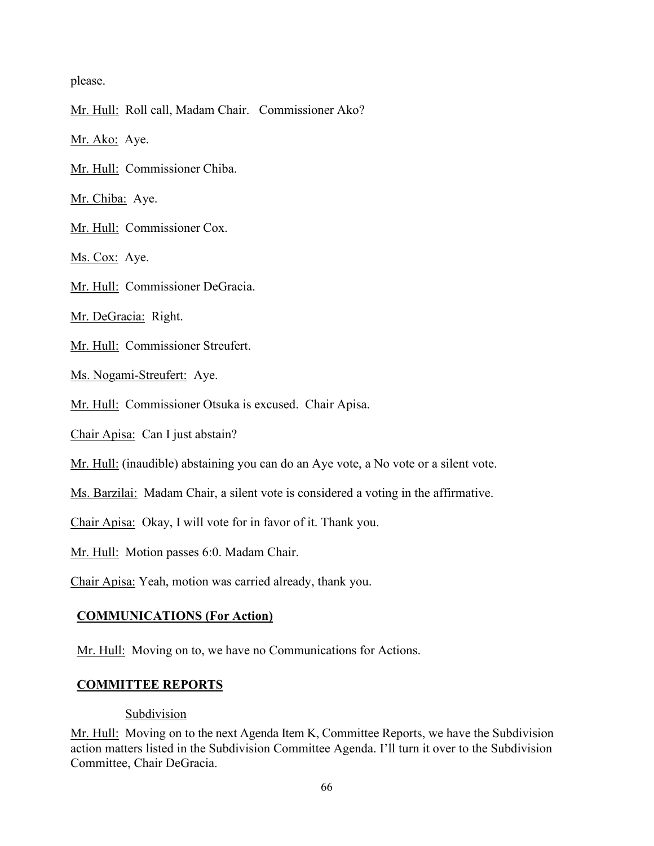please.

Mr. Hull: Roll call, Madam Chair. Commissioner Ako?

Mr. Ako: Aye.

Mr. Hull: Commissioner Chiba.

Mr. Chiba: Aye.

Mr. Hull: Commissioner Cox.

Ms. Cox: Aye.

Mr. Hull: Commissioner DeGracia.

Mr. DeGracia: Right.

Mr. Hull: Commissioner Streufert.

Ms. Nogami-Streufert: Aye.

Mr. Hull: Commissioner Otsuka is excused. Chair Apisa.

Chair Apisa: Can I just abstain?

Mr. Hull: (inaudible) abstaining you can do an Aye vote, a No vote or a silent vote.

Ms. Barzilai: Madam Chair, a silent vote is considered a voting in the affirmative.

Chair Apisa: Okay, I will vote for in favor of it. Thank you.

Mr. Hull: Motion passes 6:0. Madam Chair.

Chair Apisa: Yeah, motion was carried already, thank you.

### **COMMUNICATIONS (For Action)**

Mr. Hull: Moving on to, we have no Communications for Actions.

### **COMMITTEE REPORTS**

#### Subdivision

Mr. Hull: Moving on to the next Agenda Item K, Committee Reports, we have the Subdivision action matters listed in the Subdivision Committee Agenda. I'll turn it over to the Subdivision Committee, Chair DeGracia.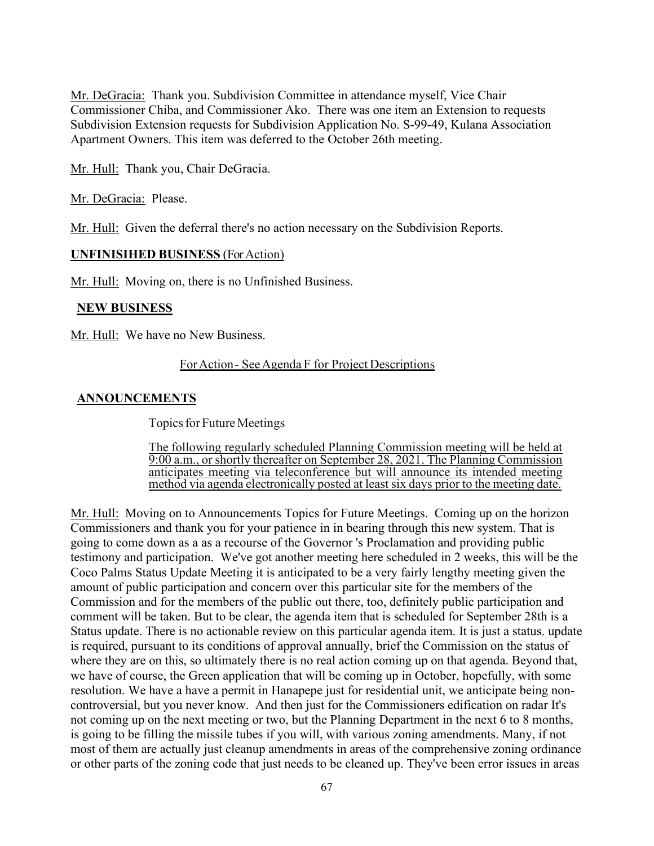Mr. DeGracia: Thank you. Subdivision Committee in attendance myself, Vice Chair Commissioner Chiba, and Commissioner Ako. There was one item an Extension to requests Subdivision Extension requests for Subdivision Application No. S-99-49, Kulana Association Apartment Owners. This item was deferred to the October 26th meeting.

Mr. Hull: Thank you, Chair DeGracia.

Mr. DeGracia: Please.

Mr. Hull: Given the deferral there's no action necessary on the Subdivision Reports.

### **UNFINISIHED BUSINESS** (ForAction)

Mr. Hull: Moving on, there is no Unfinished Business.

### **NEW BUSINESS**

Mr. Hull: We have no New Business.

#### ForAction- SeeAgenda F for Project Descriptions

### **ANNOUNCEMENTS**

Topics for Future Meetings

The following regularly scheduled Planning Commission meeting will be held at 9:00 a.m., or shortly thereafter on September 28, 2021. The Planning Commission anticipates meeting via teleconference but will announce its intended meeting method via agenda electronically posted at least six days prior to the meeting date.

Mr. Hull: Moving on to Announcements Topics for Future Meetings. Coming up on the horizon Commissioners and thank you for your patience in in bearing through this new system. That is going to come down as a as a recourse of the Governor 's Proclamation and providing public testimony and participation. We've got another meeting here scheduled in 2 weeks, this will be the Coco Palms Status Update Meeting it is anticipated to be a very fairly lengthy meeting given the amount of public participation and concern over this particular site for the members of the Commission and for the members of the public out there, too, definitely public participation and comment will be taken. But to be clear, the agenda item that is scheduled for September 28th is a Status update. There is no actionable review on this particular agenda item. It is just a status. update is required, pursuant to its conditions of approval annually, brief the Commission on the status of where they are on this, so ultimately there is no real action coming up on that agenda. Beyond that, we have of course, the Green application that will be coming up in October, hopefully, with some resolution. We have a have a permit in Hanapepe just for residential unit, we anticipate being noncontroversial, but you never know. And then just for the Commissioners edification on radar It's not coming up on the next meeting or two, but the Planning Department in the next 6 to 8 months, is going to be filling the missile tubes if you will, with various zoning amendments. Many, if not most of them are actually just cleanup amendments in areas of the comprehensive zoning ordinance or other parts of the zoning code that just needs to be cleaned up. They've been error issues in areas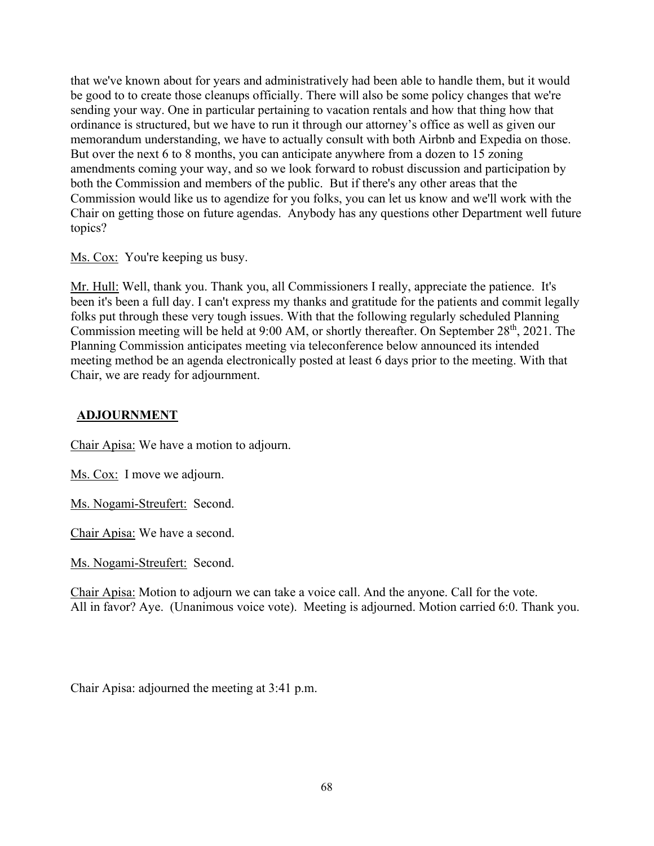that we've known about for years and administratively had been able to handle them, but it would be good to to create those cleanups officially. There will also be some policy changes that we're sending your way. One in particular pertaining to vacation rentals and how that thing how that ordinance is structured, but we have to run it through our attorney's office as well as given our memorandum understanding, we have to actually consult with both Airbnb and Expedia on those. But over the next 6 to 8 months, you can anticipate anywhere from a dozen to 15 zoning amendments coming your way, and so we look forward to robust discussion and participation by both the Commission and members of the public. But if there's any other areas that the Commission would like us to agendize for you folks, you can let us know and we'll work with the Chair on getting those on future agendas. Anybody has any questions other Department well future topics?

Ms. Cox: You're keeping us busy.

Mr. Hull: Well, thank you. Thank you, all Commissioners I really, appreciate the patience. It's been it's been a full day. I can't express my thanks and gratitude for the patients and commit legally folks put through these very tough issues. With that the following regularly scheduled Planning Commission meeting will be held at 9:00 AM, or shortly thereafter. On September 28<sup>th</sup>, 2021. The Planning Commission anticipates meeting via teleconference below announced its intended meeting method be an agenda electronically posted at least 6 days prior to the meeting. With that Chair, we are ready for adjournment.

### **ADJOURNMENT**

Chair Apisa: We have a motion to adjourn.

Ms. Cox: I move we adjourn.

Ms. Nogami-Streufert: Second.

Chair Apisa: We have a second.

Ms. Nogami-Streufert: Second.

Chair Apisa: Motion to adjourn we can take a voice call. And the anyone. Call for the vote. All in favor? Aye. (Unanimous voice vote). Meeting is adjourned. Motion carried 6:0. Thank you.

Chair Apisa: adjourned the meeting at 3:41 p.m.